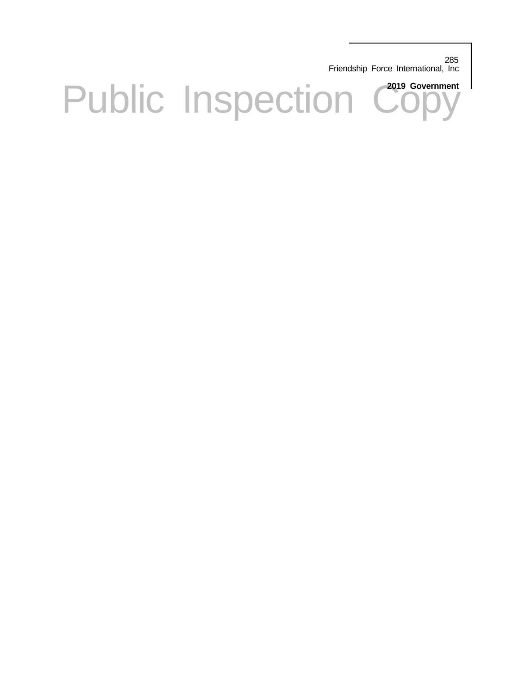285 Friendship Force International, Inc

Public Inspection Copy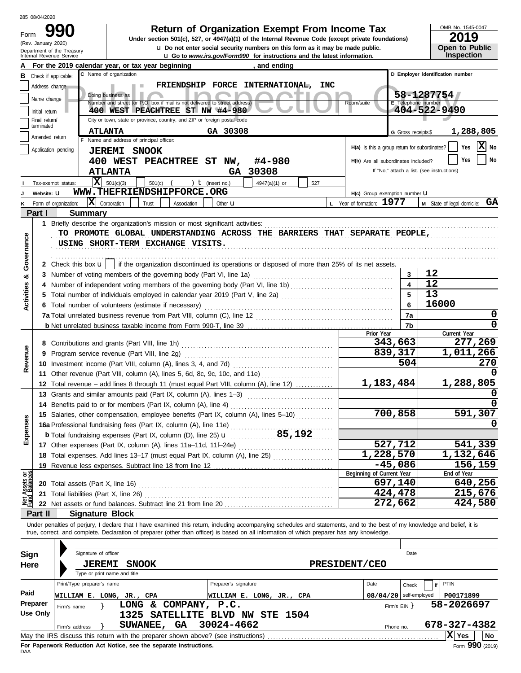(Rev. January 2020)

Form

# **990 2019 Return of Organization Exempt From Income Tax**

**u** Go to *www.irs.gov/Form990* for instructions and the latest information. **u** Do not enter social security numbers on this form as it may be made public. **Under section 501(c), 527, or 4947(a)(1) of the Internal Revenue Code (except private foundations)** OMB No. 1545-0047

| ZU 19                 |
|-----------------------|
| <b>Open to Public</b> |
| <b>Inspection</b>     |

|                                | Internal Revenue Service    | Department of the Treasury             |                                                                                                                                                                            | Q Do not enter social security numbers on this form as it may be made public.<br><b>u</b> Go to www.irs.gov/Form990 for instructions and the latest information. |                                               |                          | Open to Public<br><b>Inspection</b>        |
|--------------------------------|-----------------------------|----------------------------------------|----------------------------------------------------------------------------------------------------------------------------------------------------------------------------|------------------------------------------------------------------------------------------------------------------------------------------------------------------|-----------------------------------------------|--------------------------|--------------------------------------------|
|                                |                             |                                        | For the 2019 calendar year, or tax year beginning                                                                                                                          | , and ending                                                                                                                                                     |                                               |                          |                                            |
| в                              | Check if applicable:        |                                        | C Name of organization                                                                                                                                                     |                                                                                                                                                                  |                                               |                          | D Employer identification number           |
|                                | Address change              |                                        |                                                                                                                                                                            | FRIENDSHIP FORCE INTERNATIONAL,                                                                                                                                  | <b>INC</b>                                    |                          |                                            |
|                                |                             |                                        | Doing business as                                                                                                                                                          |                                                                                                                                                                  |                                               |                          | 58-1287754                                 |
|                                | Name change                 |                                        | Number and street (or P.O. box if mail is not delivered to street address)                                                                                                 |                                                                                                                                                                  | Room/suite                                    | E Telephone number       |                                            |
|                                | Initial return              |                                        | 400 WEST PEACHTREE ST NW #4-980                                                                                                                                            |                                                                                                                                                                  |                                               |                          | 404-522-9490                               |
|                                | Final return/<br>terminated |                                        | City or town, state or province, country, and ZIP or foreign postal code                                                                                                   |                                                                                                                                                                  |                                               |                          |                                            |
|                                | Amended return              |                                        | <b>ATLANTA</b>                                                                                                                                                             | GA 30308                                                                                                                                                         |                                               | G Gross receipts \$      | 1,288,805                                  |
|                                |                             |                                        | F Name and address of principal officer:                                                                                                                                   |                                                                                                                                                                  | H(a) Is this a group return for subordinates? |                          | ΙXΙ<br>Yes<br>No                           |
|                                | Application pending         |                                        | <b>JEREMI SNOOK</b>                                                                                                                                                        |                                                                                                                                                                  |                                               |                          |                                            |
|                                |                             |                                        | 400 WEST PEACHTREE ST NW,                                                                                                                                                  | #4-980                                                                                                                                                           | H(b) Are all subordinates included?           |                          | No<br>Yes                                  |
|                                |                             |                                        | <b>ATLANTA</b>                                                                                                                                                             | GA 30308                                                                                                                                                         |                                               |                          | If "No," attach a list. (see instructions) |
|                                | Tax-exempt status:          |                                        | $ \mathbf{X} $ 501(c)(3)<br>501(c)                                                                                                                                         | ) $t$ (insert no.)<br>4947(a)(1) or                                                                                                                              | 527                                           |                          |                                            |
|                                | Website: U                  |                                        | WWW.THEFRIENDSHIPFORCE.ORG                                                                                                                                                 |                                                                                                                                                                  | H(c) Group exemption number U                 |                          |                                            |
|                                | Form of organization:       |                                        | $ \mathbf{X} $ Corporation<br>Trust<br>Association                                                                                                                         | Other <b>u</b>                                                                                                                                                   | L Year of formation: $1977$                   |                          | M State of legal domicile: GA              |
|                                | Part I                      | <b>Summary</b>                         |                                                                                                                                                                            |                                                                                                                                                                  |                                               |                          |                                            |
|                                |                             |                                        |                                                                                                                                                                            |                                                                                                                                                                  |                                               |                          |                                            |
|                                |                             |                                        | TO PROMOTE GLOBAL UNDERSTANDING ACROSS THE BARRIERS THAT SEPARATE PEOPLE,                                                                                                  |                                                                                                                                                                  |                                               |                          |                                            |
| Governance                     |                             |                                        | USING SHORT-TERM EXCHANGE VISITS.                                                                                                                                          |                                                                                                                                                                  |                                               |                          |                                            |
|                                |                             |                                        |                                                                                                                                                                            |                                                                                                                                                                  |                                               |                          |                                            |
|                                |                             |                                        | 2 Check this box $\mathbf{u}$   if the organization discontinued its operations or disposed of more than 25% of its net assets.                                            |                                                                                                                                                                  |                                               |                          |                                            |
| න්                             |                             |                                        | 3 Number of voting members of the governing body (Part VI, line 1a)                                                                                                        |                                                                                                                                                                  |                                               | 3                        | 12                                         |
|                                |                             |                                        |                                                                                                                                                                            |                                                                                                                                                                  |                                               |                          | 12                                         |
|                                |                             |                                        | 5 Total number of individuals employed in calendar year 2019 (Part V, line 2a) [[[[[[[[[[[[[[[[[[[[[[[[[[[[[[[                                                             |                                                                                                                                                                  |                                               | 5                        | 13                                         |
| <b>Activities</b>              |                             |                                        | 6 Total number of volunteers (estimate if necessary)                                                                                                                       |                                                                                                                                                                  |                                               | 6                        | 16000                                      |
|                                |                             |                                        |                                                                                                                                                                            |                                                                                                                                                                  |                                               | 7a                       | 0                                          |
|                                |                             |                                        |                                                                                                                                                                            |                                                                                                                                                                  |                                               | 7b                       | O                                          |
|                                |                             |                                        |                                                                                                                                                                            |                                                                                                                                                                  | Prior Year                                    |                          | Current Year                               |
|                                |                             |                                        |                                                                                                                                                                            |                                                                                                                                                                  |                                               | 343,663                  | 277,269                                    |
| Revenue                        |                             |                                        | 9 Program service revenue (Part VIII, line 2g)                                                                                                                             |                                                                                                                                                                  |                                               | 839,317                  | 1,011,266                                  |
|                                |                             |                                        | 10 Investment income (Part VIII, column (A), lines 3, 4, and 7d)                                                                                                           |                                                                                                                                                                  |                                               | 504                      | 270                                        |
|                                |                             |                                        | 11 Other revenue (Part VIII, column (A), lines 5, 6d, 8c, 9c, 10c, and 11e)                                                                                                |                                                                                                                                                                  |                                               |                          |                                            |
|                                |                             |                                        | 12 Total revenue – add lines 8 through 11 (must equal Part VIII, column (A), line 12)                                                                                      |                                                                                                                                                                  |                                               | $\overline{1,}183,484$   | 1,288,805                                  |
|                                |                             |                                        | 13 Grants and similar amounts paid (Part IX, column (A), lines 1-3)                                                                                                        |                                                                                                                                                                  |                                               |                          |                                            |
|                                |                             |                                        | 14 Benefits paid to or for members (Part IX, column (A), line 4)                                                                                                           |                                                                                                                                                                  |                                               |                          |                                            |
|                                |                             |                                        | 15 Salaries, other compensation, employee benefits (Part IX, column (A), lines 5-10)                                                                                       |                                                                                                                                                                  |                                               | 700,858                  | 591,307                                    |
| nses                           |                             |                                        | 16a Professional fundraising fees (Part IX, column (A), line 11e)                                                                                                          |                                                                                                                                                                  |                                               |                          | 0                                          |
| Exper                          |                             |                                        |                                                                                                                                                                            |                                                                                                                                                                  |                                               |                          |                                            |
|                                |                             |                                        |                                                                                                                                                                            |                                                                                                                                                                  |                                               | 527,712                  | 541,339                                    |
|                                |                             |                                        | 18 Total expenses. Add lines 13-17 (must equal Part IX, column (A), line 25)                                                                                               |                                                                                                                                                                  |                                               | 1,228,570                | 1,132,646                                  |
|                                |                             |                                        | 19 Revenue less expenses. Subtract line 18 from line 12                                                                                                                    |                                                                                                                                                                  |                                               | $-45,086$                | 156, 159                                   |
| Net Assets or<br>Fund Balances |                             |                                        |                                                                                                                                                                            |                                                                                                                                                                  | Beginning of Current Year                     |                          | End of Year                                |
|                                |                             |                                        |                                                                                                                                                                            |                                                                                                                                                                  |                                               | 697,140                  | 640,256                                    |
|                                |                             | 21 Total liabilities (Part X, line 26) |                                                                                                                                                                            |                                                                                                                                                                  |                                               | 424,478                  | 215,676                                    |
|                                |                             |                                        | 22 Net assets or fund balances. Subtract line 21 from line 20                                                                                                              |                                                                                                                                                                  |                                               | 272,662                  | 424,580                                    |
|                                | Part II                     | <b>Signature Block</b>                 |                                                                                                                                                                            |                                                                                                                                                                  |                                               |                          |                                            |
|                                |                             |                                        | Under penalties of perjury, I declare that I have examined this return, including accompanying schedules and statements, and to the best of my knowledge and belief, it is |                                                                                                                                                                  |                                               |                          |                                            |
|                                |                             |                                        | true, correct, and complete. Declaration of preparer (other than officer) is based on all information of which preparer has any knowledge.                                 |                                                                                                                                                                  |                                               |                          |                                            |
|                                |                             |                                        |                                                                                                                                                                            |                                                                                                                                                                  |                                               |                          |                                            |
| Sign                           |                             | Signature of officer                   |                                                                                                                                                                            |                                                                                                                                                                  |                                               | Date                     |                                            |
| Here                           |                             | <b>JEREMI</b>                          | <b>SNOOK</b>                                                                                                                                                               |                                                                                                                                                                  | <b>PRESIDENT/CEO</b>                          |                          |                                            |
|                                |                             |                                        | Type or print name and title                                                                                                                                               |                                                                                                                                                                  |                                               |                          |                                            |
|                                |                             | Print/Type preparer's name             |                                                                                                                                                                            | Preparer's signature                                                                                                                                             | Date                                          | Check                    | PTIN<br>if                                 |
| Paid                           |                             |                                        | WILLIAM E. LONG, JR., CPA                                                                                                                                                  | WILLIAM E. LONG, JR., CPA                                                                                                                                        |                                               | $08/04/20$ self-employed | P00171899                                  |
|                                | Preparer                    | Firm's name                            | LONG & COMPANY, P.C.                                                                                                                                                       |                                                                                                                                                                  |                                               | Firm's EIN               | 58-2026697                                 |
|                                | <b>Use Only</b>             |                                        |                                                                                                                                                                            | 1325 SATELLITE BLVD NW STE 1504                                                                                                                                  |                                               |                          |                                            |
|                                |                             | Firm's address                         | SUWANEE, GA                                                                                                                                                                | 30024-4662                                                                                                                                                       |                                               | Phone no.                | 678-327-4382                               |
|                                |                             |                                        |                                                                                                                                                                            |                                                                                                                                                                  |                                               |                          | X Yes<br>No                                |

| Sign                                                                                         | Signature of officer         |                                                                                   |                                      |      | Date                     |               |  |  |  |  |  |
|----------------------------------------------------------------------------------------------|------------------------------|-----------------------------------------------------------------------------------|--------------------------------------|------|--------------------------|---------------|--|--|--|--|--|
| Here                                                                                         | <b>JEREMI</b>                | <b>SNOOK</b>                                                                      | PRESIDENT/CEO                        |      |                          |               |  |  |  |  |  |
|                                                                                              | Type or print name and title |                                                                                   |                                      |      |                          |               |  |  |  |  |  |
|                                                                                              | Print/Type preparer's name   |                                                                                   | Preparer's signature                 | Date | Check                    | <b>PTIN</b>   |  |  |  |  |  |
| Paid                                                                                         | WILLIAM E. LONG, JR., CPA    |                                                                                   | WILLIAM E. LONG, JR., CPA            |      | $08/04/20$ self-employed | P00171899     |  |  |  |  |  |
| Preparer                                                                                     | Firm's name                  | COMPANY,<br><b>LONG</b><br>&.                                                     | P.C.                                 |      | Firm's EIN Y             | 58-2026697    |  |  |  |  |  |
| Use Only                                                                                     |                              | <b>SATELLITE</b><br>1325                                                          | <b>STE 1504</b><br>NW<br><b>BLVD</b> |      |                          |               |  |  |  |  |  |
|                                                                                              | Firm's address               | <b>GA</b><br><b>SUWANEE,</b>                                                      | 30024-4662                           |      | Phone no.                | 678-327-4382  |  |  |  |  |  |
|                                                                                              |                              | May the IRS discuss this return with the preparer shown above? (see instructions) |                                      |      |                          | X Yes<br>l No |  |  |  |  |  |
| Form 990 (2019)<br>For Paperwork Reduction Act Notice, see the separate instructions.<br>DAA |                              |                                                                                   |                                      |      |                          |               |  |  |  |  |  |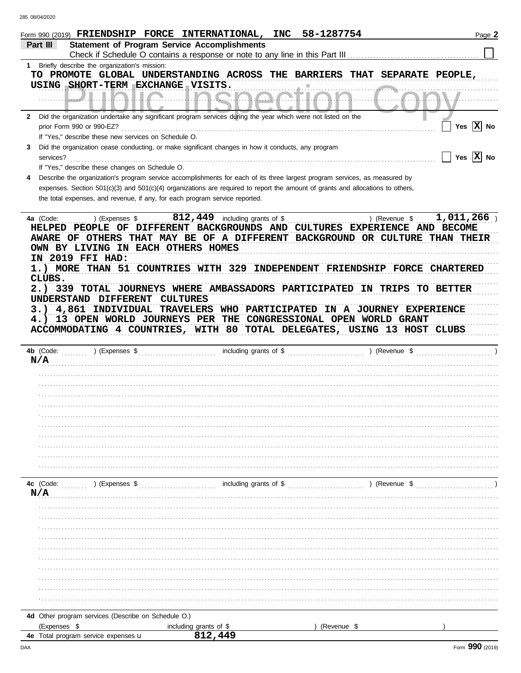|              | Form 990 (2019) $\texttt{FRIENDSHIP}$ FORCE INTERNATIONAL,                            | INC                                                                                                                                 | 58-1287754                                                                                                                                                                | Page 2       |
|--------------|---------------------------------------------------------------------------------------|-------------------------------------------------------------------------------------------------------------------------------------|---------------------------------------------------------------------------------------------------------------------------------------------------------------------------|--------------|
|              | Part III                                                                              | <b>Statement of Program Service Accomplishments</b><br>Check if Schedule O contains a response or note to any line in this Part III |                                                                                                                                                                           |              |
| 1            | Briefly describe the organization's mission:                                          |                                                                                                                                     |                                                                                                                                                                           |              |
|              | USING SHORT-TERM EXCHANGE VISITS.                                                     | TO PROMOTE GLOBAL UNDERSTANDING ACROSS THE BARRIERS THAT                                                                            | SEPARATE PEOPLE,                                                                                                                                                          |              |
|              |                                                                                       |                                                                                                                                     |                                                                                                                                                                           |              |
| $\mathbf{2}$ |                                                                                       | Did the organization undertake any significant program services during the year which were not listed on the                        |                                                                                                                                                                           |              |
|              | prior Form 990 or 990-EZ?                                                             |                                                                                                                                     |                                                                                                                                                                           | Yes $ X $ No |
| 3.           | If "Yes," describe these new services on Schedule O.                                  | Did the organization cease conducting, or make significant changes in how it conducts, any program                                  |                                                                                                                                                                           |              |
|              | services?                                                                             |                                                                                                                                     |                                                                                                                                                                           | Yes $ X $ No |
|              | If "Yes," describe these changes on Schedule O.                                       |                                                                                                                                     |                                                                                                                                                                           |              |
| 4            |                                                                                       |                                                                                                                                     | Describe the organization's program service accomplishments for each of its three largest program services, as measured by                                                |              |
|              | the total expenses, and revenue, if any, for each program service reported.           |                                                                                                                                     | expenses. Section $501(c)(3)$ and $501(c)(4)$ organizations are required to report the amount of grants and allocations to others,                                        |              |
|              |                                                                                       |                                                                                                                                     |                                                                                                                                                                           |              |
|              | 4a (Code:<br>) (Expenses \$<br>OWN BY LIVING IN EACH OTHERS HOMES<br>IN 2019 FFI HAD: | 812, 449 including grants of \$                                                                                                     | ) (Revenue \$<br>HELPED PEOPLE OF DIFFERENT BACKGROUNDS AND CULTURES EXPERIENCE AND BECOME<br>AWARE OF OTHERS THAT MAY BE OF A DIFFERENT BACKGROUND OR CULTURE THAN THEIR | 1,011,266    |
|              |                                                                                       | 1.) MORE THAN 51 COUNTRIES WITH 329 INDEPENDENT                                                                                     | <b>FRIENDSHIP FORCE CHARTERED</b>                                                                                                                                         |              |
|              | CLUBS.                                                                                | 2.) 339 TOTAL JOURNEYS WHERE AMBASSADORS PARTICIPATED                                                                               | IN<br>TRIPS                                                                                                                                                               | TO BETTER    |
|              | UNDERSTAND DIFFERENT                                                                  | <b>CULTURES</b>                                                                                                                     |                                                                                                                                                                           |              |
|              | 4,861<br>INDIVIDUAL<br>3.)                                                            | TRAVELERS WHO PARTICIPATED                                                                                                          | IN A JOURNEY EXPERIENCE                                                                                                                                                   |              |
|              | 13 OPEN WORLD JOURNEYS PER<br>4.)                                                     |                                                                                                                                     | THE CONGRESSIONAL OPEN WORLD GRANT                                                                                                                                        |              |
|              |                                                                                       |                                                                                                                                     | ACCOMMODATING 4 COUNTRIES, WITH 80 TOTAL DELEGATES, USING 13 HOST CLUBS                                                                                                   |              |
|              | 4b (Code:<br>) (Expenses \$<br>N/A                                                    | including grants of \$                                                                                                              | ) (Revenue \$                                                                                                                                                             |              |
|              |                                                                                       |                                                                                                                                     |                                                                                                                                                                           |              |
|              |                                                                                       |                                                                                                                                     |                                                                                                                                                                           |              |
|              |                                                                                       |                                                                                                                                     |                                                                                                                                                                           |              |
|              |                                                                                       |                                                                                                                                     |                                                                                                                                                                           |              |
|              |                                                                                       |                                                                                                                                     |                                                                                                                                                                           |              |
|              |                                                                                       |                                                                                                                                     |                                                                                                                                                                           |              |
|              |                                                                                       |                                                                                                                                     |                                                                                                                                                                           |              |
|              |                                                                                       |                                                                                                                                     |                                                                                                                                                                           |              |
|              |                                                                                       |                                                                                                                                     |                                                                                                                                                                           |              |
|              | 4c (Code:<br>) (Expenses \$                                                           | including grants of \$                                                                                                              | ) (Revenue \$                                                                                                                                                             |              |
| N/A          |                                                                                       |                                                                                                                                     |                                                                                                                                                                           |              |
|              |                                                                                       |                                                                                                                                     |                                                                                                                                                                           |              |
|              |                                                                                       |                                                                                                                                     |                                                                                                                                                                           |              |
|              |                                                                                       |                                                                                                                                     |                                                                                                                                                                           |              |
|              |                                                                                       |                                                                                                                                     |                                                                                                                                                                           |              |
|              |                                                                                       |                                                                                                                                     |                                                                                                                                                                           |              |
|              |                                                                                       |                                                                                                                                     |                                                                                                                                                                           |              |
|              |                                                                                       |                                                                                                                                     |                                                                                                                                                                           |              |
|              |                                                                                       |                                                                                                                                     |                                                                                                                                                                           |              |
|              |                                                                                       |                                                                                                                                     |                                                                                                                                                                           |              |
|              | 4d Other program services (Describe on Schedule O.)<br>(Expenses \$                   | including grants of \$                                                                                                              | (Revenue \$                                                                                                                                                               |              |
|              | 4e Total program service expenses u                                                   | 812,449                                                                                                                             |                                                                                                                                                                           |              |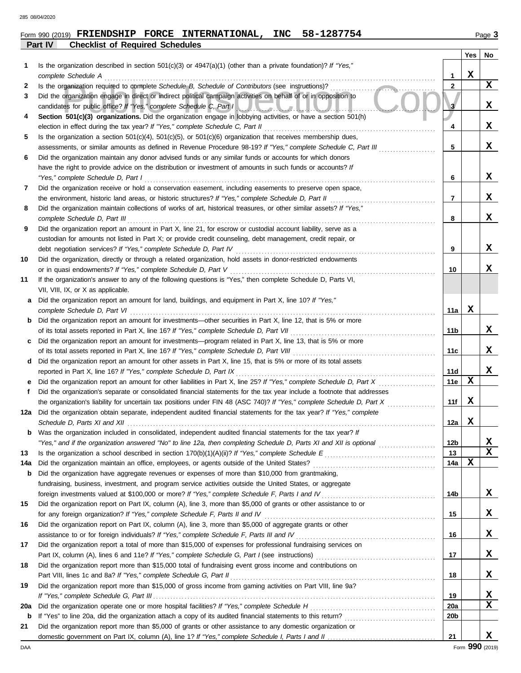**Part IV Checklist of Required Schedules**

|        |                                                                                                                                                                                                                                                                                              |                   | Yes | No |
|--------|----------------------------------------------------------------------------------------------------------------------------------------------------------------------------------------------------------------------------------------------------------------------------------------------|-------------------|-----|----|
| 1      | Is the organization described in section $501(c)(3)$ or $4947(a)(1)$ (other than a private foundation)? If "Yes,"                                                                                                                                                                            |                   | x   |    |
|        | complete Schedule A                                                                                                                                                                                                                                                                          | 1<br>$\mathbf{2}$ |     | X  |
| 2<br>3 | Is the organization required to complete Schedule B, Schedule of Contributors (see instructions)?<br>Did the organization engage in direct or indirect political campaign activities on behalf of or in opposition to<br>candidates for public office? If "Yes," complete Schedule C, Part I | 3                 |     | X. |
| 4      | Section 501(c)(3) organizations. Did the organization engage in lobbying activities, or have a section 501(h)                                                                                                                                                                                |                   |     |    |
|        | election in effect during the tax year? If "Yes," complete Schedule C, Part II                                                                                                                                                                                                               | 4                 |     | x  |
| 5      | Is the organization a section $501(c)(4)$ , $501(c)(5)$ , or $501(c)(6)$ organization that receives membership dues,                                                                                                                                                                         |                   |     |    |
|        | assessments, or similar amounts as defined in Revenue Procedure 98-19? If "Yes," complete Schedule C, Part III                                                                                                                                                                               | 5                 |     | X  |
| 6      | Did the organization maintain any donor advised funds or any similar funds or accounts for which donors                                                                                                                                                                                      |                   |     |    |
|        | have the right to provide advice on the distribution or investment of amounts in such funds or accounts? If                                                                                                                                                                                  |                   |     |    |
|        | "Yes," complete Schedule D, Part I                                                                                                                                                                                                                                                           | 6                 |     | x  |
| 7      | Did the organization receive or hold a conservation easement, including easements to preserve open space,                                                                                                                                                                                    |                   |     |    |
|        | the environment, historic land areas, or historic structures? If "Yes," complete Schedule D, Part II                                                                                                                                                                                         | 7                 |     | x  |
| 8      | Did the organization maintain collections of works of art, historical treasures, or other similar assets? If "Yes,"                                                                                                                                                                          |                   |     | X  |
|        | complete Schedule D, Part III                                                                                                                                                                                                                                                                | 8                 |     |    |
| 9      | Did the organization report an amount in Part X, line 21, for escrow or custodial account liability, serve as a<br>custodian for amounts not listed in Part X; or provide credit counseling, debt management, credit repair, or                                                              |                   |     |    |
|        | debt negotiation services? If "Yes," complete Schedule D, Part IV                                                                                                                                                                                                                            | 9                 |     | x  |
| 10     | Did the organization, directly or through a related organization, hold assets in donor-restricted endowments                                                                                                                                                                                 |                   |     |    |
|        | or in quasi endowments? If "Yes," complete Schedule D, Part V                                                                                                                                                                                                                                | 10                |     | x  |
| 11     | If the organization's answer to any of the following questions is "Yes," then complete Schedule D, Parts VI,                                                                                                                                                                                 |                   |     |    |
|        | VII, VIII, IX, or X as applicable.                                                                                                                                                                                                                                                           |                   |     |    |
| а      | Did the organization report an amount for land, buildings, and equipment in Part X, line 10? If "Yes,"                                                                                                                                                                                       |                   |     |    |
|        | complete Schedule D, Part VI                                                                                                                                                                                                                                                                 | 11a               | x   |    |
| b      | Did the organization report an amount for investments—other securities in Part X, line 12, that is 5% or more                                                                                                                                                                                |                   |     |    |
|        | of its total assets reported in Part X, line 16? If "Yes," complete Schedule D, Part VII                                                                                                                                                                                                     | 11b               |     | x  |
| c      | Did the organization report an amount for investments—program related in Part X, line 13, that is 5% or more                                                                                                                                                                                 |                   |     |    |
|        | of its total assets reported in Part X, line 16? If "Yes," complete Schedule D, Part VIII                                                                                                                                                                                                    | 11c               |     | x  |
| d      | Did the organization report an amount for other assets in Part X, line 15, that is 5% or more of its total assets                                                                                                                                                                            |                   |     |    |
|        | reported in Part X, line 16? If "Yes," complete Schedule D, Part IX                                                                                                                                                                                                                          | 11d               |     | x  |
| е      | Did the organization report an amount for other liabilities in Part X, line 25? If "Yes," complete Schedule D, Part X                                                                                                                                                                        | 11e               | x   |    |
| f.     | Did the organization's separate or consolidated financial statements for the tax year include a footnote that addresses                                                                                                                                                                      |                   |     |    |
|        | the organization's liability for uncertain tax positions under FIN 48 (ASC 740)? If "Yes," complete Schedule D, Part X                                                                                                                                                                       | 11f               | х   |    |
| 12a    | Did the organization obtain separate, independent audited financial statements for the tax year? If "Yes," complete                                                                                                                                                                          | 12a               | x   |    |
|        | <b>b</b> Was the organization included in consolidated, independent audited financial statements for the tax year? If                                                                                                                                                                        |                   |     |    |
|        |                                                                                                                                                                                                                                                                                              | 12b               |     | x  |
| 13     |                                                                                                                                                                                                                                                                                              | 13                |     | x  |
| 14a    |                                                                                                                                                                                                                                                                                              | 14a               | X   |    |
| b      | Did the organization have aggregate revenues or expenses of more than \$10,000 from grantmaking,                                                                                                                                                                                             |                   |     |    |
|        | fundraising, business, investment, and program service activities outside the United States, or aggregate                                                                                                                                                                                    |                   |     |    |
|        | foreign investments valued at \$100,000 or more? If "Yes," complete Schedule F, Parts I and IV.                                                                                                                                                                                              | 14b               |     | X  |
| 15     | Did the organization report on Part IX, column (A), line 3, more than \$5,000 of grants or other assistance to or                                                                                                                                                                            |                   |     |    |
|        |                                                                                                                                                                                                                                                                                              | 15                |     | X. |
| 16     | Did the organization report on Part IX, column (A), line 3, more than \$5,000 of aggregate grants or other                                                                                                                                                                                   |                   |     |    |
|        | assistance to or for foreign individuals? If "Yes," complete Schedule F, Parts III and IV [[[[[[[[[[[[[[[[[[[                                                                                                                                                                                | 16                |     | X  |
| 17     | Did the organization report a total of more than \$15,000 of expenses for professional fundraising services on                                                                                                                                                                               |                   |     |    |
|        |                                                                                                                                                                                                                                                                                              | 17                |     | X. |
| 18     | Did the organization report more than \$15,000 total of fundraising event gross income and contributions on                                                                                                                                                                                  |                   |     |    |
|        |                                                                                                                                                                                                                                                                                              | 18                |     | X  |
| 19     | Did the organization report more than \$15,000 of gross income from gaming activities on Part VIII, line 9a?                                                                                                                                                                                 | 19                |     | x  |
| 20a    |                                                                                                                                                                                                                                                                                              | 20a               |     | x  |
| b      |                                                                                                                                                                                                                                                                                              | 20 <sub>b</sub>   |     |    |
| 21     | Did the organization report more than \$5,000 of grants or other assistance to any domestic organization or                                                                                                                                                                                  |                   |     |    |
|        |                                                                                                                                                                                                                                                                                              | 21                |     | X. |
|        |                                                                                                                                                                                                                                                                                              |                   |     |    |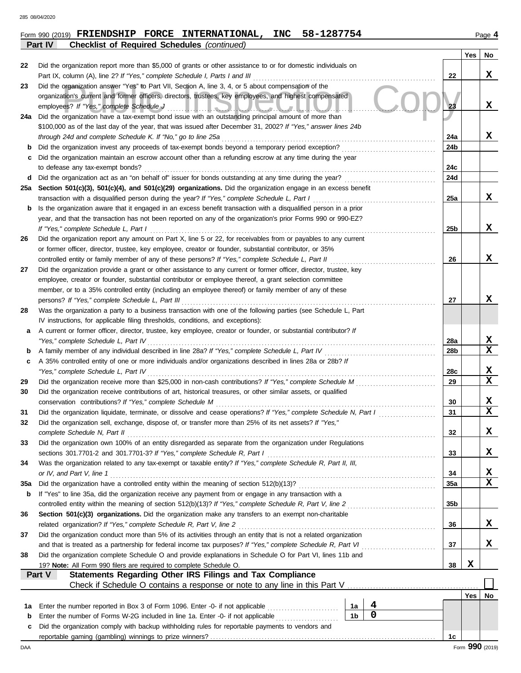**Part IV Checklist of Required Schedules** *(continued)*

|        |                                                                                                                                                                                                              |                |   |     | Yes             | No               |
|--------|--------------------------------------------------------------------------------------------------------------------------------------------------------------------------------------------------------------|----------------|---|-----|-----------------|------------------|
| 22     | Did the organization report more than \$5,000 of grants or other assistance to or for domestic individuals on                                                                                                |                |   |     |                 |                  |
|        | Part IX, column (A), line 2? If "Yes," complete Schedule I, Parts I and III                                                                                                                                  |                |   | 22  |                 | x                |
| 23     | Did the organization answer "Yes" to Part VII, Section A, line 3, 4, or 5 about compensation of the                                                                                                          |                |   |     |                 |                  |
|        | organization's current and former officers, directors, trustees, key employees, and highest compensated                                                                                                      |                |   |     |                 |                  |
|        | employees? If "Yes," complete Schedule J<br>المتقاد المسال<br>21. J.J. J.J. J.J. J.                                                                                                                          |                |   | 23  |                 | x                |
| 24a    | Did the organization have a tax-exempt bond issue with an outstanding principal amount of more than                                                                                                          |                |   |     |                 |                  |
|        | \$100,000 as of the last day of the year, that was issued after December 31, 2002? If "Yes," answer lines 24b                                                                                                |                |   | 24a |                 | x                |
| b      | through 24d and complete Schedule K. If "No," go to line 25a<br>Did the organization invest any proceeds of tax-exempt bonds beyond a temporary period exception?                                            |                |   | 24b |                 |                  |
| с      | Did the organization maintain an escrow account other than a refunding escrow at any time during the year                                                                                                    |                |   |     |                 |                  |
|        | to defease any tax-exempt bonds?                                                                                                                                                                             |                |   | 24с |                 |                  |
| d      | Did the organization act as an "on behalf of" issuer for bonds outstanding at any time during the year?                                                                                                      |                |   | 24d |                 |                  |
| 25a    | Section 501(c)(3), 501(c)(4), and 501(c)(29) organizations. Did the organization engage in an excess benefit                                                                                                 |                |   |     |                 |                  |
|        | transaction with a disqualified person during the year? If "Yes," complete Schedule L, Part I                                                                                                                |                |   | 25a |                 | x                |
| b      | Is the organization aware that it engaged in an excess benefit transaction with a disqualified person in a prior                                                                                             |                |   |     |                 |                  |
|        | year, and that the transaction has not been reported on any of the organization's prior Forms 990 or 990-EZ?                                                                                                 |                |   |     |                 |                  |
|        | If "Yes," complete Schedule L, Part I                                                                                                                                                                        |                |   | 25b |                 | X                |
| 26     | Did the organization report any amount on Part X, line 5 or 22, for receivables from or payables to any current                                                                                              |                |   |     |                 |                  |
|        | or former officer, director, trustee, key employee, creator or founder, substantial contributor, or 35%                                                                                                      |                |   |     |                 |                  |
|        | controlled entity or family member of any of these persons? If "Yes," complete Schedule L, Part II                                                                                                           |                |   | 26  |                 | x                |
| 27     | Did the organization provide a grant or other assistance to any current or former officer, director, trustee, key                                                                                            |                |   |     |                 |                  |
|        | employee, creator or founder, substantial contributor or employee thereof, a grant selection committee                                                                                                       |                |   |     |                 |                  |
|        | member, or to a 35% controlled entity (including an employee thereof) or family member of any of these                                                                                                       |                |   |     |                 |                  |
|        | persons? If "Yes," complete Schedule L, Part III                                                                                                                                                             |                |   | 27  |                 | x                |
| 28     | Was the organization a party to a business transaction with one of the following parties (see Schedule L, Part                                                                                               |                |   |     |                 |                  |
|        | IV instructions, for applicable filing thresholds, conditions, and exceptions):                                                                                                                              |                |   |     |                 |                  |
| a      | A current or former officer, director, trustee, key employee, creator or founder, or substantial contributor? If                                                                                             |                |   |     |                 |                  |
|        | "Yes," complete Schedule L, Part IV                                                                                                                                                                          |                |   | 28a |                 | X<br>$\mathbf x$ |
| b<br>c | A family member of any individual described in line 28a? If "Yes," complete Schedule L, Part IV<br>A 35% controlled entity of one or more individuals and/or organizations described in lines 28a or 28b? If |                |   | 28b |                 |                  |
|        | "Yes," complete Schedule L, Part IV                                                                                                                                                                          |                |   | 28c |                 | x                |
| 29     |                                                                                                                                                                                                              |                |   | 29  |                 | X                |
| 30     | Did the organization receive contributions of art, historical treasures, or other similar assets, or qualified                                                                                               |                |   |     |                 |                  |
|        | conservation contributions? If "Yes," complete Schedule M                                                                                                                                                    |                |   | 30  |                 | X                |
| 31     | Did the organization liquidate, terminate, or dissolve and cease operations? If "Yes," complete Schedule N, Part I                                                                                           |                |   | 31  |                 | X                |
| 32     | Did the organization sell, exchange, dispose of, or transfer more than 25% of its net assets? If "Yes,"                                                                                                      |                |   |     |                 |                  |
|        | complete Schedule N, Part II                                                                                                                                                                                 |                |   | 32  |                 | х                |
| 33     | Did the organization own 100% of an entity disregarded as separate from the organization under Regulations                                                                                                   |                |   |     |                 |                  |
|        | sections 301.7701-2 and 301.7701-3? If "Yes," complete Schedule R, Part I                                                                                                                                    |                |   | 33  |                 | x                |
| 34     | Was the organization related to any tax-exempt or taxable entity? If "Yes," complete Schedule R, Part II, III,                                                                                               |                |   |     |                 |                  |
|        | or IV, and Part V, line 1                                                                                                                                                                                    |                |   | 34  |                 | X                |
| 35a    |                                                                                                                                                                                                              |                |   | 35а |                 | $\mathbf x$      |
| b      | If "Yes" to line 35a, did the organization receive any payment from or engage in any transaction with a                                                                                                      |                |   |     |                 |                  |
|        | controlled entity within the meaning of section 512(b)(13)? If "Yes," complete Schedule R, Part V, line 2                                                                                                    |                |   | 35b |                 |                  |
| 36     | Section 501(c)(3) organizations. Did the organization make any transfers to an exempt non-charitable                                                                                                         |                |   |     |                 |                  |
|        | related organization? If "Yes," complete Schedule R, Part V, line 2                                                                                                                                          |                |   | 36  |                 | x                |
| 37     | Did the organization conduct more than 5% of its activities through an entity that is not a related organization                                                                                             |                |   |     |                 |                  |
|        | and that is treated as a partnership for federal income tax purposes? If "Yes," complete Schedule R, Part VI                                                                                                 |                |   | 37  |                 | X                |
| 38     | Did the organization complete Schedule O and provide explanations in Schedule O for Part VI, lines 11b and<br>19? Note: All Form 990 filers are required to complete Schedule O.                             |                |   | 38  | X               |                  |
|        | Part V<br><b>Statements Regarding Other IRS Filings and Tax Compliance</b>                                                                                                                                   |                |   |     |                 |                  |
|        |                                                                                                                                                                                                              |                |   |     |                 |                  |
|        |                                                                                                                                                                                                              |                |   |     | Yes             | No               |
| 1а     | Enter the number reported in Box 3 of Form 1096. Enter -0- if not applicable                                                                                                                                 | 1a             | 4 |     |                 |                  |
| b      | Enter the number of Forms W-2G included in line 1a. Enter -0- if not applicable                                                                                                                              | 1 <sub>b</sub> | 0 |     |                 |                  |
| c      | Did the organization comply with backup withholding rules for reportable payments to vendors and                                                                                                             |                |   |     |                 |                  |
|        |                                                                                                                                                                                                              |                |   | 1c  |                 |                  |
| DAA    |                                                                                                                                                                                                              |                |   |     | Form 990 (2019) |                  |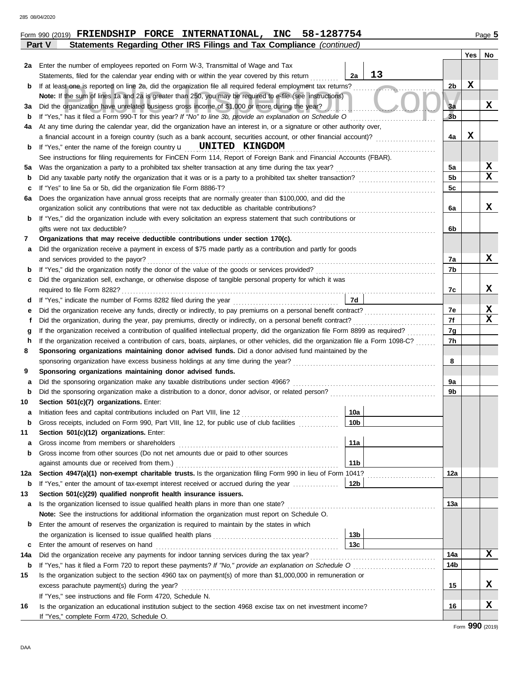|             | Statements Regarding Other IRS Filings and Tax Compliance (continued)<br>Part V                                                    |                |             |    |
|-------------|------------------------------------------------------------------------------------------------------------------------------------|----------------|-------------|----|
|             |                                                                                                                                    |                | <b>Yes</b>  | No |
|             | 2a Enter the number of employees reported on Form W-3, Transmittal of Wage and Tax                                                 |                |             |    |
|             | 13<br>2a<br>Statements, filed for the calendar year ending with or within the year covered by this return                          |                |             |    |
| b           | If at least one is reported on line 2a, did the organization file all required federal employment tax returns?                     | 2 <sub>b</sub> | X           |    |
|             | Note: If the sum of lines 1a and 2a is greater than 250, you may be required to e-file (see instructions)                          |                |             |    |
| За          | Did the organization have unrelated business gross income of \$1,000 or more during the year?                                      | 3a             |             | x  |
| b           | If "Yes," has it filed a Form 990-T for this year? If "No" to line 3b, provide an explanation on Schedule O                        | 3 <sub>b</sub> |             |    |
| 4а          | At any time during the calendar year, did the organization have an interest in, or a signature or other authority over,            |                |             |    |
|             | a financial account in a foreign country (such as a bank account, securities account, or other financial account)?                 | 4a             | $\mathbf X$ |    |
| b           | If "Yes," enter the name of the foreign country $\mathbf{u}$ <b>UNITED KINGDOM</b>                                                 |                |             |    |
|             | See instructions for filing requirements for FinCEN Form 114, Report of Foreign Bank and Financial Accounts (FBAR).                |                |             |    |
| 5а          |                                                                                                                                    | 5a             |             | X  |
| b           |                                                                                                                                    | 5 <sub>b</sub> |             | x  |
| c           |                                                                                                                                    | 5c             |             |    |
| 6а          | Does the organization have annual gross receipts that are normally greater than \$100,000, and did the                             |                |             |    |
|             |                                                                                                                                    | 6a             |             | x  |
| b           | If "Yes," did the organization include with every solicitation an express statement that such contributions or                     |                |             |    |
|             | gifts were not tax deductible?                                                                                                     | 6b             |             |    |
| 7           | Organizations that may receive deductible contributions under section 170(c).                                                      |                |             |    |
| а           | Did the organization receive a payment in excess of \$75 made partly as a contribution and partly for goods                        |                |             |    |
|             | and services provided to the payor?                                                                                                | 7a             |             | x  |
| b           |                                                                                                                                    | 7b             |             |    |
| c           | Did the organization sell, exchange, or otherwise dispose of tangible personal property for which it was                           |                |             |    |
|             |                                                                                                                                    | 7с             |             | x  |
| d           | 7d                                                                                                                                 |                |             |    |
| е           |                                                                                                                                    | 7e             |             | X  |
| f           |                                                                                                                                    | 7f             |             | x  |
| g           | If the organization received a contribution of qualified intellectual property, did the organization file Form 8899 as required?   | 7g             |             |    |
| h           | If the organization received a contribution of cars, boats, airplanes, or other vehicles, did the organization file a Form 1098-C? | 7h             |             |    |
| 8           | Sponsoring organizations maintaining donor advised funds. Did a donor advised fund maintained by the                               |                |             |    |
|             |                                                                                                                                    | 8              |             |    |
| 9           | Sponsoring organizations maintaining donor advised funds.                                                                          |                |             |    |
| a           |                                                                                                                                    | 9a             |             |    |
| b           |                                                                                                                                    | 9b             |             |    |
| 10          | Section 501(c)(7) organizations. Enter:                                                                                            |                |             |    |
| а           | 10a                                                                                                                                |                |             |    |
| b           | Gross receipts, included on Form 990, Part VIII, line 12, for public use of club facilities<br>10 <sub>b</sub>                     |                |             |    |
| 11          | Section 501(c)(12) organizations. Enter:                                                                                           |                |             |    |
| a           | 11a                                                                                                                                |                |             |    |
| b           | Gross income from other sources (Do not net amounts due or paid to other sources                                                   |                |             |    |
|             | 11 <sub>b</sub>                                                                                                                    |                |             |    |
| 12a         | Section 4947(a)(1) non-exempt charitable trusts. Is the organization filing Form 990 in lieu of Form 1041?                         | 12a            |             |    |
| b           | If "Yes," enter the amount of tax-exempt interest received or accrued during the year<br>12b                                       |                |             |    |
| 13          | Section 501(c)(29) qualified nonprofit health insurance issuers.                                                                   |                |             |    |
| а           |                                                                                                                                    | 13а            |             |    |
|             | Note: See the instructions for additional information the organization must report on Schedule O.                                  |                |             |    |
| b           | Enter the amount of reserves the organization is required to maintain by the states in which                                       |                |             |    |
|             | 13 <sub>b</sub><br>13c                                                                                                             |                |             |    |
| c           | Enter the amount of reserves on hand                                                                                               |                |             | X  |
| 14a         |                                                                                                                                    | 14a            |             |    |
| $\mathbf b$ |                                                                                                                                    | 14b            |             |    |
| 15          | Is the organization subject to the section 4960 tax on payment(s) of more than \$1,000,000 in remuneration or                      |                |             | x  |
|             |                                                                                                                                    | 15             |             |    |
|             | If "Yes," see instructions and file Form 4720, Schedule N.                                                                         |                |             | X  |
| 16          | Is the organization an educational institution subject to the section 4968 excise tax on net investment income?                    | 16             |             |    |
|             | If "Yes," complete Form 4720, Schedule O.                                                                                          |                |             |    |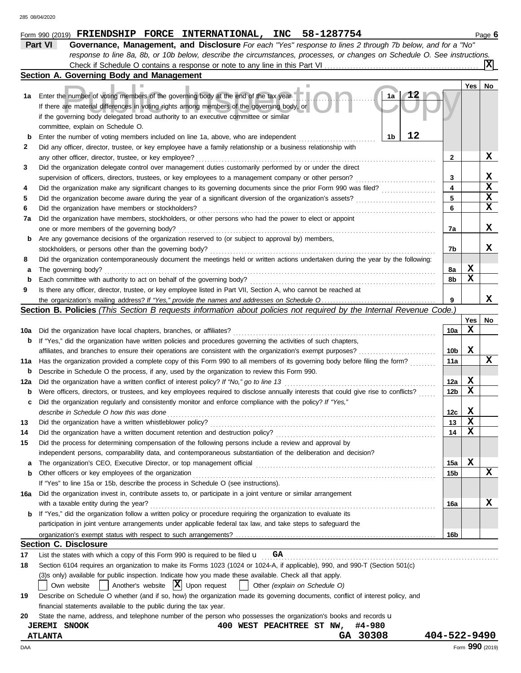|     | Part VI<br>Governance, Management, and Disclosure For each "Yes" response to lines 2 through 7b below, and for a "No"               |              |            |                 |
|-----|-------------------------------------------------------------------------------------------------------------------------------------|--------------|------------|-----------------|
|     | response to line 8a, 8b, or 10b below, describe the circumstances, processes, or changes on Schedule O. See instructions.           |              |            |                 |
|     |                                                                                                                                     |              |            | x               |
|     | Section A. Governing Body and Management                                                                                            |              |            |                 |
|     |                                                                                                                                     |              | <b>Yes</b> | No              |
| 1a  | Enter the number of voting members of the governing body at the end of the tax year<br>1a                                           |              |            |                 |
|     | If there are material differences in voting rights among members of the governing body, or                                          |              |            |                 |
|     | if the governing body delegated broad authority to an executive committee or similar                                                |              |            |                 |
|     | committee, explain on Schedule O.                                                                                                   |              |            |                 |
| b   | 12<br>1b<br>Enter the number of voting members included on line 1a, above, who are independent                                      |              |            |                 |
| 2   | Did any officer, director, trustee, or key employee have a family relationship or a business relationship with                      |              |            |                 |
|     | any other officer, director, trustee, or key employee?                                                                              | 2            |            | x               |
| 3   | Did the organization delegate control over management duties customarily performed by or under the direct                           |              |            |                 |
|     | supervision of officers, directors, trustees, or key employees to a management company or other person?                             | 3            |            | X               |
| 4   |                                                                                                                                     | 4            |            | $\mathbf x$     |
| 5   |                                                                                                                                     | 5            |            | $\mathbf x$     |
| 6   | Did the organization have members or stockholders?                                                                                  | 6            |            | X               |
| 7a  | Did the organization have members, stockholders, or other persons who had the power to elect or appoint                             |              |            |                 |
|     | one or more members of the governing body?                                                                                          | 7а           |            | x               |
|     | Are any governance decisions of the organization reserved to (or subject to approval by) members,                                   |              |            |                 |
| b   | stockholders, or persons other than the governing body?                                                                             | 7b           |            | x               |
|     |                                                                                                                                     |              |            |                 |
| 8   | Did the organization contemporaneously document the meetings held or written actions undertaken during the year by the following:   |              |            |                 |
| а   | The governing body?                                                                                                                 | 8а           | X<br>X     |                 |
| b   | Each committee with authority to act on behalf of the governing body?                                                               | 8b           |            |                 |
| 9   | Is there any officer, director, trustee, or key employee listed in Part VII, Section A, who cannot be reached at                    |              |            |                 |
|     |                                                                                                                                     | 9            |            | x               |
|     | Section B. Policies (This Section B requests information about policies not required by the Internal Revenue Code.)                 |              |            |                 |
|     |                                                                                                                                     |              | Yes        | No              |
| 10a | Did the organization have local chapters, branches, or affiliates?                                                                  | 10a          | X          |                 |
| b   | If "Yes," did the organization have written policies and procedures governing the activities of such chapters,                      |              |            |                 |
|     | affiliates, and branches to ensure their operations are consistent with the organization's exempt purposes?                         | 10b          | X          |                 |
| 11a | Has the organization provided a complete copy of this Form 990 to all members of its governing body before filing the form?         | 11a          |            | x               |
| b   | Describe in Schedule O the process, if any, used by the organization to review this Form 990.                                       |              |            |                 |
| 12a | Did the organization have a written conflict of interest policy? If "No," go to line 13                                             | 12a          | X          |                 |
| b   | Were officers, directors, or trustees, and key employees required to disclose annually interests that could give rise to conflicts? | 12b          | X          |                 |
| c   | Did the organization regularly and consistently monitor and enforce compliance with the policy? If "Yes,"                           |              |            |                 |
|     | describe in Schedule O how this was done                                                                                            | 12c          | x          |                 |
| 13  | Did the organization have a written whistleblower policy?                                                                           | 13           | X          |                 |
| 14  | Did the organization have a written document retention and destruction policy?                                                      | 14           | X          |                 |
| 15  | Did the process for determining compensation of the following persons include a review and approval by                              |              |            |                 |
|     | independent persons, comparability data, and contemporaneous substantiation of the deliberation and decision?                       |              |            |                 |
| a   |                                                                                                                                     | 15a          | X          |                 |
| b   | Other officers or key employees of the organization                                                                                 | 15b          |            | x               |
|     | If "Yes" to line 15a or 15b, describe the process in Schedule O (see instructions).                                                 |              |            |                 |
| 16a | Did the organization invest in, contribute assets to, or participate in a joint venture or similar arrangement                      |              |            |                 |
|     | with a taxable entity during the year?                                                                                              | 16a          |            | x               |
| b   | If "Yes," did the organization follow a written policy or procedure requiring the organization to evaluate its                      |              |            |                 |
|     | participation in joint venture arrangements under applicable federal tax law, and take steps to safeguard the                       |              |            |                 |
|     |                                                                                                                                     | 16b          |            |                 |
|     | <b>Section C. Disclosure</b>                                                                                                        |              |            |                 |
| 17  | List the states with which a copy of this Form 990 is required to be filed $\mathbf{u}$ GA                                          |              |            |                 |
| 18  | Section 6104 requires an organization to make its Forms 1023 (1024 or 1024-A, if applicable), 990, and 990-T (Section 501(c)        |              |            |                 |
|     | (3)s only) available for public inspection. Indicate how you made these available. Check all that apply.                            |              |            |                 |
|     | Another's website $ \mathbf{X} $ Upon request<br>Other (explain on Schedule O)<br>Own website<br>$\mathbf{1}$                       |              |            |                 |
| 19  | Describe on Schedule O whether (and if so, how) the organization made its governing documents, conflict of interest policy, and     |              |            |                 |
|     | financial statements available to the public during the tax year.                                                                   |              |            |                 |
| 20  | State the name, address, and telephone number of the person who possesses the organization's books and records u                    |              |            |                 |
|     | 400 WEST PEACHTREE ST NW,<br>#4-980                                                                                                 |              |            |                 |
|     | <b>JEREMI SNOOK</b><br>GA 30308                                                                                                     | 404-522-9490 |            |                 |
|     | <b>ATLANTA</b>                                                                                                                      |              |            |                 |
| DAA |                                                                                                                                     |              |            | Form 990 (2019) |

Form 990 (2019) FRIENDSHIP FORCE INTERNATIONAL, INC 58-1287754 Page 6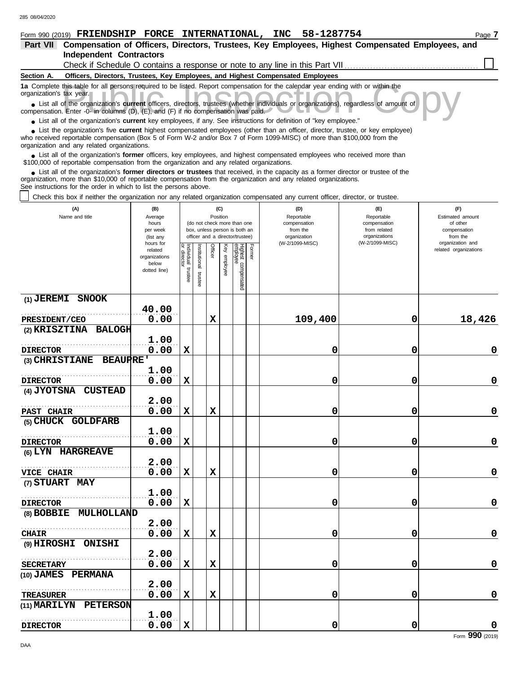| 200 00/04/2020                                                                                                                                                                                                                                              |                                                                              |                                                                  |                       |         |                 |                                 |        |                                 |                               |                          |  |  |  |
|-------------------------------------------------------------------------------------------------------------------------------------------------------------------------------------------------------------------------------------------------------------|------------------------------------------------------------------------------|------------------------------------------------------------------|-----------------------|---------|-----------------|---------------------------------|--------|---------------------------------|-------------------------------|--------------------------|--|--|--|
| Form 990 (2019) FRIENDSHIP FORCE INTERNATIONAL, INC 58-1287754                                                                                                                                                                                              |                                                                              |                                                                  |                       |         |                 |                                 |        |                                 |                               | Page 7                   |  |  |  |
| Compensation of Officers, Directors, Trustees, Key Employees, Highest Compensated Employees, and<br>Part VII                                                                                                                                                |                                                                              |                                                                  |                       |         |                 |                                 |        |                                 |                               |                          |  |  |  |
|                                                                                                                                                                                                                                                             | <b>Independent Contractors</b>                                               |                                                                  |                       |         |                 |                                 |        |                                 |                               |                          |  |  |  |
|                                                                                                                                                                                                                                                             | Check if Schedule O contains a response or note to any line in this Part VII |                                                                  |                       |         |                 |                                 |        |                                 |                               |                          |  |  |  |
| Officers, Directors, Trustees, Key Employees, and Highest Compensated Employees<br>Section A.                                                                                                                                                               |                                                                              |                                                                  |                       |         |                 |                                 |        |                                 |                               |                          |  |  |  |
| 1a Complete this table for all persons required to be listed. Report compensation for the calendar year ending with or within the                                                                                                                           |                                                                              |                                                                  |                       |         |                 |                                 |        |                                 |                               |                          |  |  |  |
| organization's tax year.                                                                                                                                                                                                                                    |                                                                              |                                                                  |                       |         |                 |                                 |        |                                 |                               |                          |  |  |  |
| • List all of the organization's <b>current</b> officers, directors, trustees (whether individuals or organizations), regardless of amount of<br>compensation. Enter -0- in columns $(D)$ , $(E)$ , and $(F)$ if no compensation was paid.                  |                                                                              |                                                                  |                       |         |                 |                                 |        |                                 |                               |                          |  |  |  |
| • List all of the organization's <b>current</b> key employees, if any. See instructions for definition of "key employee."                                                                                                                                   |                                                                              |                                                                  |                       |         |                 |                                 |        |                                 |                               |                          |  |  |  |
| • List the organization's five current highest compensated employees (other than an officer, director, trustee, or key employee)<br>who received reportable compensation (Box 5 of Form W-2 and/or Box 7 of Form 1099-MISC) of more than \$100,000 from the |                                                                              |                                                                  |                       |         |                 |                                 |        |                                 |                               |                          |  |  |  |
| organization and any related organizations.                                                                                                                                                                                                                 |                                                                              |                                                                  |                       |         |                 |                                 |        |                                 |                               |                          |  |  |  |
| • List all of the organization's former officers, key employees, and highest compensated employees who received more than<br>\$100,000 of reportable compensation from the organization and any related organizations.                                      |                                                                              |                                                                  |                       |         |                 |                                 |        |                                 |                               |                          |  |  |  |
|                                                                                                                                                                                                                                                             |                                                                              |                                                                  |                       |         |                 |                                 |        |                                 |                               |                          |  |  |  |
| • List all of the organization's former directors or trustees that received, in the capacity as a former director or trustee of the<br>organization, more than \$10,000 of reportable compensation from the organization and any related organizations.     |                                                                              |                                                                  |                       |         |                 |                                 |        |                                 |                               |                          |  |  |  |
| See instructions for the order in which to list the persons above.                                                                                                                                                                                          |                                                                              |                                                                  |                       |         |                 |                                 |        |                                 |                               |                          |  |  |  |
| Check this box if neither the organization nor any related organization compensated any current officer, director, or trustee.                                                                                                                              |                                                                              |                                                                  |                       |         |                 |                                 |        |                                 |                               |                          |  |  |  |
| (A)<br>Name and title                                                                                                                                                                                                                                       | (B)                                                                          |                                                                  |                       |         | (C)<br>Position |                                 |        | (D)<br>Reportable               | (E)<br>Reportable             | (F)<br>Estimated amount  |  |  |  |
|                                                                                                                                                                                                                                                             | Average<br>hours                                                             |                                                                  |                       |         |                 | (do not check more than one     |        | compensation                    | compensation                  | of other                 |  |  |  |
|                                                                                                                                                                                                                                                             | per week                                                                     | box, unless person is both an<br>officer and a director/trustee) |                       |         |                 |                                 |        | from the                        | from related<br>organizations | compensation<br>from the |  |  |  |
|                                                                                                                                                                                                                                                             | (list any<br>hours for                                                       |                                                                  |                       |         |                 |                                 |        | organization<br>(W-2/1099-MISC) | (W-2/1099-MISC)               | organization and         |  |  |  |
|                                                                                                                                                                                                                                                             | related                                                                      | Individual                                                       |                       | Officer |                 |                                 | Former |                                 |                               | related organizations    |  |  |  |
|                                                                                                                                                                                                                                                             | organizations<br>below                                                       | director                                                         |                       |         |                 |                                 |        |                                 |                               |                          |  |  |  |
|                                                                                                                                                                                                                                                             | dotted line)                                                                 | trustee                                                          |                       |         | Key employee    |                                 |        |                                 |                               |                          |  |  |  |
|                                                                                                                                                                                                                                                             |                                                                              |                                                                  | Institutional trustee |         |                 | Highest compensated<br>employee |        |                                 |                               |                          |  |  |  |
|                                                                                                                                                                                                                                                             |                                                                              |                                                                  |                       |         |                 |                                 |        |                                 |                               |                          |  |  |  |
| (1) JEREMI SNOOK                                                                                                                                                                                                                                            |                                                                              |                                                                  |                       |         |                 |                                 |        |                                 |                               |                          |  |  |  |
|                                                                                                                                                                                                                                                             | 40.00                                                                        |                                                                  |                       |         |                 |                                 |        |                                 |                               |                          |  |  |  |
| PRESIDENT/CEO                                                                                                                                                                                                                                               | 0.00                                                                         |                                                                  |                       | X       |                 |                                 |        | 109,400                         | 0                             | 18,426                   |  |  |  |
| (2) KRISZTINA BALOGH                                                                                                                                                                                                                                        |                                                                              |                                                                  |                       |         |                 |                                 |        |                                 |                               |                          |  |  |  |
|                                                                                                                                                                                                                                                             | 1.00                                                                         |                                                                  |                       |         |                 |                                 |        |                                 |                               |                          |  |  |  |
| <b>DIRECTOR</b>                                                                                                                                                                                                                                             | 0.00                                                                         | X                                                                |                       |         |                 |                                 |        | 0                               | 0                             | 0                        |  |  |  |
| <b>BEAUPRE'</b><br>(3) CHRISTIANE                                                                                                                                                                                                                           |                                                                              |                                                                  |                       |         |                 |                                 |        |                                 |                               |                          |  |  |  |
|                                                                                                                                                                                                                                                             | 1.00                                                                         |                                                                  |                       |         |                 |                                 |        |                                 |                               |                          |  |  |  |
| <b>DIRECTOR</b>                                                                                                                                                                                                                                             | 0.00                                                                         | X                                                                |                       |         |                 |                                 |        | 0                               | 0                             | 0                        |  |  |  |
| <b>CUSTEAD</b><br>(4) JYOTSNA                                                                                                                                                                                                                               |                                                                              |                                                                  |                       |         |                 |                                 |        |                                 |                               |                          |  |  |  |
|                                                                                                                                                                                                                                                             | 2.00                                                                         |                                                                  |                       |         |                 |                                 |        |                                 |                               |                          |  |  |  |
| <b>PAST CHAIR</b>                                                                                                                                                                                                                                           | 0.00                                                                         | $\mathbf x$                                                      |                       | X       |                 |                                 |        | 0                               | 0                             | 0                        |  |  |  |

**0.00 X 0 0 0**

**0.00 X X 0 0 0**

**0.00 X 0 0 0**

**0.00 X X 0 0 0**

**0.00 X X 0 0 0**

**0.00 X X 0 0 0**

**(5) CHUCK GOLDFARB**

. . . . . . . . . . . . . . . . . . . . . . . . . . . . . . . . . . . . . . . . . . . . . . . . . . . . . . .

**1.00**

**2.00**

**1.00**

**2.00**

**2.00**

**2.00**

**1.00**

 $\overline{\text{o.00}}$ 

 $\overline{0.00}$ 

. . . . . . . . . . . . . . . . . . . . . . . . . . . . . . . . . . . . . . . . . . . . . . . . . . . . . . .

 $\begin{array}{|c|c|c|}\n\hline\n\text{1.00} & \text{0.00}\n\hline\n\end{array}$ 

. . . . . . . . . . . . . . . . . . . . . . . . . . . . . . . . . . . . . . . . . . . . . . . . . . . . . . . **SECRETARY**

. . . . . . . . . . . . . . . . . . . . . . . . . . . . . . . . . . . . . . . . . . . . . . . . . . . . . . .

**(6) LYN HARGREAVE**

**(8) BOBBIE MULHOLLAND**

**(9) HIROSHI ONISHI**

**(10) JAMES PERMANA**

**(11) MARILYN PETERSON**

**(7) STUART MAY**

**DIRECTOR**

**VICE CHAIR**

**DIRECTOR**

**TREASURER**

**DIRECTOR**

**CHAIR**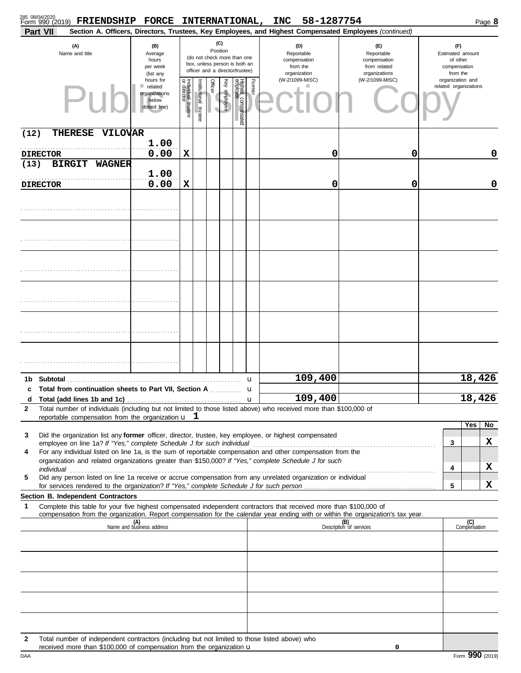|              | 285 08/04/2020<br>Form 990 (2019)<br>FRIENDSHIP FORCE INTERNATIONAL,                                                                                                                                               |                                                                |                                      |                       |                 |              |                                                                                                 |        | <b>INC</b> | 58-1287754                                                    |                                                                                                        |                                                                 | Page 8              |
|--------------|--------------------------------------------------------------------------------------------------------------------------------------------------------------------------------------------------------------------|----------------------------------------------------------------|--------------------------------------|-----------------------|-----------------|--------------|-------------------------------------------------------------------------------------------------|--------|------------|---------------------------------------------------------------|--------------------------------------------------------------------------------------------------------|-----------------------------------------------------------------|---------------------|
|              | Part VII                                                                                                                                                                                                           |                                                                |                                      |                       |                 |              |                                                                                                 |        |            |                                                               | Section A. Officers, Directors, Trustees, Key Employees, and Highest Compensated Employees (continued) |                                                                 |                     |
|              | (A)<br>Name and title                                                                                                                                                                                              | (B)<br>Average<br>hours<br>per week<br>(list any               |                                      |                       | (C)<br>Position |              | (do not check more than one<br>box, unless person is both an<br>officer and a director/trustee) |        |            | (D)<br>Reportable<br>compensation<br>from the<br>organization | (F)<br>Reportable<br>compensation<br>from related<br>organizations                                     | (F)<br>Estimated amount<br>of other<br>compensation<br>from the |                     |
|              |                                                                                                                                                                                                                    | hours for<br>related<br>organizations<br>below<br>dotted line) | Individual<br>or director<br>trustee | Institutional trustee | <b>Officer</b>  | Key employee | Highest compensated<br>employee                                                                 | Former |            | (W-2/1099-MISC)                                               | (W-2/1099-MISC)                                                                                        | organization and<br>related organizations                       |                     |
| (12)         | <b>THERESE</b><br><b>VILOVAR</b>                                                                                                                                                                                   | 1.00                                                           |                                      |                       |                 |              |                                                                                                 |        |            |                                                               |                                                                                                        |                                                                 |                     |
| (13)         | <b>DIRECTOR</b><br><b>BIRGIT</b><br><b>WAGNER</b>                                                                                                                                                                  | 0.00                                                           | X                                    |                       |                 |              |                                                                                                 |        |            | 0                                                             | 0                                                                                                      |                                                                 | 0                   |
|              |                                                                                                                                                                                                                    | 1.00                                                           |                                      |                       |                 |              |                                                                                                 |        |            |                                                               |                                                                                                        |                                                                 |                     |
|              | <b>DIRECTOR</b>                                                                                                                                                                                                    | 0.00                                                           | X                                    |                       |                 |              |                                                                                                 |        |            | 0                                                             | 0                                                                                                      |                                                                 | 0                   |
|              |                                                                                                                                                                                                                    |                                                                |                                      |                       |                 |              |                                                                                                 |        |            |                                                               |                                                                                                        |                                                                 |                     |
|              |                                                                                                                                                                                                                    |                                                                |                                      |                       |                 |              |                                                                                                 |        |            |                                                               |                                                                                                        |                                                                 |                     |
|              |                                                                                                                                                                                                                    |                                                                |                                      |                       |                 |              |                                                                                                 |        |            |                                                               |                                                                                                        |                                                                 |                     |
|              |                                                                                                                                                                                                                    |                                                                |                                      |                       |                 |              |                                                                                                 |        |            |                                                               |                                                                                                        |                                                                 |                     |
|              |                                                                                                                                                                                                                    |                                                                |                                      |                       |                 |              |                                                                                                 |        |            |                                                               |                                                                                                        |                                                                 |                     |
|              |                                                                                                                                                                                                                    |                                                                |                                      |                       |                 |              |                                                                                                 |        |            |                                                               |                                                                                                        |                                                                 |                     |
|              | 1b Subtotal                                                                                                                                                                                                        |                                                                |                                      |                       |                 |              |                                                                                                 | u      |            | 109,400                                                       |                                                                                                        |                                                                 | 18,426              |
| c<br>d       | Total from continuation sheets to Part VII, Section A                                                                                                                                                              |                                                                |                                      |                       |                 |              |                                                                                                 | u      |            | 109,400                                                       |                                                                                                        |                                                                 | 18,426              |
| $\mathbf{2}$ | Total number of individuals (including but not limited to those listed above) who received more than \$100,000 of<br>reportable compensation from the organization $\mathbf{u} \quad \mathbf{\mathbf{\mathbf{I}}}$ |                                                                |                                      |                       |                 |              |                                                                                                 |        |            |                                                               |                                                                                                        |                                                                 |                     |
| 3            | Did the organization list any former officer, director, trustee, key employee, or highest compensated                                                                                                              |                                                                |                                      |                       |                 |              |                                                                                                 |        |            |                                                               |                                                                                                        |                                                                 | Yes<br>No           |
| 4            | employee on line 1a? If "Yes," complete Schedule J for such individual<br>For any individual listed on line 1a, is the sum of reportable compensation and other compensation from the                              |                                                                |                                      |                       |                 |              |                                                                                                 |        |            |                                                               |                                                                                                        | 3                                                               | X                   |
|              | organization and related organizations greater than \$150,000? If "Yes," complete Schedule J for such                                                                                                              |                                                                |                                      |                       |                 |              |                                                                                                 |        |            |                                                               |                                                                                                        | 4                                                               | X                   |
| 5            | Did any person listed on line 1a receive or accrue compensation from any unrelated organization or individual                                                                                                      |                                                                |                                      |                       |                 |              |                                                                                                 |        |            |                                                               |                                                                                                        | 5                                                               | X                   |
| 1            | Section B. Independent Contractors<br>Complete this table for your five highest compensated independent contractors that received more than \$100,000 of                                                           |                                                                |                                      |                       |                 |              |                                                                                                 |        |            |                                                               |                                                                                                        |                                                                 |                     |
|              | compensation from the organization. Report compensation for the calendar year ending with or within the organization's tax year.                                                                                   | (A)<br>Name and business address                               |                                      |                       |                 |              |                                                                                                 |        |            |                                                               | (B)<br>Description of services                                                                         |                                                                 | (C)<br>Compensation |
|              |                                                                                                                                                                                                                    |                                                                |                                      |                       |                 |              |                                                                                                 |        |            |                                                               |                                                                                                        |                                                                 |                     |
|              |                                                                                                                                                                                                                    |                                                                |                                      |                       |                 |              |                                                                                                 |        |            |                                                               |                                                                                                        |                                                                 |                     |
|              |                                                                                                                                                                                                                    |                                                                |                                      |                       |                 |              |                                                                                                 |        |            |                                                               |                                                                                                        |                                                                 |                     |
|              |                                                                                                                                                                                                                    |                                                                |                                      |                       |                 |              |                                                                                                 |        |            |                                                               |                                                                                                        |                                                                 |                     |
|              |                                                                                                                                                                                                                    |                                                                |                                      |                       |                 |              |                                                                                                 |        |            |                                                               |                                                                                                        |                                                                 |                     |
| 2            | Total number of independent contractors (including but not limited to those listed above) who<br>received more than \$100,000 of compensation from the organization $\mathbf u$                                    |                                                                |                                      |                       |                 |              |                                                                                                 |        |            |                                                               | 0                                                                                                      |                                                                 |                     |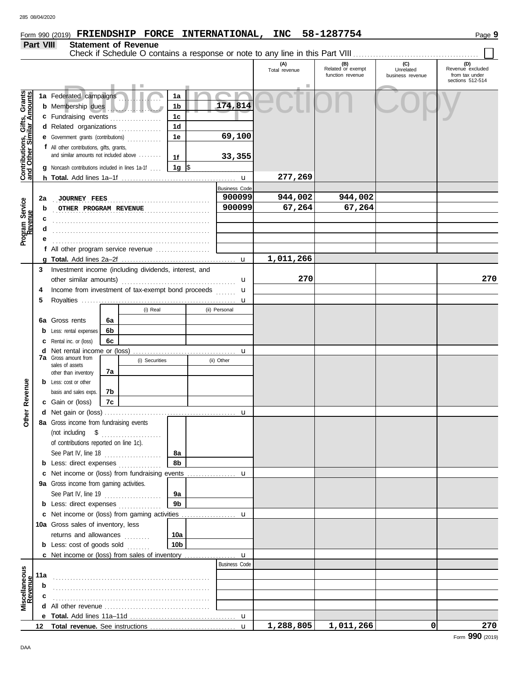## **Part VIII Statement of Revenue**

|                                                                  |     |                                                                                     |          |                |                 |  |                      | Check if Schedule O contains a response or note to any line in this Part VIII |                                              |                                      |                                                               |
|------------------------------------------------------------------|-----|-------------------------------------------------------------------------------------|----------|----------------|-----------------|--|----------------------|-------------------------------------------------------------------------------|----------------------------------------------|--------------------------------------|---------------------------------------------------------------|
|                                                                  |     |                                                                                     |          |                |                 |  |                      | (A)<br>Total revenue                                                          | (B)<br>Related or exempt<br>function revenue | (C)<br>Unrelated<br>business revenue | (D)<br>Revenue excluded<br>from tax under<br>sections 512-514 |
|                                                                  |     |                                                                                     |          |                |                 |  |                      |                                                                               |                                              |                                      |                                                               |
| <b>Contributions, Gifts, Grants</b><br>and Other Similar Amounts |     | 1a Federated campaigns                                                              |          |                | 1a              |  |                      |                                                                               |                                              |                                      |                                                               |
|                                                                  |     | <b>b</b> Membership dues<br>1b                                                      |          |                |                 |  | 174,814              |                                                                               |                                              |                                      |                                                               |
|                                                                  |     | c Fundraising events                                                                |          | .              | 1c              |  |                      |                                                                               |                                              |                                      |                                                               |
|                                                                  |     | d Related organizations                                                             |          | .              | 1 <sub>d</sub>  |  |                      |                                                                               |                                              |                                      |                                                               |
|                                                                  |     | e Government grants (contributions)                                                 |          |                | 1e              |  | 69,100               |                                                                               |                                              |                                      |                                                               |
|                                                                  |     | f All other contributions, gifts, grants,<br>and similar amounts not included above |          |                |                 |  |                      |                                                                               |                                              |                                      |                                                               |
|                                                                  |     |                                                                                     |          |                | 1f              |  | 33,355               |                                                                               |                                              |                                      |                                                               |
|                                                                  |     | Noncash contributions included in lines 1a-1f                                       |          |                | 1g  \$          |  |                      |                                                                               |                                              |                                      |                                                               |
|                                                                  |     |                                                                                     |          |                |                 |  |                      | 277,269                                                                       |                                              |                                      |                                                               |
|                                                                  |     |                                                                                     |          |                |                 |  | <b>Business Code</b> |                                                                               |                                              |                                      |                                                               |
|                                                                  | 2a  | <b>JOURNEY FEES</b>                                                                 |          |                |                 |  | 900099               | 944,002                                                                       | 944,002                                      |                                      |                                                               |
|                                                                  | b   | OTHER PROGRAM REVENUE                                                               |          |                |                 |  | 900099               | 67,264                                                                        | 67,264                                       |                                      |                                                               |
| Program Service<br>Revenue                                       | с   |                                                                                     |          |                |                 |  |                      |                                                                               |                                              |                                      |                                                               |
|                                                                  |     |                                                                                     |          |                |                 |  |                      |                                                                               |                                              |                                      |                                                               |
|                                                                  |     |                                                                                     |          |                |                 |  |                      |                                                                               |                                              |                                      |                                                               |
|                                                                  |     | f All other program service revenue                                                 |          |                |                 |  |                      |                                                                               |                                              |                                      |                                                               |
|                                                                  |     |                                                                                     |          |                |                 |  | $\mathbf u$          | 1,011,266                                                                     |                                              |                                      |                                                               |
|                                                                  | 3   | Investment income (including dividends, interest, and                               |          |                |                 |  |                      | 270                                                                           |                                              |                                      |                                                               |
|                                                                  |     | other similar amounts)                                                              |          |                |                 |  | u                    |                                                                               |                                              |                                      | 270                                                           |
|                                                                  | 4   | Income from investment of tax-exempt bond proceeds                                  |          |                |                 |  | u                    |                                                                               |                                              |                                      |                                                               |
|                                                                  | 5   |                                                                                     |          | (i) Real       |                 |  | u<br>(ii) Personal   |                                                                               |                                              |                                      |                                                               |
|                                                                  |     |                                                                                     |          |                |                 |  |                      |                                                                               |                                              |                                      |                                                               |
|                                                                  | 6а  | Gross rents                                                                         | 6a       |                |                 |  |                      |                                                                               |                                              |                                      |                                                               |
|                                                                  |     | Less: rental expenses                                                               | 6b<br>6c |                |                 |  |                      |                                                                               |                                              |                                      |                                                               |
|                                                                  |     | Rental inc. or (loss)<br>Net rental income or (loss)                                |          |                |                 |  |                      |                                                                               |                                              |                                      |                                                               |
|                                                                  | d   | <b>7a</b> Gross amount from                                                         |          | (i) Securities |                 |  | u<br>(ii) Other      |                                                                               |                                              |                                      |                                                               |
|                                                                  |     | sales of assets                                                                     | 7a       |                |                 |  |                      |                                                                               |                                              |                                      |                                                               |
|                                                                  |     | other than inventory<br><b>b</b> Less: cost or other                                |          |                |                 |  |                      |                                                                               |                                              |                                      |                                                               |
|                                                                  |     | basis and sales exps.                                                               | 7b       |                |                 |  |                      |                                                                               |                                              |                                      |                                                               |
| Revenue                                                          |     | c Gain or (loss)                                                                    | 7c       |                |                 |  |                      |                                                                               |                                              |                                      |                                                               |
|                                                                  |     |                                                                                     |          |                |                 |  | u                    |                                                                               |                                              |                                      |                                                               |
| Other                                                            |     | 8a Gross income from fundraising events                                             |          |                |                 |  |                      |                                                                               |                                              |                                      |                                                               |
|                                                                  |     |                                                                                     |          |                |                 |  |                      |                                                                               |                                              |                                      |                                                               |
|                                                                  |     | of contributions reported on line 1c).                                              |          |                |                 |  |                      |                                                                               |                                              |                                      |                                                               |
|                                                                  |     | See Part IV, line 18                                                                |          |                | 8а              |  |                      |                                                                               |                                              |                                      |                                                               |
|                                                                  |     | <b>b</b> Less: direct expenses                                                      |          |                | 8b              |  |                      |                                                                               |                                              |                                      |                                                               |
|                                                                  |     | c Net income or (loss) from fundraising events                                      |          |                |                 |  | u                    |                                                                               |                                              |                                      |                                                               |
|                                                                  |     | 9a Gross income from gaming activities.                                             |          |                |                 |  |                      |                                                                               |                                              |                                      |                                                               |
|                                                                  |     | See Part IV, line 19                                                                |          |                | 9а              |  |                      |                                                                               |                                              |                                      |                                                               |
|                                                                  |     | <b>b</b> Less: direct expenses                                                      |          |                | 9 <sub>b</sub>  |  |                      |                                                                               |                                              |                                      |                                                               |
|                                                                  |     | c Net income or (loss) from gaming activities                                       |          |                |                 |  | u                    |                                                                               |                                              |                                      |                                                               |
|                                                                  |     | 10a Gross sales of inventory, less                                                  |          |                |                 |  |                      |                                                                               |                                              |                                      |                                                               |
|                                                                  |     | returns and allowances                                                              |          |                | 10a             |  |                      |                                                                               |                                              |                                      |                                                               |
|                                                                  |     | <b>b</b> Less: cost of goods sold $\ldots$                                          |          |                | 10 <sub>b</sub> |  |                      |                                                                               |                                              |                                      |                                                               |
|                                                                  |     | <b>c</b> Net income or (loss) from sales of inventory                               |          |                |                 |  | $\mathbf{u}$         |                                                                               |                                              |                                      |                                                               |
|                                                                  |     |                                                                                     |          |                |                 |  | <b>Business Code</b> |                                                                               |                                              |                                      |                                                               |
| Miscellaneous<br>Revenue                                         | 11a |                                                                                     |          |                |                 |  |                      |                                                                               |                                              |                                      |                                                               |
|                                                                  | b   |                                                                                     |          |                |                 |  |                      |                                                                               |                                              |                                      |                                                               |
|                                                                  |     |                                                                                     |          |                |                 |  |                      |                                                                               |                                              |                                      |                                                               |
|                                                                  | d   |                                                                                     |          |                |                 |  |                      |                                                                               |                                              |                                      |                                                               |
|                                                                  |     |                                                                                     |          |                |                 |  |                      |                                                                               |                                              |                                      |                                                               |
|                                                                  | 12  |                                                                                     |          |                |                 |  | $\mathbf{u}$         | 1,288,805                                                                     | 1,011,266                                    | 0                                    | 270                                                           |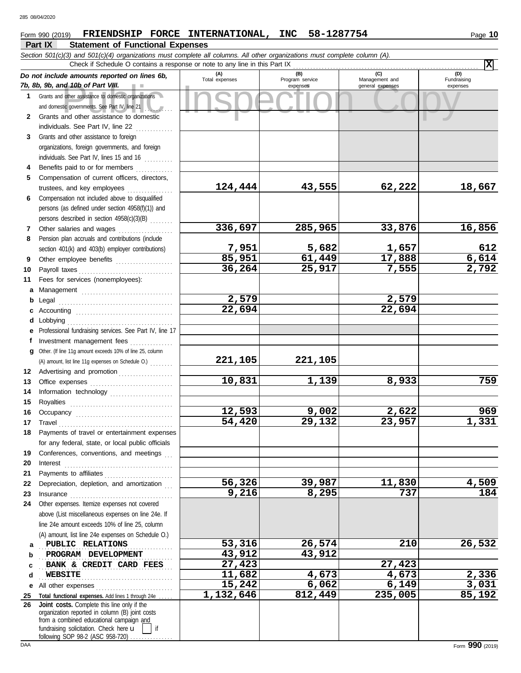### **Part IX Statement of Functional Expenses** Form 990 (2019) Page **10 FRIENDSHIP FORCE INTERNATIONAL, INC 58-1287754**

|              | Section 501(c)(3) and 501(c)(4) organizations must complete all columns. All other organizations must complete column (A).                                                                                                                                                                                                                                                                                                                                                    |                        |                                    |                                           |                                |  |  |  |  |  |  |  |
|--------------|-------------------------------------------------------------------------------------------------------------------------------------------------------------------------------------------------------------------------------------------------------------------------------------------------------------------------------------------------------------------------------------------------------------------------------------------------------------------------------|------------------------|------------------------------------|-------------------------------------------|--------------------------------|--|--|--|--|--|--|--|
|              | Check if Schedule O contains a response or note to any line in this Part IX                                                                                                                                                                                                                                                                                                                                                                                                   |                        |                                    |                                           | x                              |  |  |  |  |  |  |  |
|              | Do not include amounts reported on lines 6b,<br>7b, 8b, 9b, and 10b of Part VIII.                                                                                                                                                                                                                                                                                                                                                                                             | (A)<br>Total expenses  | (B)<br>Program service<br>expenses | (C)<br>Management and<br>general expenses | (D)<br>Fundraising<br>expenses |  |  |  |  |  |  |  |
| $\mathbf{1}$ | Grants and other assistance to domestic organizations                                                                                                                                                                                                                                                                                                                                                                                                                         |                        |                                    |                                           |                                |  |  |  |  |  |  |  |
|              | and domestic governments. See Part IV, line 21                                                                                                                                                                                                                                                                                                                                                                                                                                |                        |                                    |                                           |                                |  |  |  |  |  |  |  |
| $\mathbf{2}$ | Grants and other assistance to domestic                                                                                                                                                                                                                                                                                                                                                                                                                                       |                        |                                    |                                           |                                |  |  |  |  |  |  |  |
|              | individuals. See Part IV, line 22                                                                                                                                                                                                                                                                                                                                                                                                                                             |                        |                                    |                                           |                                |  |  |  |  |  |  |  |
| 3            | Grants and other assistance to foreign                                                                                                                                                                                                                                                                                                                                                                                                                                        |                        |                                    |                                           |                                |  |  |  |  |  |  |  |
|              | organizations, foreign governments, and foreign                                                                                                                                                                                                                                                                                                                                                                                                                               |                        |                                    |                                           |                                |  |  |  |  |  |  |  |
|              | individuals. See Part IV, lines 15 and 16                                                                                                                                                                                                                                                                                                                                                                                                                                     |                        |                                    |                                           |                                |  |  |  |  |  |  |  |
| 4            | Benefits paid to or for members<br>.                                                                                                                                                                                                                                                                                                                                                                                                                                          |                        |                                    |                                           |                                |  |  |  |  |  |  |  |
| 5            | Compensation of current officers, directors,                                                                                                                                                                                                                                                                                                                                                                                                                                  |                        |                                    |                                           |                                |  |  |  |  |  |  |  |
|              | trustees, and key employees                                                                                                                                                                                                                                                                                                                                                                                                                                                   | 124,444                | 43,555                             | 62,222                                    | 18,667                         |  |  |  |  |  |  |  |
| 6            | Compensation not included above to disqualified                                                                                                                                                                                                                                                                                                                                                                                                                               |                        |                                    |                                           |                                |  |  |  |  |  |  |  |
|              | persons (as defined under section 4958(f)(1)) and                                                                                                                                                                                                                                                                                                                                                                                                                             |                        |                                    |                                           |                                |  |  |  |  |  |  |  |
|              | persons described in section 4958(c)(3)(B)                                                                                                                                                                                                                                                                                                                                                                                                                                    |                        |                                    |                                           |                                |  |  |  |  |  |  |  |
| 7            | Other salaries and wages                                                                                                                                                                                                                                                                                                                                                                                                                                                      | 336,697                | 285,965                            | 33,876                                    | 16,856                         |  |  |  |  |  |  |  |
| 8            | Pension plan accruals and contributions (include                                                                                                                                                                                                                                                                                                                                                                                                                              |                        |                                    |                                           |                                |  |  |  |  |  |  |  |
|              | section 401(k) and 403(b) employer contributions)                                                                                                                                                                                                                                                                                                                                                                                                                             | $\frac{7,951}{85,951}$ | 5,682                              | 1,657                                     | 612                            |  |  |  |  |  |  |  |
| 9            | Other employee benefits                                                                                                                                                                                                                                                                                                                                                                                                                                                       |                        | 61,449                             | 17,888                                    | 6,614                          |  |  |  |  |  |  |  |
| 10           |                                                                                                                                                                                                                                                                                                                                                                                                                                                                               | 36, 264                | 25,917                             | 7,555                                     | 2,792                          |  |  |  |  |  |  |  |
| 11           | Fees for services (nonemployees):                                                                                                                                                                                                                                                                                                                                                                                                                                             |                        |                                    |                                           |                                |  |  |  |  |  |  |  |
| a            |                                                                                                                                                                                                                                                                                                                                                                                                                                                                               |                        |                                    |                                           |                                |  |  |  |  |  |  |  |
| b            |                                                                                                                                                                                                                                                                                                                                                                                                                                                                               | 2,579                  |                                    | 2,579                                     |                                |  |  |  |  |  |  |  |
| c            |                                                                                                                                                                                                                                                                                                                                                                                                                                                                               | 22,694                 |                                    | 22,694                                    |                                |  |  |  |  |  |  |  |
| d            | Lobbying                                                                                                                                                                                                                                                                                                                                                                                                                                                                      |                        |                                    |                                           |                                |  |  |  |  |  |  |  |
| е            | Professional fundraising services. See Part IV, line 17                                                                                                                                                                                                                                                                                                                                                                                                                       |                        |                                    |                                           |                                |  |  |  |  |  |  |  |
| f            | Investment management fees                                                                                                                                                                                                                                                                                                                                                                                                                                                    |                        |                                    |                                           |                                |  |  |  |  |  |  |  |
| a            | Other. (If line 11g amount exceeds 10% of line 25, column                                                                                                                                                                                                                                                                                                                                                                                                                     |                        |                                    |                                           |                                |  |  |  |  |  |  |  |
|              | (A) amount, list line 11g expenses on Schedule O.)                                                                                                                                                                                                                                                                                                                                                                                                                            | 221,105                | 221,105                            |                                           |                                |  |  |  |  |  |  |  |
| 12           | Advertising and promotion                                                                                                                                                                                                                                                                                                                                                                                                                                                     |                        |                                    |                                           |                                |  |  |  |  |  |  |  |
| 13           |                                                                                                                                                                                                                                                                                                                                                                                                                                                                               | 10,831                 | 1,139                              | 8,933                                     | 759                            |  |  |  |  |  |  |  |
| 14           | Information technology                                                                                                                                                                                                                                                                                                                                                                                                                                                        |                        |                                    |                                           |                                |  |  |  |  |  |  |  |
| 15           |                                                                                                                                                                                                                                                                                                                                                                                                                                                                               |                        | 9,002                              |                                           | 969                            |  |  |  |  |  |  |  |
| 16           |                                                                                                                                                                                                                                                                                                                                                                                                                                                                               | 12,593<br>54,420       | 29,132                             | 2,622<br>23,957                           | 1,331                          |  |  |  |  |  |  |  |
| 17           | $\begin{minipage}{0.5\textwidth} \centering \begin{tabular}{ c c c c } \hline \textbf{Travel} & \textbf{if} & \textbf{if} & \textbf{if} \\ \hline \textbf{if} & \textbf{if} & \textbf{if} & \textbf{if} \\ \hline \textbf{if} & \textbf{if} & \textbf{if} & \textbf{if} \\ \hline \textbf{if} & \textbf{if} & \textbf{if} & \textbf{if} \\ \hline \textbf{if} & \textbf{if} & \textbf{if} & \textbf{if} \\ \hline \textbf{if} & \textbf{if} & \textbf{if} & \textbf{if} \\ \$ |                        |                                    |                                           |                                |  |  |  |  |  |  |  |
| 18           | Payments of travel or entertainment expenses                                                                                                                                                                                                                                                                                                                                                                                                                                  |                        |                                    |                                           |                                |  |  |  |  |  |  |  |
| 19           | for any federal, state, or local public officials<br>Conferences, conventions, and meetings                                                                                                                                                                                                                                                                                                                                                                                   |                        |                                    |                                           |                                |  |  |  |  |  |  |  |
| 20           | Interest                                                                                                                                                                                                                                                                                                                                                                                                                                                                      |                        |                                    |                                           |                                |  |  |  |  |  |  |  |
| 21           |                                                                                                                                                                                                                                                                                                                                                                                                                                                                               |                        |                                    |                                           |                                |  |  |  |  |  |  |  |
| 22           | Depreciation, depletion, and amortization                                                                                                                                                                                                                                                                                                                                                                                                                                     | 56,326                 | 39,987                             | 11,830                                    | 4,509                          |  |  |  |  |  |  |  |
| 23           | Insurance                                                                                                                                                                                                                                                                                                                                                                                                                                                                     | 9,216                  | 8,295                              | 737                                       | 184                            |  |  |  |  |  |  |  |
| 24           | Other expenses. Itemize expenses not covered                                                                                                                                                                                                                                                                                                                                                                                                                                  |                        |                                    |                                           |                                |  |  |  |  |  |  |  |
|              | above (List miscellaneous expenses on line 24e. If                                                                                                                                                                                                                                                                                                                                                                                                                            |                        |                                    |                                           |                                |  |  |  |  |  |  |  |
|              | line 24e amount exceeds 10% of line 25, column                                                                                                                                                                                                                                                                                                                                                                                                                                |                        |                                    |                                           |                                |  |  |  |  |  |  |  |
|              | (A) amount, list line 24e expenses on Schedule O.)                                                                                                                                                                                                                                                                                                                                                                                                                            |                        |                                    |                                           |                                |  |  |  |  |  |  |  |
| a            | PUBLIC RELATIONS                                                                                                                                                                                                                                                                                                                                                                                                                                                              | 53,316                 | 26,574                             | 210                                       | 26, 532                        |  |  |  |  |  |  |  |
| b            | PROGRAM DEVELOPMENT                                                                                                                                                                                                                                                                                                                                                                                                                                                           | 43,912                 | 43,912                             |                                           |                                |  |  |  |  |  |  |  |
| c            | BANK & CREDIT CARD FEES                                                                                                                                                                                                                                                                                                                                                                                                                                                       | 27,423                 |                                    | 27,423                                    |                                |  |  |  |  |  |  |  |
| d            | <b>WEBSITE</b>                                                                                                                                                                                                                                                                                                                                                                                                                                                                | 11,682                 | 4,673                              | 4,673                                     | 2,336                          |  |  |  |  |  |  |  |
| е            |                                                                                                                                                                                                                                                                                                                                                                                                                                                                               | 15,242                 | 6,062                              | 6,149                                     | 3,031                          |  |  |  |  |  |  |  |
| 25           | Total functional expenses. Add lines 1 through 24e                                                                                                                                                                                                                                                                                                                                                                                                                            | 1,132,646              | 812,449                            | 235,005                                   | 85,192                         |  |  |  |  |  |  |  |
| 26           | Joint costs. Complete this line only if the<br>organization reported in column (B) joint costs                                                                                                                                                                                                                                                                                                                                                                                |                        |                                    |                                           |                                |  |  |  |  |  |  |  |
|              | from a combined educational campaign and                                                                                                                                                                                                                                                                                                                                                                                                                                      |                        |                                    |                                           |                                |  |  |  |  |  |  |  |
|              | fundraising solicitation. Check here u<br>if                                                                                                                                                                                                                                                                                                                                                                                                                                  |                        |                                    |                                           |                                |  |  |  |  |  |  |  |
|              | following SOP 98-2 (ASC 958-720)                                                                                                                                                                                                                                                                                                                                                                                                                                              |                        |                                    |                                           |                                |  |  |  |  |  |  |  |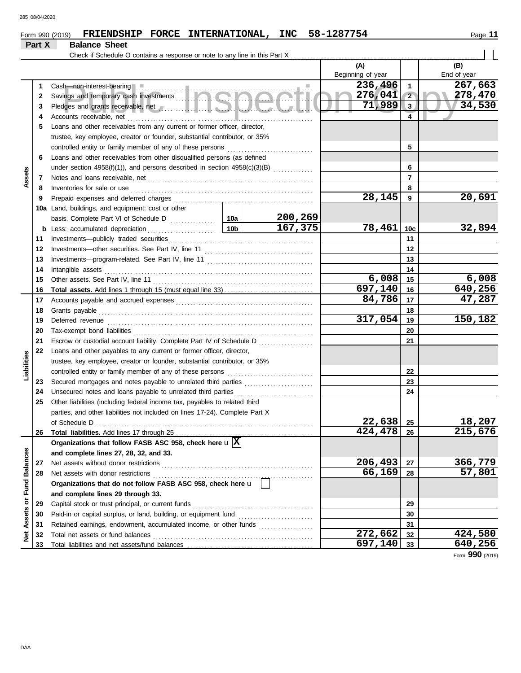#### Form 990 (2019) FRIENDSHIP FORCE INTERNATIONAL, INC 58-1287754 Page 11 **FRIENDSHIP FORCE INTERNATIONAL, INC 58-1287754**

| Check if Schedule O contains a response or note to any line in this Part X.<br>(A)<br>(B)<br>Beginning of year<br>End of year<br>236,496<br>267,663<br>$\mathbf{1}$<br>1<br>276,041<br>$\overline{2}$<br>278,470<br>2<br>71,989<br>34,530<br>$\overline{3}$<br>3<br>4<br>Accounts receivable, net<br>4<br>Loans and other receivables from any current or former officer, director,<br>5<br>trustee, key employee, creator or founder, substantial contributor, or 35%<br>controlled entity or family member of any of these persons<br>5<br>Loans and other receivables from other disqualified persons (as defined<br>6<br>under section $4958(f)(1)$ ), and persons described in section $4958(c)(3)(B)$<br>6<br>Assets<br>$\overline{7}$<br>7<br>8<br>Inventories for sale or use<br>8<br>28,145<br>20,691<br>9<br>Prepaid expenses and deferred charges<br>9<br>Land, buildings, and equipment: cost or other<br>10a<br>200,269<br>10a<br>167,375<br>78,461<br>32,894<br>10 <sub>b</sub><br>10 <sub>c</sub><br>Less: accumulated depreciation<br>b<br>Investments-publicly traded securities<br>11<br>11<br>12<br>12<br>13<br>13<br>14<br>Intangible assets<br>14<br>6,008<br>6,008<br>15<br>Other assets. See Part IV, line 11<br>15<br>$\sqrt{697}$ , 140<br>640,256<br>16<br>16<br>47,287<br>84,786<br>17<br>17<br>18<br>Grants payable<br>18<br>317,054<br>150,182<br>19<br>Deferred revenue<br>19<br>20<br>20<br>Tax-exempt bond liabilities<br>21<br>21<br>Escrow or custodial account liability. Complete Part IV of Schedule D<br>22<br>Loans and other payables to any current or former officer, director,<br>Liabilities<br>trustee, key employee, creator or founder, substantial contributor, or 35%<br>22<br>controlled entity or family member of any of these persons<br>23<br>Secured mortgages and notes payable to unrelated third parties<br>23<br>Unsecured notes and loans payable to unrelated third parties<br>24<br>24<br>25<br>Other liabilities (including federal income tax, payables to related third<br>parties, and other liabilities not included on lines 17-24). Complete Part X<br>22,638<br>18,207<br>25<br>of Schedule D<br>215,676<br>424,478<br>26<br>26<br>Organizations that follow FASB ASC 958, check here $\mathbf{u} \overline{X}$<br>Assets or Fund Balances<br>and complete lines 27, 28, 32, and 33.<br>206,493<br>366,779<br>Net assets without donor restrictions<br>27<br>27<br>66,169<br>57,801<br>28<br>Net assets with donor restrictions<br>28<br>Organizations that do not follow FASB ASC 958, check here u<br>and complete lines 29 through 33.<br>29<br>29<br>30<br>30<br>Retained earnings, endowment, accumulated income, or other funds<br>31<br>31<br>272,662<br>424,580<br>Net<br>Total net assets or fund balances<br>32<br>32<br>640,256<br>697,140<br>33<br>33 |  | Part X | <b>Balance Sheet</b> |  |  |  |  |
|-----------------------------------------------------------------------------------------------------------------------------------------------------------------------------------------------------------------------------------------------------------------------------------------------------------------------------------------------------------------------------------------------------------------------------------------------------------------------------------------------------------------------------------------------------------------------------------------------------------------------------------------------------------------------------------------------------------------------------------------------------------------------------------------------------------------------------------------------------------------------------------------------------------------------------------------------------------------------------------------------------------------------------------------------------------------------------------------------------------------------------------------------------------------------------------------------------------------------------------------------------------------------------------------------------------------------------------------------------------------------------------------------------------------------------------------------------------------------------------------------------------------------------------------------------------------------------------------------------------------------------------------------------------------------------------------------------------------------------------------------------------------------------------------------------------------------------------------------------------------------------------------------------------------------------------------------------------------------------------------------------------------------------------------------------------------------------------------------------------------------------------------------------------------------------------------------------------------------------------------------------------------------------------------------------------------------------------------------------------------------------------------------------------------------------------------------------------------------------------------------------------------------------------------------------------------------------------------------------------------------------------------------------------------------------------------------------------------------------------------------------------------------------------------------------------------------------------------|--|--------|----------------------|--|--|--|--|
|                                                                                                                                                                                                                                                                                                                                                                                                                                                                                                                                                                                                                                                                                                                                                                                                                                                                                                                                                                                                                                                                                                                                                                                                                                                                                                                                                                                                                                                                                                                                                                                                                                                                                                                                                                                                                                                                                                                                                                                                                                                                                                                                                                                                                                                                                                                                                                                                                                                                                                                                                                                                                                                                                                                                                                                                                                         |  |        |                      |  |  |  |  |
|                                                                                                                                                                                                                                                                                                                                                                                                                                                                                                                                                                                                                                                                                                                                                                                                                                                                                                                                                                                                                                                                                                                                                                                                                                                                                                                                                                                                                                                                                                                                                                                                                                                                                                                                                                                                                                                                                                                                                                                                                                                                                                                                                                                                                                                                                                                                                                                                                                                                                                                                                                                                                                                                                                                                                                                                                                         |  |        |                      |  |  |  |  |
|                                                                                                                                                                                                                                                                                                                                                                                                                                                                                                                                                                                                                                                                                                                                                                                                                                                                                                                                                                                                                                                                                                                                                                                                                                                                                                                                                                                                                                                                                                                                                                                                                                                                                                                                                                                                                                                                                                                                                                                                                                                                                                                                                                                                                                                                                                                                                                                                                                                                                                                                                                                                                                                                                                                                                                                                                                         |  |        |                      |  |  |  |  |
|                                                                                                                                                                                                                                                                                                                                                                                                                                                                                                                                                                                                                                                                                                                                                                                                                                                                                                                                                                                                                                                                                                                                                                                                                                                                                                                                                                                                                                                                                                                                                                                                                                                                                                                                                                                                                                                                                                                                                                                                                                                                                                                                                                                                                                                                                                                                                                                                                                                                                                                                                                                                                                                                                                                                                                                                                                         |  |        |                      |  |  |  |  |
|                                                                                                                                                                                                                                                                                                                                                                                                                                                                                                                                                                                                                                                                                                                                                                                                                                                                                                                                                                                                                                                                                                                                                                                                                                                                                                                                                                                                                                                                                                                                                                                                                                                                                                                                                                                                                                                                                                                                                                                                                                                                                                                                                                                                                                                                                                                                                                                                                                                                                                                                                                                                                                                                                                                                                                                                                                         |  |        |                      |  |  |  |  |
|                                                                                                                                                                                                                                                                                                                                                                                                                                                                                                                                                                                                                                                                                                                                                                                                                                                                                                                                                                                                                                                                                                                                                                                                                                                                                                                                                                                                                                                                                                                                                                                                                                                                                                                                                                                                                                                                                                                                                                                                                                                                                                                                                                                                                                                                                                                                                                                                                                                                                                                                                                                                                                                                                                                                                                                                                                         |  |        |                      |  |  |  |  |
|                                                                                                                                                                                                                                                                                                                                                                                                                                                                                                                                                                                                                                                                                                                                                                                                                                                                                                                                                                                                                                                                                                                                                                                                                                                                                                                                                                                                                                                                                                                                                                                                                                                                                                                                                                                                                                                                                                                                                                                                                                                                                                                                                                                                                                                                                                                                                                                                                                                                                                                                                                                                                                                                                                                                                                                                                                         |  |        |                      |  |  |  |  |
|                                                                                                                                                                                                                                                                                                                                                                                                                                                                                                                                                                                                                                                                                                                                                                                                                                                                                                                                                                                                                                                                                                                                                                                                                                                                                                                                                                                                                                                                                                                                                                                                                                                                                                                                                                                                                                                                                                                                                                                                                                                                                                                                                                                                                                                                                                                                                                                                                                                                                                                                                                                                                                                                                                                                                                                                                                         |  |        |                      |  |  |  |  |
|                                                                                                                                                                                                                                                                                                                                                                                                                                                                                                                                                                                                                                                                                                                                                                                                                                                                                                                                                                                                                                                                                                                                                                                                                                                                                                                                                                                                                                                                                                                                                                                                                                                                                                                                                                                                                                                                                                                                                                                                                                                                                                                                                                                                                                                                                                                                                                                                                                                                                                                                                                                                                                                                                                                                                                                                                                         |  |        |                      |  |  |  |  |
|                                                                                                                                                                                                                                                                                                                                                                                                                                                                                                                                                                                                                                                                                                                                                                                                                                                                                                                                                                                                                                                                                                                                                                                                                                                                                                                                                                                                                                                                                                                                                                                                                                                                                                                                                                                                                                                                                                                                                                                                                                                                                                                                                                                                                                                                                                                                                                                                                                                                                                                                                                                                                                                                                                                                                                                                                                         |  |        |                      |  |  |  |  |
|                                                                                                                                                                                                                                                                                                                                                                                                                                                                                                                                                                                                                                                                                                                                                                                                                                                                                                                                                                                                                                                                                                                                                                                                                                                                                                                                                                                                                                                                                                                                                                                                                                                                                                                                                                                                                                                                                                                                                                                                                                                                                                                                                                                                                                                                                                                                                                                                                                                                                                                                                                                                                                                                                                                                                                                                                                         |  |        |                      |  |  |  |  |
|                                                                                                                                                                                                                                                                                                                                                                                                                                                                                                                                                                                                                                                                                                                                                                                                                                                                                                                                                                                                                                                                                                                                                                                                                                                                                                                                                                                                                                                                                                                                                                                                                                                                                                                                                                                                                                                                                                                                                                                                                                                                                                                                                                                                                                                                                                                                                                                                                                                                                                                                                                                                                                                                                                                                                                                                                                         |  |        |                      |  |  |  |  |
|                                                                                                                                                                                                                                                                                                                                                                                                                                                                                                                                                                                                                                                                                                                                                                                                                                                                                                                                                                                                                                                                                                                                                                                                                                                                                                                                                                                                                                                                                                                                                                                                                                                                                                                                                                                                                                                                                                                                                                                                                                                                                                                                                                                                                                                                                                                                                                                                                                                                                                                                                                                                                                                                                                                                                                                                                                         |  |        |                      |  |  |  |  |
|                                                                                                                                                                                                                                                                                                                                                                                                                                                                                                                                                                                                                                                                                                                                                                                                                                                                                                                                                                                                                                                                                                                                                                                                                                                                                                                                                                                                                                                                                                                                                                                                                                                                                                                                                                                                                                                                                                                                                                                                                                                                                                                                                                                                                                                                                                                                                                                                                                                                                                                                                                                                                                                                                                                                                                                                                                         |  |        |                      |  |  |  |  |
|                                                                                                                                                                                                                                                                                                                                                                                                                                                                                                                                                                                                                                                                                                                                                                                                                                                                                                                                                                                                                                                                                                                                                                                                                                                                                                                                                                                                                                                                                                                                                                                                                                                                                                                                                                                                                                                                                                                                                                                                                                                                                                                                                                                                                                                                                                                                                                                                                                                                                                                                                                                                                                                                                                                                                                                                                                         |  |        |                      |  |  |  |  |
|                                                                                                                                                                                                                                                                                                                                                                                                                                                                                                                                                                                                                                                                                                                                                                                                                                                                                                                                                                                                                                                                                                                                                                                                                                                                                                                                                                                                                                                                                                                                                                                                                                                                                                                                                                                                                                                                                                                                                                                                                                                                                                                                                                                                                                                                                                                                                                                                                                                                                                                                                                                                                                                                                                                                                                                                                                         |  |        |                      |  |  |  |  |
|                                                                                                                                                                                                                                                                                                                                                                                                                                                                                                                                                                                                                                                                                                                                                                                                                                                                                                                                                                                                                                                                                                                                                                                                                                                                                                                                                                                                                                                                                                                                                                                                                                                                                                                                                                                                                                                                                                                                                                                                                                                                                                                                                                                                                                                                                                                                                                                                                                                                                                                                                                                                                                                                                                                                                                                                                                         |  |        |                      |  |  |  |  |
|                                                                                                                                                                                                                                                                                                                                                                                                                                                                                                                                                                                                                                                                                                                                                                                                                                                                                                                                                                                                                                                                                                                                                                                                                                                                                                                                                                                                                                                                                                                                                                                                                                                                                                                                                                                                                                                                                                                                                                                                                                                                                                                                                                                                                                                                                                                                                                                                                                                                                                                                                                                                                                                                                                                                                                                                                                         |  |        |                      |  |  |  |  |
|                                                                                                                                                                                                                                                                                                                                                                                                                                                                                                                                                                                                                                                                                                                                                                                                                                                                                                                                                                                                                                                                                                                                                                                                                                                                                                                                                                                                                                                                                                                                                                                                                                                                                                                                                                                                                                                                                                                                                                                                                                                                                                                                                                                                                                                                                                                                                                                                                                                                                                                                                                                                                                                                                                                                                                                                                                         |  |        |                      |  |  |  |  |
|                                                                                                                                                                                                                                                                                                                                                                                                                                                                                                                                                                                                                                                                                                                                                                                                                                                                                                                                                                                                                                                                                                                                                                                                                                                                                                                                                                                                                                                                                                                                                                                                                                                                                                                                                                                                                                                                                                                                                                                                                                                                                                                                                                                                                                                                                                                                                                                                                                                                                                                                                                                                                                                                                                                                                                                                                                         |  |        |                      |  |  |  |  |
|                                                                                                                                                                                                                                                                                                                                                                                                                                                                                                                                                                                                                                                                                                                                                                                                                                                                                                                                                                                                                                                                                                                                                                                                                                                                                                                                                                                                                                                                                                                                                                                                                                                                                                                                                                                                                                                                                                                                                                                                                                                                                                                                                                                                                                                                                                                                                                                                                                                                                                                                                                                                                                                                                                                                                                                                                                         |  |        |                      |  |  |  |  |
|                                                                                                                                                                                                                                                                                                                                                                                                                                                                                                                                                                                                                                                                                                                                                                                                                                                                                                                                                                                                                                                                                                                                                                                                                                                                                                                                                                                                                                                                                                                                                                                                                                                                                                                                                                                                                                                                                                                                                                                                                                                                                                                                                                                                                                                                                                                                                                                                                                                                                                                                                                                                                                                                                                                                                                                                                                         |  |        |                      |  |  |  |  |
|                                                                                                                                                                                                                                                                                                                                                                                                                                                                                                                                                                                                                                                                                                                                                                                                                                                                                                                                                                                                                                                                                                                                                                                                                                                                                                                                                                                                                                                                                                                                                                                                                                                                                                                                                                                                                                                                                                                                                                                                                                                                                                                                                                                                                                                                                                                                                                                                                                                                                                                                                                                                                                                                                                                                                                                                                                         |  |        |                      |  |  |  |  |
|                                                                                                                                                                                                                                                                                                                                                                                                                                                                                                                                                                                                                                                                                                                                                                                                                                                                                                                                                                                                                                                                                                                                                                                                                                                                                                                                                                                                                                                                                                                                                                                                                                                                                                                                                                                                                                                                                                                                                                                                                                                                                                                                                                                                                                                                                                                                                                                                                                                                                                                                                                                                                                                                                                                                                                                                                                         |  |        |                      |  |  |  |  |
|                                                                                                                                                                                                                                                                                                                                                                                                                                                                                                                                                                                                                                                                                                                                                                                                                                                                                                                                                                                                                                                                                                                                                                                                                                                                                                                                                                                                                                                                                                                                                                                                                                                                                                                                                                                                                                                                                                                                                                                                                                                                                                                                                                                                                                                                                                                                                                                                                                                                                                                                                                                                                                                                                                                                                                                                                                         |  |        |                      |  |  |  |  |
|                                                                                                                                                                                                                                                                                                                                                                                                                                                                                                                                                                                                                                                                                                                                                                                                                                                                                                                                                                                                                                                                                                                                                                                                                                                                                                                                                                                                                                                                                                                                                                                                                                                                                                                                                                                                                                                                                                                                                                                                                                                                                                                                                                                                                                                                                                                                                                                                                                                                                                                                                                                                                                                                                                                                                                                                                                         |  |        |                      |  |  |  |  |
|                                                                                                                                                                                                                                                                                                                                                                                                                                                                                                                                                                                                                                                                                                                                                                                                                                                                                                                                                                                                                                                                                                                                                                                                                                                                                                                                                                                                                                                                                                                                                                                                                                                                                                                                                                                                                                                                                                                                                                                                                                                                                                                                                                                                                                                                                                                                                                                                                                                                                                                                                                                                                                                                                                                                                                                                                                         |  |        |                      |  |  |  |  |
|                                                                                                                                                                                                                                                                                                                                                                                                                                                                                                                                                                                                                                                                                                                                                                                                                                                                                                                                                                                                                                                                                                                                                                                                                                                                                                                                                                                                                                                                                                                                                                                                                                                                                                                                                                                                                                                                                                                                                                                                                                                                                                                                                                                                                                                                                                                                                                                                                                                                                                                                                                                                                                                                                                                                                                                                                                         |  |        |                      |  |  |  |  |
|                                                                                                                                                                                                                                                                                                                                                                                                                                                                                                                                                                                                                                                                                                                                                                                                                                                                                                                                                                                                                                                                                                                                                                                                                                                                                                                                                                                                                                                                                                                                                                                                                                                                                                                                                                                                                                                                                                                                                                                                                                                                                                                                                                                                                                                                                                                                                                                                                                                                                                                                                                                                                                                                                                                                                                                                                                         |  |        |                      |  |  |  |  |
|                                                                                                                                                                                                                                                                                                                                                                                                                                                                                                                                                                                                                                                                                                                                                                                                                                                                                                                                                                                                                                                                                                                                                                                                                                                                                                                                                                                                                                                                                                                                                                                                                                                                                                                                                                                                                                                                                                                                                                                                                                                                                                                                                                                                                                                                                                                                                                                                                                                                                                                                                                                                                                                                                                                                                                                                                                         |  |        |                      |  |  |  |  |
|                                                                                                                                                                                                                                                                                                                                                                                                                                                                                                                                                                                                                                                                                                                                                                                                                                                                                                                                                                                                                                                                                                                                                                                                                                                                                                                                                                                                                                                                                                                                                                                                                                                                                                                                                                                                                                                                                                                                                                                                                                                                                                                                                                                                                                                                                                                                                                                                                                                                                                                                                                                                                                                                                                                                                                                                                                         |  |        |                      |  |  |  |  |
|                                                                                                                                                                                                                                                                                                                                                                                                                                                                                                                                                                                                                                                                                                                                                                                                                                                                                                                                                                                                                                                                                                                                                                                                                                                                                                                                                                                                                                                                                                                                                                                                                                                                                                                                                                                                                                                                                                                                                                                                                                                                                                                                                                                                                                                                                                                                                                                                                                                                                                                                                                                                                                                                                                                                                                                                                                         |  |        |                      |  |  |  |  |
|                                                                                                                                                                                                                                                                                                                                                                                                                                                                                                                                                                                                                                                                                                                                                                                                                                                                                                                                                                                                                                                                                                                                                                                                                                                                                                                                                                                                                                                                                                                                                                                                                                                                                                                                                                                                                                                                                                                                                                                                                                                                                                                                                                                                                                                                                                                                                                                                                                                                                                                                                                                                                                                                                                                                                                                                                                         |  |        |                      |  |  |  |  |
|                                                                                                                                                                                                                                                                                                                                                                                                                                                                                                                                                                                                                                                                                                                                                                                                                                                                                                                                                                                                                                                                                                                                                                                                                                                                                                                                                                                                                                                                                                                                                                                                                                                                                                                                                                                                                                                                                                                                                                                                                                                                                                                                                                                                                                                                                                                                                                                                                                                                                                                                                                                                                                                                                                                                                                                                                                         |  |        |                      |  |  |  |  |
|                                                                                                                                                                                                                                                                                                                                                                                                                                                                                                                                                                                                                                                                                                                                                                                                                                                                                                                                                                                                                                                                                                                                                                                                                                                                                                                                                                                                                                                                                                                                                                                                                                                                                                                                                                                                                                                                                                                                                                                                                                                                                                                                                                                                                                                                                                                                                                                                                                                                                                                                                                                                                                                                                                                                                                                                                                         |  |        |                      |  |  |  |  |
|                                                                                                                                                                                                                                                                                                                                                                                                                                                                                                                                                                                                                                                                                                                                                                                                                                                                                                                                                                                                                                                                                                                                                                                                                                                                                                                                                                                                                                                                                                                                                                                                                                                                                                                                                                                                                                                                                                                                                                                                                                                                                                                                                                                                                                                                                                                                                                                                                                                                                                                                                                                                                                                                                                                                                                                                                                         |  |        |                      |  |  |  |  |
|                                                                                                                                                                                                                                                                                                                                                                                                                                                                                                                                                                                                                                                                                                                                                                                                                                                                                                                                                                                                                                                                                                                                                                                                                                                                                                                                                                                                                                                                                                                                                                                                                                                                                                                                                                                                                                                                                                                                                                                                                                                                                                                                                                                                                                                                                                                                                                                                                                                                                                                                                                                                                                                                                                                                                                                                                                         |  |        |                      |  |  |  |  |
|                                                                                                                                                                                                                                                                                                                                                                                                                                                                                                                                                                                                                                                                                                                                                                                                                                                                                                                                                                                                                                                                                                                                                                                                                                                                                                                                                                                                                                                                                                                                                                                                                                                                                                                                                                                                                                                                                                                                                                                                                                                                                                                                                                                                                                                                                                                                                                                                                                                                                                                                                                                                                                                                                                                                                                                                                                         |  |        |                      |  |  |  |  |
|                                                                                                                                                                                                                                                                                                                                                                                                                                                                                                                                                                                                                                                                                                                                                                                                                                                                                                                                                                                                                                                                                                                                                                                                                                                                                                                                                                                                                                                                                                                                                                                                                                                                                                                                                                                                                                                                                                                                                                                                                                                                                                                                                                                                                                                                                                                                                                                                                                                                                                                                                                                                                                                                                                                                                                                                                                         |  |        |                      |  |  |  |  |
|                                                                                                                                                                                                                                                                                                                                                                                                                                                                                                                                                                                                                                                                                                                                                                                                                                                                                                                                                                                                                                                                                                                                                                                                                                                                                                                                                                                                                                                                                                                                                                                                                                                                                                                                                                                                                                                                                                                                                                                                                                                                                                                                                                                                                                                                                                                                                                                                                                                                                                                                                                                                                                                                                                                                                                                                                                         |  |        |                      |  |  |  |  |
|                                                                                                                                                                                                                                                                                                                                                                                                                                                                                                                                                                                                                                                                                                                                                                                                                                                                                                                                                                                                                                                                                                                                                                                                                                                                                                                                                                                                                                                                                                                                                                                                                                                                                                                                                                                                                                                                                                                                                                                                                                                                                                                                                                                                                                                                                                                                                                                                                                                                                                                                                                                                                                                                                                                                                                                                                                         |  |        |                      |  |  |  |  |
|                                                                                                                                                                                                                                                                                                                                                                                                                                                                                                                                                                                                                                                                                                                                                                                                                                                                                                                                                                                                                                                                                                                                                                                                                                                                                                                                                                                                                                                                                                                                                                                                                                                                                                                                                                                                                                                                                                                                                                                                                                                                                                                                                                                                                                                                                                                                                                                                                                                                                                                                                                                                                                                                                                                                                                                                                                         |  |        |                      |  |  |  |  |
|                                                                                                                                                                                                                                                                                                                                                                                                                                                                                                                                                                                                                                                                                                                                                                                                                                                                                                                                                                                                                                                                                                                                                                                                                                                                                                                                                                                                                                                                                                                                                                                                                                                                                                                                                                                                                                                                                                                                                                                                                                                                                                                                                                                                                                                                                                                                                                                                                                                                                                                                                                                                                                                                                                                                                                                                                                         |  |        |                      |  |  |  |  |
|                                                                                                                                                                                                                                                                                                                                                                                                                                                                                                                                                                                                                                                                                                                                                                                                                                                                                                                                                                                                                                                                                                                                                                                                                                                                                                                                                                                                                                                                                                                                                                                                                                                                                                                                                                                                                                                                                                                                                                                                                                                                                                                                                                                                                                                                                                                                                                                                                                                                                                                                                                                                                                                                                                                                                                                                                                         |  |        |                      |  |  |  |  |
|                                                                                                                                                                                                                                                                                                                                                                                                                                                                                                                                                                                                                                                                                                                                                                                                                                                                                                                                                                                                                                                                                                                                                                                                                                                                                                                                                                                                                                                                                                                                                                                                                                                                                                                                                                                                                                                                                                                                                                                                                                                                                                                                                                                                                                                                                                                                                                                                                                                                                                                                                                                                                                                                                                                                                                                                                                         |  |        |                      |  |  |  |  |
|                                                                                                                                                                                                                                                                                                                                                                                                                                                                                                                                                                                                                                                                                                                                                                                                                                                                                                                                                                                                                                                                                                                                                                                                                                                                                                                                                                                                                                                                                                                                                                                                                                                                                                                                                                                                                                                                                                                                                                                                                                                                                                                                                                                                                                                                                                                                                                                                                                                                                                                                                                                                                                                                                                                                                                                                                                         |  |        |                      |  |  |  |  |
|                                                                                                                                                                                                                                                                                                                                                                                                                                                                                                                                                                                                                                                                                                                                                                                                                                                                                                                                                                                                                                                                                                                                                                                                                                                                                                                                                                                                                                                                                                                                                                                                                                                                                                                                                                                                                                                                                                                                                                                                                                                                                                                                                                                                                                                                                                                                                                                                                                                                                                                                                                                                                                                                                                                                                                                                                                         |  |        |                      |  |  |  |  |
|                                                                                                                                                                                                                                                                                                                                                                                                                                                                                                                                                                                                                                                                                                                                                                                                                                                                                                                                                                                                                                                                                                                                                                                                                                                                                                                                                                                                                                                                                                                                                                                                                                                                                                                                                                                                                                                                                                                                                                                                                                                                                                                                                                                                                                                                                                                                                                                                                                                                                                                                                                                                                                                                                                                                                                                                                                         |  |        |                      |  |  |  |  |

Form **990** (2019)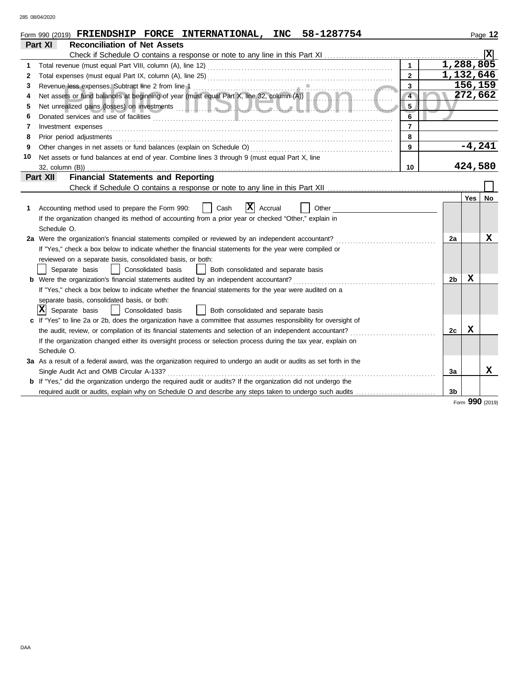285 08/04/2020

|    | 58-1287754<br>Form 990 (2019) FRIENDSHIP FORCE INTERNATIONAL, INC                                                                  |    |           | Page 12 |
|----|------------------------------------------------------------------------------------------------------------------------------------|----|-----------|---------|
|    | <b>Part XI</b><br><b>Reconciliation of Net Assets</b>                                                                              |    |           |         |
|    |                                                                                                                                    |    |           |         |
| 1  | $\mathbf{1}$                                                                                                                       |    | 1,288,805 |         |
| 2  | $\mathbf{2}$                                                                                                                       |    | 1,132,646 |         |
| 3  | $\overline{\mathbf{3}}$                                                                                                            |    | 156,159   |         |
| 4  | Net assets or fund balances at beginning of year (must equal Part X, line 32, column (A))<br>$\overline{4}$                        |    | 272,662   |         |
| 5  | 5                                                                                                                                  |    |           |         |
| 6  | 6<br>Donated services and use of facilities <b>constructs</b> and the service of the service of the services and use of facilities |    |           |         |
| 7  | Investment expenses<br>7                                                                                                           |    |           |         |
| 8  | Prior period adjustments<br>8                                                                                                      |    |           |         |
| 9  | 9                                                                                                                                  |    | $-4,241$  |         |
| 10 | Net assets or fund balances at end of year. Combine lines 3 through 9 (must equal Part X, line                                     |    |           |         |
|    | 10<br>32, column (B))                                                                                                              |    | 424,580   |         |
|    | <b>Financial Statements and Reporting</b><br>Part XII                                                                              |    |           |         |
|    |                                                                                                                                    |    |           |         |
|    |                                                                                                                                    |    | Yes       | No.     |
|    | X <br>Cash<br>Accounting method used to prepare the Form 990:<br>Accrual<br>Other                                                  |    |           |         |
|    | If the organization changed its method of accounting from a prior year or checked "Other," explain in                              |    |           |         |
|    | Schedule O.                                                                                                                        |    |           |         |
|    | 2a Were the organization's financial statements compiled or reviewed by an independent accountant?                                 | 2a |           | x       |
|    | If "Yes," check a box below to indicate whether the financial statements for the year were compiled or                             |    |           |         |
|    | reviewed on a separate basis, consolidated basis, or both:                                                                         |    |           |         |
|    | Separate basis<br>Consolidated basis<br>  Both consolidated and separate basis                                                     |    |           |         |
|    | <b>b</b> Were the organization's financial statements audited by an independent accountant?                                        | 2b | X         |         |
|    | If "Yes," check a box below to indicate whether the financial statements for the year were audited on a                            |    |           |         |
|    | separate basis, consolidated basis, or both:                                                                                       |    |           |         |
|    | X <br>Separate basis<br>Consolidated basis<br>  Both consolidated and separate basis<br>$\blacksquare$                             |    |           |         |
|    | c If "Yes" to line 2a or 2b, does the organization have a committee that assumes responsibility for oversight of                   |    |           |         |
|    | the audit, review, or compilation of its financial statements and selection of an independent accountant?                          | 2c | x         |         |
|    | If the organization changed either its oversight process or selection process during the tax year, explain on                      |    |           |         |
|    | Schedule O.                                                                                                                        |    |           |         |
|    | 3a As a result of a federal award, was the organization required to undergo an audit or audits as set forth in the                 |    |           |         |
|    | Single Audit Act and OMB Circular A-133?                                                                                           | За |           | x       |
|    | <b>b</b> If "Yes," did the organization undergo the required audit or audits? If the organization did not undergo the              |    |           |         |
|    | required audit or audits, explain why on Schedule O and describe any steps taken to undergo such audits                            | 3b |           |         |

Form **990** (2019)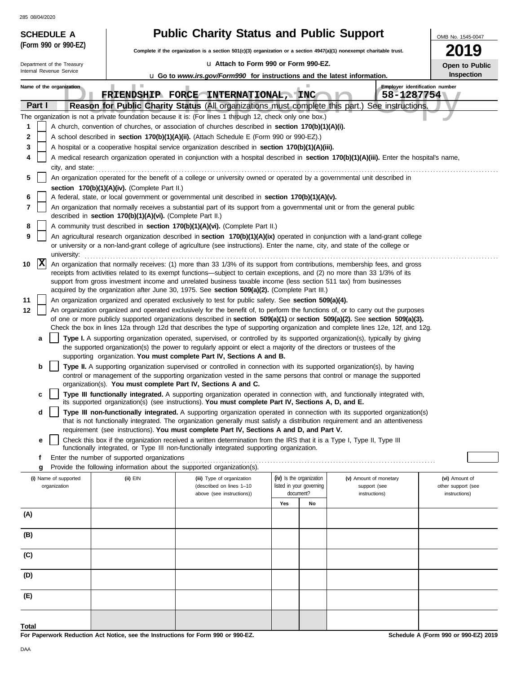285 08/04/2020

| <b>285 08/04/2020</b><br><b>Public Charity Status and Public Support</b><br><b>SCHEDULE A</b>                                                                                                                                                                  | OMB No. 1545-0047                   |
|----------------------------------------------------------------------------------------------------------------------------------------------------------------------------------------------------------------------------------------------------------------|-------------------------------------|
| (Form 990 or 990-EZ)<br>Complete if the organization is a section 501(c)(3) organization or a section 4947(a)(1) nonexempt charitable trust.                                                                                                                   | 19                                  |
| La Attach to Form 990 or Form 990-EZ.<br>Department of the Treasury                                                                                                                                                                                            |                                     |
| Internal Revenue Service<br><b>u</b> Go to www.irs.gov/Form990 for instructions and the latest information.                                                                                                                                                    | Open to Public<br><b>Inspection</b> |
| Employer identification number<br><b>The Co</b><br>Name of the organization                                                                                                                                                                                    |                                     |
| FRIENDSHIP FORCE INTERNATIONAL, INC<br>58-1287754                                                                                                                                                                                                              |                                     |
| Part I<br>Reason for Public Charity Status (All organizations must complete this part.) See instructions.                                                                                                                                                      |                                     |
| The organization is not a private foundation because it is: (For lines 1 through 12, check only one box.)                                                                                                                                                      |                                     |
| A church, convention of churches, or association of churches described in section 170(b)(1)(A)(i).<br>1<br>2<br>A school described in section 170(b)(1)(A)(ii). (Attach Schedule E (Form 990 or 990-EZ).)                                                      |                                     |
| 3<br>A hospital or a cooperative hospital service organization described in section 170(b)(1)(A)(iii).                                                                                                                                                         |                                     |
| A medical research organization operated in conjunction with a hospital described in section 170(b)(1)(A)(iii). Enter the hospital's name,<br>4                                                                                                                |                                     |
| city, and state:                                                                                                                                                                                                                                               |                                     |
| 5<br>An organization operated for the benefit of a college or university owned or operated by a governmental unit described in                                                                                                                                 |                                     |
| section 170(b)(1)(A)(iv). (Complete Part II.)                                                                                                                                                                                                                  |                                     |
| A federal, state, or local government or governmental unit described in section 170(b)(1)(A)(v).<br>6<br>7<br>An organization that normally receives a substantial part of its support from a governmental unit or from the general public                     |                                     |
| described in section 170(b)(1)(A)(vi). (Complete Part II.)                                                                                                                                                                                                     |                                     |
| 8<br>A community trust described in section 170(b)(1)(A)(vi). (Complete Part II.)                                                                                                                                                                              |                                     |
| 9<br>An agricultural research organization described in section 170(b)(1)(A)(ix) operated in conjunction with a land-grant college                                                                                                                             |                                     |
| or university or a non-land-grant college of agriculture (see instructions). Enter the name, city, and state of the college or<br>university:                                                                                                                  |                                     |
| $ {\bf x} $<br>10<br>An organization that normally receives: (1) more than 33 1/3% of its support from contributions, membership fees, and gross                                                                                                               |                                     |
| receipts from activities related to its exempt functions—subject to certain exceptions, and (2) no more than 33 1/3% of its                                                                                                                                    |                                     |
| support from gross investment income and unrelated business taxable income (less section 511 tax) from businesses<br>acquired by the organization after June 30, 1975. See section 509(a)(2). (Complete Part III.)                                             |                                     |
| 11<br>An organization organized and operated exclusively to test for public safety. See section 509(a)(4).                                                                                                                                                     |                                     |
| 12<br>An organization organized and operated exclusively for the benefit of, to perform the functions of, or to carry out the purposes                                                                                                                         |                                     |
| of one or more publicly supported organizations described in section 509(a)(1) or section 509(a)(2). See section 509(a)(3).                                                                                                                                    |                                     |
| Check the box in lines 12a through 12d that describes the type of supporting organization and complete lines 12e, 12f, and 12g.                                                                                                                                |                                     |
| Type I. A supporting organization operated, supervised, or controlled by its supported organization(s), typically by giving<br>a<br>the supported organization(s) the power to regularly appoint or elect a majority of the directors or trustees of the       |                                     |
| supporting organization. You must complete Part IV, Sections A and B.                                                                                                                                                                                          |                                     |
| b<br>Type II. A supporting organization supervised or controlled in connection with its supported organization(s), by having                                                                                                                                   |                                     |
| control or management of the supporting organization vested in the same persons that control or manage the supported<br>organization(s). You must complete Part IV, Sections A and C.                                                                          |                                     |
| Type III functionally integrated. A supporting organization operated in connection with, and functionally integrated with,<br>c                                                                                                                                |                                     |
| its supported organization(s) (see instructions). You must complete Part IV, Sections A, D, and E.                                                                                                                                                             |                                     |
| Type III non-functionally integrated. A supporting organization operated in connection with its supported organization(s)<br>d<br>that is not functionally integrated. The organization generally must satisfy a distribution requirement and an attentiveness |                                     |
| requirement (see instructions). You must complete Part IV, Sections A and D, and Part V.                                                                                                                                                                       |                                     |
| Check this box if the organization received a written determination from the IRS that it is a Type I, Type II, Type III<br>е                                                                                                                                   |                                     |
| functionally integrated, or Type III non-functionally integrated supporting organization.                                                                                                                                                                      |                                     |
| Enter the number of supported organizations<br>f<br>Provide the following information about the supported organization(s).<br>g                                                                                                                                |                                     |
| (ii) EIN<br>(iv) Is the organization<br>(i) Name of supported<br>(iii) Type of organization<br>(v) Amount of monetary                                                                                                                                          | (vi) Amount of                      |
| organization<br>listed in your governing<br>(described on lines 1-10<br>support (see                                                                                                                                                                           | other support (see                  |
| document?<br>above (see instructions))<br>instructions)<br>Yes<br>No                                                                                                                                                                                           | instructions)                       |
| (A)                                                                                                                                                                                                                                                            |                                     |
|                                                                                                                                                                                                                                                                |                                     |
| (B)                                                                                                                                                                                                                                                            |                                     |
|                                                                                                                                                                                                                                                                |                                     |
| (C)                                                                                                                                                                                                                                                            |                                     |
|                                                                                                                                                                                                                                                                |                                     |
|                                                                                                                                                                                                                                                                |                                     |
| (D)                                                                                                                                                                                                                                                            |                                     |
| (E)                                                                                                                                                                                                                                                            |                                     |
|                                                                                                                                                                                                                                                                |                                     |

**For Paperwork Reduction Act Notice, see the Instructions for Form 990 or 990-EZ.**

**Schedule A (Form 990 or 990-EZ) 2019**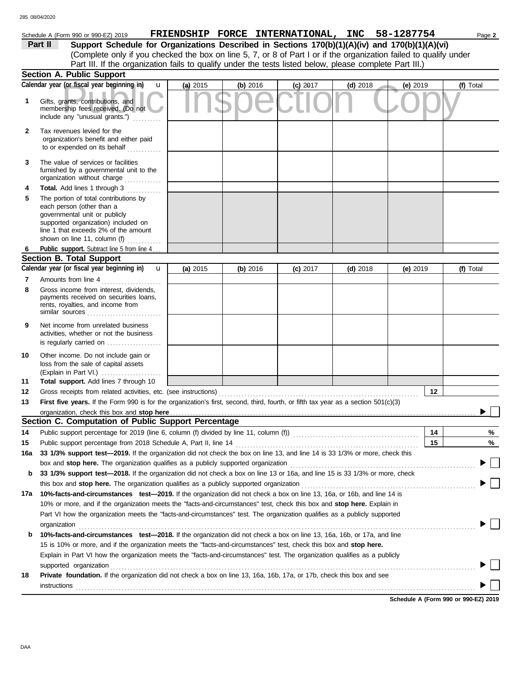# Schedule A (Form 990 or 990-EZ) 2019 **FRIENDSHIP FORCE INTERNATIONAL, INC** 58-1287754 Page 2

| Part II | Support Schedule for Organizations Described in Sections 170(b)(1)(A)(iv) and 170(b)(1)(A)(vi)                    |
|---------|-------------------------------------------------------------------------------------------------------------------|
|         | (Complete only if you checked the box on line 5, 7, or 8 of Part I or if the organization failed to qualify under |
|         | Part III. If the organization fails to qualify under the tests listed below, please complete Part III.)           |

|        | Section A. Public Support                                                                                                                                                                                                                               |          |          |            |            |            |           |
|--------|---------------------------------------------------------------------------------------------------------------------------------------------------------------------------------------------------------------------------------------------------------|----------|----------|------------|------------|------------|-----------|
|        | Calendar year (or fiscal year beginning in)<br>u                                                                                                                                                                                                        | (a) 2015 | (b) 2016 | $(c)$ 2017 | $(d)$ 2018 | (e) 2019   | (f) Total |
| 1      | Gifts, grants, contributions, and<br>membership fees received. (Do not<br>include any "unusual grants.")                                                                                                                                                |          |          |            |            |            |           |
| 2      | Tax revenues levied for the<br>organization's benefit and either paid<br>to or expended on its behalf                                                                                                                                                   |          |          |            |            |            |           |
| 3      | The value of services or facilities<br>furnished by a governmental unit to the<br>organization without charge                                                                                                                                           |          |          |            |            |            |           |
| 4<br>5 | Total. Add lines 1 through 3<br>.<br>The portion of total contributions by<br>each person (other than a<br>governmental unit or publicly<br>supported organization) included on<br>line 1 that exceeds 2% of the amount<br>shown on line 11, column (f) |          |          |            |            |            |           |
| 6      | Public support. Subtract line 5 from line 4                                                                                                                                                                                                             |          |          |            |            |            |           |
|        | <b>Section B. Total Support</b>                                                                                                                                                                                                                         |          |          |            |            |            |           |
|        | Calendar year (or fiscal year beginning in)<br>$\mathbf{u}$                                                                                                                                                                                             | (a) 2015 | (b) 2016 | $(c)$ 2017 | $(d)$ 2018 | (e) $2019$ | (f) Total |
| 7<br>8 | Amounts from line 4<br><u> 1999 - Johann Stoff, Amerikaansk kan</u><br>Gross income from interest, dividends,<br>payments received on securities loans,<br>rents, royalties, and income from<br>similar sources                                         |          |          |            |            |            |           |
| 9      | Net income from unrelated business<br>activities, whether or not the business<br>is regularly carried on                                                                                                                                                |          |          |            |            |            |           |
| 10     | Other income. Do not include gain or<br>loss from the sale of capital assets<br>(Explain in Part VI.)                                                                                                                                                   |          |          |            |            |            |           |
| 11     | Total support. Add lines 7 through 10                                                                                                                                                                                                                   |          |          |            |            |            |           |
| 12     | Gross receipts from related activities, etc. (see instructions)                                                                                                                                                                                         |          |          |            |            | 12         |           |
| 13     | First five years. If the Form 990 is for the organization's first, second, third, fourth, or fifth tax year as a section 501(c)(3)                                                                                                                      |          |          |            |            |            |           |
|        |                                                                                                                                                                                                                                                         |          |          |            |            |            |           |
|        | Section C. Computation of Public Support Percentage                                                                                                                                                                                                     |          |          |            |            |            |           |
| 14     |                                                                                                                                                                                                                                                         |          |          |            |            | 14         | %         |
| 15     |                                                                                                                                                                                                                                                         |          |          |            |            | 15         | %         |
| 16а    | 33 1/3% support test-2019. If the organization did not check the box on line 13, and line 14 is 33 1/3% or more, check this                                                                                                                             |          |          |            |            |            |           |
|        | box and stop here. The organization qualifies as a publicly supported organization                                                                                                                                                                      |          |          |            |            |            |           |
| b      | 33 1/3% support test-2018. If the organization did not check a box on line 13 or 16a, and line 15 is 33 1/3% or more, check<br>this box and stop here. The organization qualifies as a publicly supported organization                                  |          |          |            |            |            |           |
| 17a    | 10%-facts-and-circumstances test-2019. If the organization did not check a box on line 13, 16a, or 16b, and line 14 is                                                                                                                                  |          |          |            |            |            |           |
|        | 10% or more, and if the organization meets the "facts-and-circumstances" test, check this box and stop here. Explain in                                                                                                                                 |          |          |            |            |            |           |
|        | Part VI how the organization meets the "facts-and-circumstances" test. The organization qualifies as a publicly supported                                                                                                                               |          |          |            |            |            |           |
|        | organization                                                                                                                                                                                                                                            |          |          |            |            |            |           |
| b      | 10%-facts-and-circumstances test-2018. If the organization did not check a box on line 13, 16a, 16b, or 17a, and line<br>15 is 10% or more, and if the organization meets the "facts-and-circumstances" test, check this box and stop here.             |          |          |            |            |            |           |
|        | Explain in Part VI how the organization meets the "facts-and-circumstances" test. The organization qualifies as a publicly                                                                                                                              |          |          |            |            |            |           |
| 18     | supported organization<br>Private foundation. If the organization did not check a box on line 13, 16a, 16b, 17a, or 17b, check this box and see                                                                                                         |          |          |            |            |            |           |
|        | instructions<br><sub>contr</sub> ettions<br>and the contract of the contract of the contract of the contract of the contract of the contract of the contract of the contract of the contract of the contract of the contract of the contract            |          |          |            |            |            |           |
|        |                                                                                                                                                                                                                                                         |          |          |            |            |            |           |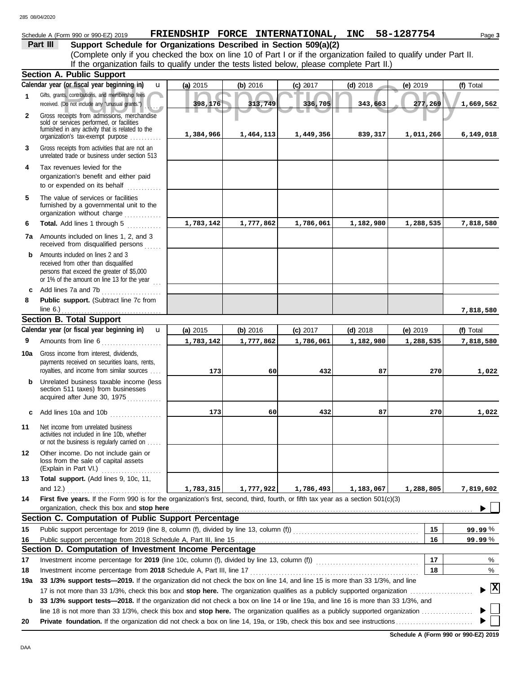# Schedule A (Form 990 or 990-EZ) 2019 Page **3 FRIENDSHIP FORCE INTERNATIONAL, INC 58-1287754**

**Part III Support Schedule for Organizations Described in Section 509(a)(2)** (Complete only if you checked the box on line 10 of Part I or if the organization failed to qualify under Part II. If the organization fails to qualify under the tests listed below, please complete Part II.)

|              | <b>Section A. Public Support</b>                                                                                                                                        |           |           |            |            |            |                                    |
|--------------|-------------------------------------------------------------------------------------------------------------------------------------------------------------------------|-----------|-----------|------------|------------|------------|------------------------------------|
|              | Calendar year (or fiscal year beginning in)<br>u                                                                                                                        | (a) 2015  | (b) 2016  | $(c)$ 2017 | $(d)$ 2018 | $(e)$ 2019 | (f) Total                          |
| $\mathbf{1}$ | Gifts, grants, contributions, and membership fees<br>received. (Do not include any "unusual grants.")                                                                   | 398,176   | 313,749   | 336,705    | 343,663    | 277,269    | 1,669,562                          |
| $\mathbf{2}$ | Gross receipts from admissions, merchandise<br>sold or services performed, or facilities<br>furnished in any activity that is related to the                            |           |           |            |            |            |                                    |
|              | organization's tax-exempt purpose                                                                                                                                       | 1,384,966 | 1,464,113 | 1,449,356  | 839,317    | 1,011,266  | 6,149,018                          |
| 3            | Gross receipts from activities that are not an<br>unrelated trade or business under section 513                                                                         |           |           |            |            |            |                                    |
| 4            | Tax revenues levied for the<br>organization's benefit and either paid<br>to or expended on its behalf<br>in a bha bha b                                                 |           |           |            |            |            |                                    |
| 5            | The value of services or facilities<br>furnished by a governmental unit to the<br>organization without charge                                                           |           |           |            |            |            |                                    |
| 6            | Total. Add lines 1 through 5                                                                                                                                            | 1,783,142 | 1,777,862 | 1,786,061  | 1,182,980  | 1,288,535  | 7,818,580                          |
| 7a           | Amounts included on lines 1, 2, and 3<br>received from disqualified persons<br>.                                                                                        |           |           |            |            |            |                                    |
| b            | Amounts included on lines 2 and 3<br>received from other than disqualified<br>persons that exceed the greater of \$5,000<br>or 1% of the amount on line 13 for the year |           |           |            |            |            |                                    |
| c            | Add lines 7a and 7b<br>.                                                                                                                                                |           |           |            |            |            |                                    |
| 8            | Public support. (Subtract line 7c from<br>line $6.$ )                                                                                                                   |           |           |            |            |            |                                    |
|              | <b>Section B. Total Support</b>                                                                                                                                         |           |           |            |            |            | 7,818,580                          |
|              | Calendar year (or fiscal year beginning in)<br>$\mathbf{u}$                                                                                                             | (a) 2015  | (b) 2016  | $(c)$ 2017 | $(d)$ 2018 | (e) $2019$ | (f) Total                          |
| 9            | Amounts from line 6                                                                                                                                                     | 1,783,142 | 1,777,862 | 1,786,061  | 1,182,980  | 1,288,535  | 7,818,580                          |
|              | .                                                                                                                                                                       |           |           |            |            |            |                                    |
| 10a          | Gross income from interest, dividends,<br>payments received on securities loans, rents,<br>royalties, and income from similar sources                                   | 173       | 60        | 432        | 87         | 270        | 1,022                              |
| b            | Unrelated business taxable income (less<br>section 511 taxes) from businesses<br>acquired after June 30, 1975                                                           |           |           |            |            |            |                                    |
| c            | Add lines 10a and 10b                                                                                                                                                   | 173       | 60        | 432        | 87         | 270        | 1,022                              |
| 11           | Net income from unrelated business<br>activities not included in line 10b, whether<br>or not the business is regularly carried on                                       |           |           |            |            |            |                                    |
| 12           | Other income. Do not include gain or<br>loss from the sale of capital assets<br>(Explain in Part VI.)                                                                   |           |           |            |            |            |                                    |
| 13           | Total support. (Add lines 9, 10c, 11,                                                                                                                                   |           |           |            |            |            |                                    |
|              | and 12.)                                                                                                                                                                | 1,783,315 | 1,777,922 | 1,786,493  | 1,183,067  | 1,288,805  | 7,819,602                          |
| 14           | First five years. If the Form 990 is for the organization's first, second, third, fourth, or fifth tax year as a section 501(c)(3)                                      |           |           |            |            |            |                                    |
|              | organization, check this box and stop here                                                                                                                              |           |           |            |            |            |                                    |
|              | Section C. Computation of Public Support Percentage                                                                                                                     |           |           |            |            |            |                                    |
| 15           |                                                                                                                                                                         |           |           |            |            | 15         | 99.99%                             |
| 16           |                                                                                                                                                                         |           |           |            |            | 16         | 99.99%                             |
|              | Section D. Computation of Investment Income Percentage                                                                                                                  |           |           |            |            | 17         |                                    |
| 17<br>18     | Investment income percentage from 2018 Schedule A, Part III, line 17                                                                                                    |           |           |            |            | 18         | %<br>%                             |
| 19a          | 33 1/3% support tests-2019. If the organization did not check the box on line 14, and line 15 is more than 33 1/3%, and line                                            |           |           |            |            |            |                                    |
|              |                                                                                                                                                                         |           |           |            |            |            | $\blacktriangleright$ $\mathbf{X}$ |
| b            | 33 1/3% support tests-2018. If the organization did not check a box on line 14 or line 19a, and line 16 is more than 33 1/3%, and                                       |           |           |            |            |            |                                    |
|              | line 18 is not more than 33 1/3%, check this box and <b>stop here.</b> The organization qualifies as a publicly supported organization $\ldots$                         |           |           |            |            |            |                                    |
| 20           |                                                                                                                                                                         |           |           |            |            |            |                                    |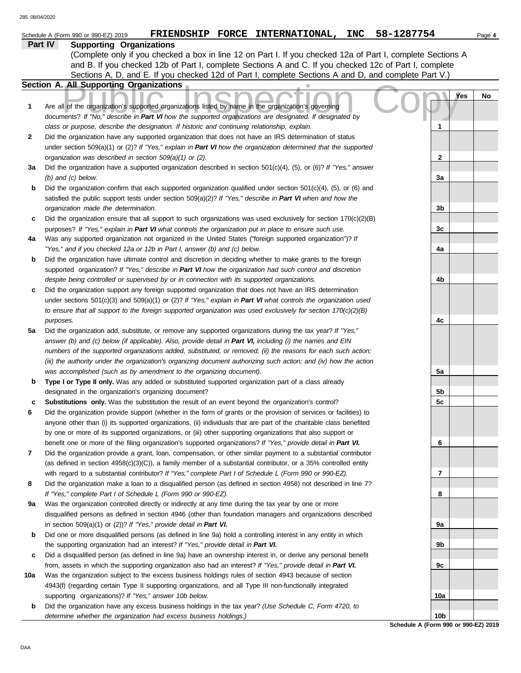### **Part IV Supporting Organizations**

Sections A, D, and E. If you checked 12d of Part I, complete Sections A and D, and complete Part V.) (Complete only if you checked a box in line 12 on Part I. If you checked 12a of Part I, complete Sections A and B. If you checked 12b of Part I, complete Sections A and C. If you checked 12c of Part I, complete

## **Section A. All Supporting Organizations**

|     | Section A. All Supporting Organizations                                                                                                                                                                            |                                      |     |    |
|-----|--------------------------------------------------------------------------------------------------------------------------------------------------------------------------------------------------------------------|--------------------------------------|-----|----|
| 1   | Are all of the organization's supported organizations listed by name in the organization's governing                                                                                                               |                                      | Yes | No |
|     | documents? If "No," describe in Part VI how the supported organizations are designated. If designated by                                                                                                           |                                      |     |    |
|     | class or purpose, describe the designation. If historic and continuing relationship, explain.                                                                                                                      | 1                                    |     |    |
| 2   | Did the organization have any supported organization that does not have an IRS determination of status                                                                                                             |                                      |     |    |
|     | under section 509(a)(1) or (2)? If "Yes," explain in Part VI how the organization determined that the supported                                                                                                    |                                      |     |    |
|     | organization was described in section 509(a)(1) or (2).                                                                                                                                                            | 2                                    |     |    |
| За  | Did the organization have a supported organization described in section $501(c)(4)$ , (5), or (6)? If "Yes," answer                                                                                                |                                      |     |    |
|     | $(b)$ and $(c)$ below.                                                                                                                                                                                             | 3a                                   |     |    |
| b   | Did the organization confirm that each supported organization qualified under section $501(c)(4)$ , (5), or (6) and                                                                                                |                                      |     |    |
|     | satisfied the public support tests under section 509(a)(2)? If "Yes," describe in Part VI when and how the                                                                                                         |                                      |     |    |
|     | organization made the determination.                                                                                                                                                                               | 3b                                   |     |    |
| c   | Did the organization ensure that all support to such organizations was used exclusively for section $170(c)(2)(B)$                                                                                                 |                                      |     |    |
|     |                                                                                                                                                                                                                    | 3c                                   |     |    |
| 4a  | purposes? If "Yes," explain in Part VI what controls the organization put in place to ensure such use.<br>Was any supported organization not organized in the United States ("foreign supported organization")? If |                                      |     |    |
|     | "Yes," and if you checked 12a or 12b in Part I, answer (b) and (c) below.                                                                                                                                          | 4a                                   |     |    |
| b   | Did the organization have ultimate control and discretion in deciding whether to make grants to the foreign                                                                                                        |                                      |     |    |
|     | supported organization? If "Yes," describe in Part VI how the organization had such control and discretion                                                                                                         |                                      |     |    |
|     | despite being controlled or supervised by or in connection with its supported organizations.                                                                                                                       | 4b                                   |     |    |
|     | Did the organization support any foreign supported organization that does not have an IRS determination                                                                                                            |                                      |     |    |
| c   | under sections $501(c)(3)$ and $509(a)(1)$ or (2)? If "Yes," explain in Part VI what controls the organization used                                                                                                |                                      |     |    |
|     | to ensure that all support to the foreign supported organization was used exclusively for section $170(c)(2)(B)$                                                                                                   |                                      |     |    |
|     |                                                                                                                                                                                                                    | 4c                                   |     |    |
| 5a  | purposes.<br>Did the organization add, substitute, or remove any supported organizations during the tax year? If "Yes,"                                                                                            |                                      |     |    |
|     | answer (b) and (c) below (if applicable). Also, provide detail in Part VI, including (i) the names and EIN                                                                                                         |                                      |     |    |
|     | numbers of the supported organizations added, substituted, or removed; (ii) the reasons for each such action;                                                                                                      |                                      |     |    |
|     | (iii) the authority under the organization's organizing document authorizing such action; and (iv) how the action                                                                                                  |                                      |     |    |
|     | was accomplished (such as by amendment to the organizing document).                                                                                                                                                | 5а                                   |     |    |
| b   | Type I or Type II only. Was any added or substituted supported organization part of a class already                                                                                                                |                                      |     |    |
|     | designated in the organization's organizing document?                                                                                                                                                              | 5b                                   |     |    |
| c   | Substitutions only. Was the substitution the result of an event beyond the organization's control?                                                                                                                 | 5c                                   |     |    |
| 6   | Did the organization provide support (whether in the form of grants or the provision of services or facilities) to                                                                                                 |                                      |     |    |
|     | anyone other than (i) its supported organizations, (ii) individuals that are part of the charitable class benefited                                                                                                |                                      |     |    |
|     | by one or more of its supported organizations, or (iii) other supporting organizations that also support or                                                                                                        |                                      |     |    |
|     | benefit one or more of the filing organization's supported organizations? If "Yes," provide detail in Part VI.                                                                                                     | 6                                    |     |    |
| 7   | Did the organization provide a grant, loan, compensation, or other similar payment to a substantial contributor                                                                                                    |                                      |     |    |
|     | (as defined in section $4958(c)(3)(C)$ ), a family member of a substantial contributor, or a 35% controlled entity                                                                                                 |                                      |     |    |
|     | with regard to a substantial contributor? If "Yes," complete Part I of Schedule L (Form 990 or 990-EZ).                                                                                                            | 7                                    |     |    |
| 8   | Did the organization make a loan to a disqualified person (as defined in section 4958) not described in line 7?                                                                                                    |                                      |     |    |
|     | If "Yes," complete Part I of Schedule L (Form 990 or 990-EZ).                                                                                                                                                      | 8                                    |     |    |
| 9а  | Was the organization controlled directly or indirectly at any time during the tax year by one or more                                                                                                              |                                      |     |    |
|     | disqualified persons as defined in section 4946 (other than foundation managers and organizations described                                                                                                        |                                      |     |    |
|     | in section $509(a)(1)$ or $(2)$ ? If "Yes," provide detail in Part VI.                                                                                                                                             | 9a                                   |     |    |
| b   | Did one or more disqualified persons (as defined in line 9a) hold a controlling interest in any entity in which                                                                                                    |                                      |     |    |
|     | the supporting organization had an interest? If "Yes," provide detail in Part VI.                                                                                                                                  | 9b                                   |     |    |
| c   | Did a disqualified person (as defined in line 9a) have an ownership interest in, or derive any personal benefit                                                                                                    |                                      |     |    |
|     | from, assets in which the supporting organization also had an interest? If "Yes," provide detail in Part VI.                                                                                                       | 9c                                   |     |    |
| 10a | Was the organization subject to the excess business holdings rules of section 4943 because of section                                                                                                              |                                      |     |    |
|     | 4943(f) (regarding certain Type II supporting organizations, and all Type III non-functionally integrated                                                                                                          |                                      |     |    |
|     | supporting organizations)? If "Yes," answer 10b below.                                                                                                                                                             | 10a                                  |     |    |
| b   | Did the organization have any excess business holdings in the tax year? (Use Schedule C, Form 4720, to                                                                                                             |                                      |     |    |
|     | determine whether the organization had excess business holdings.)                                                                                                                                                  | 10 <sub>b</sub>                      |     |    |
|     |                                                                                                                                                                                                                    | Schedule A (Form 990 or 990-EZ) 2019 |     |    |

DAA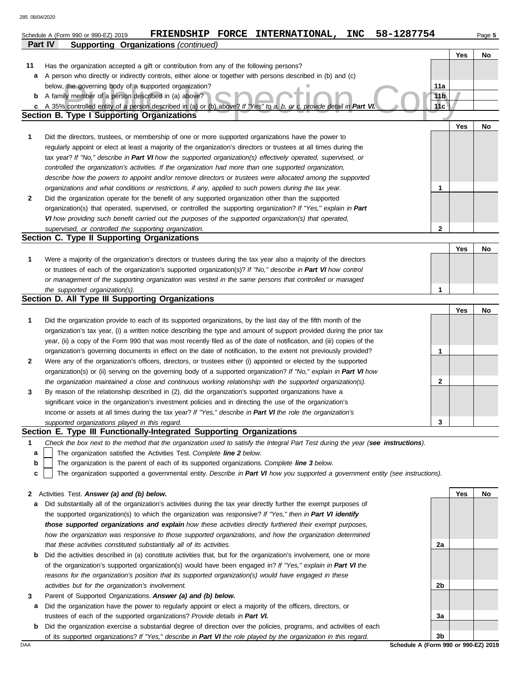|              | 58-1287754<br>FRIENDSHIP FORCE INTERNATIONAL,<br><b>INC</b><br>Schedule A (Form 990 or 990-EZ) 2019                                                                                                                              |                        |     | Page 5 |
|--------------|----------------------------------------------------------------------------------------------------------------------------------------------------------------------------------------------------------------------------------|------------------------|-----|--------|
|              | Part IV<br><b>Supporting Organizations (continued)</b>                                                                                                                                                                           |                        |     |        |
|              |                                                                                                                                                                                                                                  |                        | Yes | No     |
| 11           | Has the organization accepted a gift or contribution from any of the following persons?                                                                                                                                          |                        |     |        |
| а            | A person who directly or indirectly controls, either alone or together with persons described in (b) and (c)                                                                                                                     |                        |     |        |
|              | below, the governing body of a supported organization?                                                                                                                                                                           | 11a                    |     |        |
| b            | A family member of a person described in (a) above?                                                                                                                                                                              | 11 <sub>b</sub><br>11c |     |        |
| c            | A 35% controlled entity of a person described in (a) or (b) above? If "Yes" to a, b, or c, provide detail in Part VI.<br><b>Section B. Type I Supporting Organizations</b>                                                       |                        |     |        |
|              |                                                                                                                                                                                                                                  |                        | Yes | No     |
| $\mathbf{1}$ | Did the directors, trustees, or membership of one or more supported organizations have the power to                                                                                                                              |                        |     |        |
|              | regularly appoint or elect at least a majority of the organization's directors or trustees at all times during the                                                                                                               |                        |     |        |
|              | tax year? If "No," describe in Part VI how the supported organization(s) effectively operated, supervised, or                                                                                                                    |                        |     |        |
|              | controlled the organization's activities. If the organization had more than one supported organization,                                                                                                                          |                        |     |        |
|              | describe how the powers to appoint and/or remove directors or trustees were allocated among the supported                                                                                                                        |                        |     |        |
|              | organizations and what conditions or restrictions, if any, applied to such powers during the tax year.                                                                                                                           | 1                      |     |        |
| $\mathbf{2}$ | Did the organization operate for the benefit of any supported organization other than the supported                                                                                                                              |                        |     |        |
|              | organization(s) that operated, supervised, or controlled the supporting organization? If "Yes," explain in Part                                                                                                                  |                        |     |        |
|              | VI how providing such benefit carried out the purposes of the supported organization(s) that operated,                                                                                                                           |                        |     |        |
|              | supervised, or controlled the supporting organization.                                                                                                                                                                           | 2                      |     |        |
|              | Section C. Type II Supporting Organizations                                                                                                                                                                                      |                        |     |        |
|              |                                                                                                                                                                                                                                  |                        | Yes | No     |
| 1            | Were a majority of the organization's directors or trustees during the tax year also a majority of the directors                                                                                                                 |                        |     |        |
|              | or trustees of each of the organization's supported organization(s)? If "No," describe in Part VI how control                                                                                                                    |                        |     |        |
|              | or management of the supporting organization was vested in the same persons that controlled or managed                                                                                                                           |                        |     |        |
|              | the supported organization(s).<br>Section D. All Type III Supporting Organizations                                                                                                                                               | 1                      |     |        |
|              |                                                                                                                                                                                                                                  |                        | Yes |        |
| 1            | Did the organization provide to each of its supported organizations, by the last day of the fifth month of the                                                                                                                   |                        |     | No     |
|              | organization's tax year, (i) a written notice describing the type and amount of support provided during the prior tax                                                                                                            |                        |     |        |
|              | year, (ii) a copy of the Form 990 that was most recently filed as of the date of notification, and (iii) copies of the                                                                                                           |                        |     |        |
|              | organization's governing documents in effect on the date of notification, to the extent not previously provided?                                                                                                                 | 1                      |     |        |
| 2            | Were any of the organization's officers, directors, or trustees either (i) appointed or elected by the supported                                                                                                                 |                        |     |        |
|              | organization(s) or (ii) serving on the governing body of a supported organization? If "No," explain in Part VI how                                                                                                               |                        |     |        |
|              | the organization maintained a close and continuous working relationship with the supported organization(s).                                                                                                                      | 2                      |     |        |
| 3            | By reason of the relationship described in (2), did the organization's supported organizations have a                                                                                                                            |                        |     |        |
|              | significant voice in the organization's investment policies and in directing the use of the organization's                                                                                                                       |                        |     |        |
|              | income or assets at all times during the tax year? If "Yes," describe in Part VI the role the organization's                                                                                                                     |                        |     |        |
|              | supported organizations played in this regard.                                                                                                                                                                                   | 3                      |     |        |
|              | Section E. Type III Functionally-Integrated Supporting Organizations                                                                                                                                                             |                        |     |        |
| 1            | Check the box next to the method that the organization used to satisfy the Integral Part Test during the year (see instructions).                                                                                                |                        |     |        |
| a            | The organization satisfied the Activities Test. Complete line 2 below.                                                                                                                                                           |                        |     |        |
| b            | The organization is the parent of each of its supported organizations. Complete line 3 below.                                                                                                                                    |                        |     |        |
| c            | The organization supported a governmental entity. Describe in Part VI how you supported a government entity (see instructions).                                                                                                  |                        |     |        |
|              |                                                                                                                                                                                                                                  |                        |     |        |
| 2            | Activities Test. Answer (a) and (b) below.                                                                                                                                                                                       |                        | Yes | No     |
| а            | Did substantially all of the organization's activities during the tax year directly further the exempt purposes of<br>the supported organization(s) to which the organization was responsive? If "Yes," then in Part VI identify |                        |     |        |
|              | those supported organizations and explain how these activities directly furthered their exempt purposes,                                                                                                                         |                        |     |        |
|              | how the organization was responsive to those supported organizations, and how the organization determined                                                                                                                        |                        |     |        |
|              | that these activities constituted substantially all of its activities.                                                                                                                                                           | 2a                     |     |        |
| b            | Did the activities described in (a) constitute activities that, but for the organization's involvement, one or more                                                                                                              |                        |     |        |
|              | of the organization's supported organization(s) would have been engaged in? If "Yes," explain in Part VI the                                                                                                                     |                        |     |        |
|              | reasons for the organization's position that its supported organization(s) would have engaged in these                                                                                                                           |                        |     |        |
|              | activities but for the organization's involvement.                                                                                                                                                                               | 2b                     |     |        |
| 3            | Parent of Supported Organizations. Answer (a) and (b) below.                                                                                                                                                                     |                        |     |        |
| а            | Did the organization have the power to regularly appoint or elect a majority of the officers, directors, or                                                                                                                      |                        |     |        |
|              | trustees of each of the supported organizations? Provide details in Part VI.                                                                                                                                                     | 3a                     |     |        |

DAA **Schedule A (Form 990 or 990-EZ) 2019 b** Did the organization exercise a substantial degree of direction over the policies, programs, and activities of each of its supported organizations? *If "Yes," describe in Part VI the role played by the organization in this regard.*

**3b**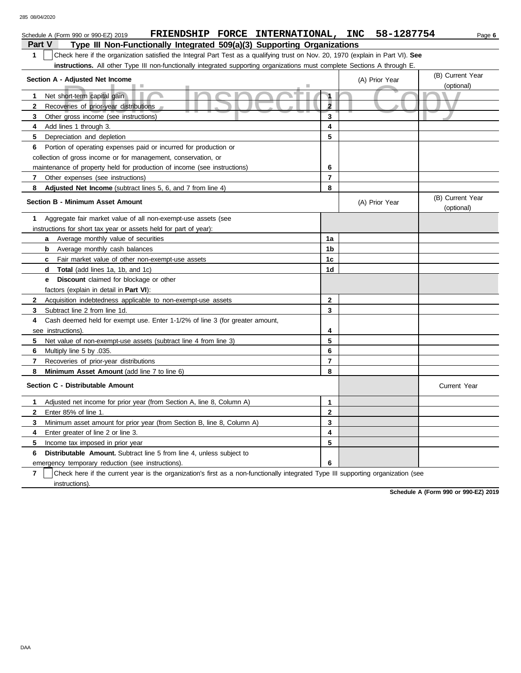| FRIENDSHIP FORCE INTERNATIONAL, INC<br>Schedule A (Form 990 or 990-EZ) 2019                                                           |                         |  | 58-1287754     | Page 6                         |  |  |  |  |  |
|---------------------------------------------------------------------------------------------------------------------------------------|-------------------------|--|----------------|--------------------------------|--|--|--|--|--|
| Type III Non-Functionally Integrated 509(a)(3) Supporting Organizations<br>Part V                                                     |                         |  |                |                                |  |  |  |  |  |
| Check here if the organization satisfied the Integral Part Test as a qualifying trust on Nov. 20, 1970 (explain in Part VI). See<br>1 |                         |  |                |                                |  |  |  |  |  |
| instructions. All other Type III non-functionally integrated supporting organizations must complete Sections A through E.             |                         |  |                |                                |  |  |  |  |  |
| (B) Current Year<br>Section A - Adjusted Net Income<br>(A) Prior Year                                                                 |                         |  |                |                                |  |  |  |  |  |
|                                                                                                                                       |                         |  |                | (optional)                     |  |  |  |  |  |
| Net short-term capital gain<br>$\mathbf{1}$                                                                                           | 1                       |  |                |                                |  |  |  |  |  |
| $\mathbf{2}$<br>Recoveries of prior-year distributions                                                                                | $\overline{\mathbf{2}}$ |  |                |                                |  |  |  |  |  |
| 3<br>Other gross income (see instructions)                                                                                            | 3                       |  |                |                                |  |  |  |  |  |
| 4<br>Add lines 1 through 3.                                                                                                           | 4                       |  |                |                                |  |  |  |  |  |
| 5<br>Depreciation and depletion                                                                                                       | 5                       |  |                |                                |  |  |  |  |  |
| 6<br>Portion of operating expenses paid or incurred for production or                                                                 |                         |  |                |                                |  |  |  |  |  |
| collection of gross income or for management, conservation, or                                                                        |                         |  |                |                                |  |  |  |  |  |
| maintenance of property held for production of income (see instructions)                                                              | 6                       |  |                |                                |  |  |  |  |  |
| Other expenses (see instructions)<br>7                                                                                                | $\overline{\mathbf{r}}$ |  |                |                                |  |  |  |  |  |
| Adjusted Net Income (subtract lines 5, 6, and 7 from line 4)<br>8                                                                     | 8                       |  |                |                                |  |  |  |  |  |
| <b>Section B - Minimum Asset Amount</b>                                                                                               |                         |  | (A) Prior Year | (B) Current Year<br>(optional) |  |  |  |  |  |
| Aggregate fair market value of all non-exempt-use assets (see<br>1                                                                    |                         |  |                |                                |  |  |  |  |  |
| instructions for short tax year or assets held for part of year):                                                                     |                         |  |                |                                |  |  |  |  |  |
| Average monthly value of securities<br>a                                                                                              | 1a                      |  |                |                                |  |  |  |  |  |
| <b>b</b> Average monthly cash balances                                                                                                | 1 <sub>b</sub>          |  |                |                                |  |  |  |  |  |
| Fair market value of other non-exempt-use assets<br>C                                                                                 | 1 <sub>c</sub>          |  |                |                                |  |  |  |  |  |
| <b>Total</b> (add lines 1a, 1b, and 1c)<br>d                                                                                          | 1d                      |  |                |                                |  |  |  |  |  |
| <b>Discount</b> claimed for blockage or other<br>е                                                                                    |                         |  |                |                                |  |  |  |  |  |
| factors (explain in detail in Part VI):                                                                                               |                         |  |                |                                |  |  |  |  |  |
| $\mathbf{2}$<br>Acquisition indebtedness applicable to non-exempt-use assets                                                          | $\mathbf{2}$            |  |                |                                |  |  |  |  |  |
| 3<br>Subtract line 2 from line 1d.                                                                                                    | 3                       |  |                |                                |  |  |  |  |  |
| Cash deemed held for exempt use. Enter 1-1/2% of line 3 (for greater amount,<br>4                                                     |                         |  |                |                                |  |  |  |  |  |
| see instructions).                                                                                                                    | 4                       |  |                |                                |  |  |  |  |  |
| 5<br>Net value of non-exempt-use assets (subtract line 4 from line 3)                                                                 | 5                       |  |                |                                |  |  |  |  |  |
| 6<br>Multiply line 5 by .035.                                                                                                         | 6                       |  |                |                                |  |  |  |  |  |
| $\overline{7}$<br>Recoveries of prior-year distributions                                                                              | $\overline{7}$          |  |                |                                |  |  |  |  |  |
| 8<br>Minimum Asset Amount (add line 7 to line 6)                                                                                      | 8                       |  |                |                                |  |  |  |  |  |
| Section C - Distributable Amount                                                                                                      |                         |  |                | <b>Current Year</b>            |  |  |  |  |  |
| $\mathbf 1$<br>Adjusted net income for prior year (from Section A, line 8, Column A)                                                  | $\mathbf{1}$            |  |                |                                |  |  |  |  |  |
| $\mathbf{2}$<br>Enter 85% of line 1.                                                                                                  | $\mathbf{2}$            |  |                |                                |  |  |  |  |  |
| 3<br>Minimum asset amount for prior year (from Section B, line 8, Column A)                                                           | 3                       |  |                |                                |  |  |  |  |  |
| 4<br>Enter greater of line 2 or line 3.                                                                                               | 4                       |  |                |                                |  |  |  |  |  |
| 5<br>Income tax imposed in prior year                                                                                                 | 5                       |  |                |                                |  |  |  |  |  |
| Distributable Amount. Subtract line 5 from line 4, unless subject to<br>6                                                             |                         |  |                |                                |  |  |  |  |  |
| emergency temporary reduction (see instructions).                                                                                     | 6                       |  |                |                                |  |  |  |  |  |

**7** instructions). Check here if the current year is the organization's first as a non-functionally integrated Type III supporting organization (see

**Schedule A (Form 990 or 990-EZ) 2019**

DAA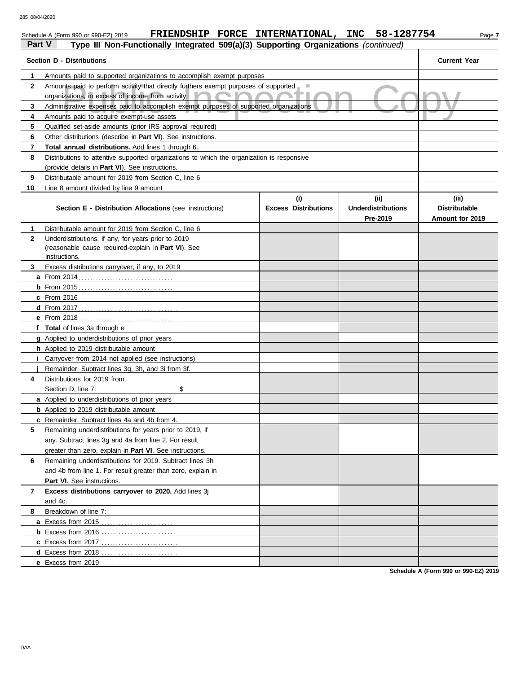#### Inst paid to perform activity that directly furthers exempt purposes of supported<br>
izations, in excess of income from activity<br>
instrative expenses paid to accomplish exempt purposes of supported organizations<br>
Ints paid t Schedule A (Form 990 or 990-EZ) 2019 **FRIENDSHIP FORCE INTERNATIONAL, INC** 58-1287754 Page 7 **Part V Type III Non-Functionally Integrated 509(a)(3) Supporting Organizations** *(continued)* **Section D - Distributions Current Year 1 2 3 4 5 6 7 8 9 10** Amounts paid to supported organizations to accomplish exempt purposes Amounts paid to perform activity that directly furthers exempt purposes of supported organizations, in excess of income from activity Administrative expenses paid to accomplish exempt purposes of supported organizations Amounts paid to acquire exempt-use assets Qualified set-aside amounts (prior IRS approval required) Other distributions (describe in **Part VI**). See instructions. **Total annual distributions.** Add lines 1 through 6. Distributions to attentive supported organizations to which the organization is responsive (provide details in **Part VI**). See instructions. Distributable amount for 2019 from Section C, line 6 Line 8 amount divided by line 9 amount **Section E - Distribution Allocations** (see instructions) **Excess Distributions (i) (ii) Underdistributions Pre-2019 (iii) Distributable Amount for 2019 8 7 6 5 4** Distributions for 2019 from **3 2 1 a** From 2014 . . . . . . . . . . . . . . . . . . . . . . . . . . . . . . . . . . **b** From 2015 . . . . . . . . . . . . . . . . . . . . . . . . . . . . . . . . . . **c** From 2016 . . . . . . . . . . . . . . . . . . . . . . . . . . . . . . . . . . **d** From 2017 . . . . . . . . . . . . . . . . . . . . . . . . . . . . . . . . . . . **e** From 2018 . . . . . . . . . . . . . . . . . . . . . . . . . . . . . . . . . . . **f Total** of lines 3a through e **g** Applied to underdistributions of prior years **h** Applied to 2019 distributable amount **i** Carryover from 2014 not applied (see instructions) **j** Remainder. Subtract lines 3g, 3h, and 3i from 3f. **a** Applied to underdistributions of prior years **b** Applied to 2019 distributable amount **c** Remainder. Subtract lines 4a and 4b from 4. **a** Excess from 2015 . . . . . . . . . . . . . . . . . . . . . . . . . . **b** Excess from 2016 . . . . . . . . . . . . . . . . . . . . . . . . . . **c** Excess from 2017 . . . . . . . . . . . . . . . . . . . . . . . . . . . **d** Excess from 2018 . . . . . . . . . . . . . . . . . . . . . . . . . . . Distributable amount for 2019 from Section C, line 6 Underdistributions, if any, for years prior to 2019 (reasonable cause required-explain in **Part VI**). See Excess distributions carryover, if any, to 2019 Section D, line 7: Remaining underdistributions for years prior to 2019, if any. Subtract lines 3g and 4a from line 2. For result greater than zero, explain in **Part VI**. See instructions. Remaining underdistributions for 2019. Subtract lines 3h and 4b from line 1. For result greater than zero, explain in **Part VI**. See instructions. **Excess distributions carryover to 2020.** Add lines 3j and 4c. Breakdown of line 7: instructions.

**Schedule A (Form 990 or 990-EZ) 2019**

**e** Excess from 2019 . . . . . . . . . . . . . . . . . . . . . . . . . . .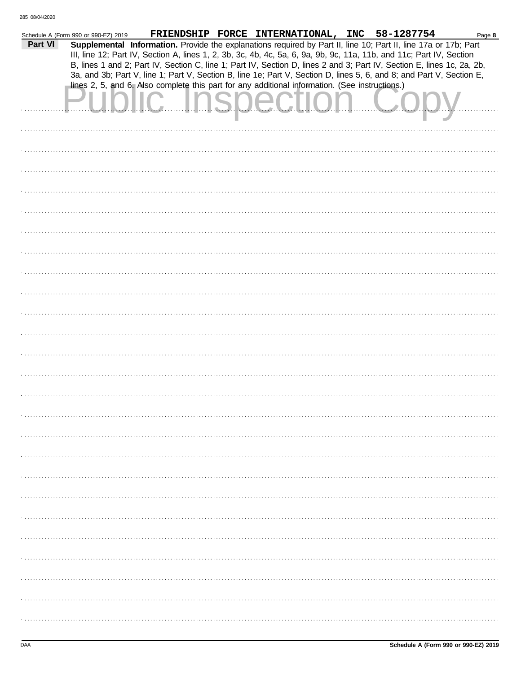|         | Schedule A (Form 990 or 990-EZ) 2019 |                                                                                                                        | FRIENDSHIP FORCE INTERNATIONAL, INC 58-1287754 |  | Page 8 |
|---------|--------------------------------------|------------------------------------------------------------------------------------------------------------------------|------------------------------------------------|--|--------|
| Part VI |                                      | Supplemental Information. Provide the explanations required by Part II, line 10; Part II, line 17a or 17b; Part        |                                                |  |        |
|         |                                      | III, line 12; Part IV, Section A, lines 1, 2, 3b, 3c, 4b, 4c, 5a, 6, 9a, 9b, 9c, 11a, 11b, and 11c; Part IV, Section   |                                                |  |        |
|         |                                      | B, lines 1 and 2; Part IV, Section C, line 1; Part IV, Section D, lines 2 and 3; Part IV, Section E, lines 1c, 2a, 2b, |                                                |  |        |
|         |                                      | 3a, and 3b; Part V, line 1; Part V, Section B, line 1e; Part V, Section D, lines 5, 6, and 8; and Part V, Section E,   |                                                |  |        |
|         |                                      | lines 2, 5, and 6. Also complete this part for any additional information. (See instructions.)                         |                                                |  |        |
|         |                                      |                                                                                                                        |                                                |  |        |
|         |                                      | Public Inspection                                                                                                      |                                                |  |        |
|         |                                      |                                                                                                                        |                                                |  |        |
|         |                                      |                                                                                                                        |                                                |  |        |
|         |                                      |                                                                                                                        |                                                |  |        |
|         |                                      |                                                                                                                        |                                                |  |        |
|         |                                      |                                                                                                                        |                                                |  |        |
|         |                                      |                                                                                                                        |                                                |  |        |
|         |                                      |                                                                                                                        |                                                |  |        |
|         |                                      |                                                                                                                        |                                                |  |        |
|         |                                      |                                                                                                                        |                                                |  |        |
|         |                                      |                                                                                                                        |                                                |  |        |
|         |                                      |                                                                                                                        |                                                |  |        |
|         |                                      |                                                                                                                        |                                                |  |        |
|         |                                      |                                                                                                                        |                                                |  |        |
|         |                                      |                                                                                                                        |                                                |  |        |
|         |                                      |                                                                                                                        |                                                |  |        |
|         |                                      |                                                                                                                        |                                                |  |        |
|         |                                      |                                                                                                                        |                                                |  |        |
|         |                                      |                                                                                                                        |                                                |  |        |
|         |                                      |                                                                                                                        |                                                |  |        |
|         |                                      |                                                                                                                        |                                                |  |        |
|         |                                      |                                                                                                                        |                                                |  |        |
|         |                                      |                                                                                                                        |                                                |  |        |
|         |                                      |                                                                                                                        |                                                |  |        |
|         |                                      |                                                                                                                        |                                                |  |        |
|         |                                      |                                                                                                                        |                                                |  |        |
|         |                                      |                                                                                                                        |                                                |  |        |
|         |                                      |                                                                                                                        |                                                |  |        |
|         |                                      |                                                                                                                        |                                                |  |        |
|         |                                      |                                                                                                                        |                                                |  |        |
|         |                                      |                                                                                                                        |                                                |  |        |
|         |                                      |                                                                                                                        |                                                |  |        |
|         |                                      |                                                                                                                        |                                                |  |        |
|         |                                      |                                                                                                                        |                                                |  |        |
|         |                                      |                                                                                                                        |                                                |  |        |
|         |                                      |                                                                                                                        |                                                |  |        |
|         |                                      |                                                                                                                        |                                                |  |        |
|         |                                      |                                                                                                                        |                                                |  |        |
|         |                                      |                                                                                                                        |                                                |  |        |
|         |                                      |                                                                                                                        |                                                |  |        |
|         |                                      |                                                                                                                        |                                                |  |        |
|         |                                      |                                                                                                                        |                                                |  |        |
|         |                                      |                                                                                                                        |                                                |  |        |
|         |                                      |                                                                                                                        |                                                |  |        |
|         |                                      |                                                                                                                        |                                                |  |        |
|         |                                      |                                                                                                                        |                                                |  |        |
|         |                                      |                                                                                                                        |                                                |  |        |
|         |                                      |                                                                                                                        |                                                |  |        |
|         |                                      |                                                                                                                        |                                                |  |        |
|         |                                      |                                                                                                                        |                                                |  |        |
|         |                                      |                                                                                                                        |                                                |  |        |
|         |                                      |                                                                                                                        |                                                |  |        |
|         |                                      |                                                                                                                        |                                                |  |        |
|         |                                      |                                                                                                                        |                                                |  |        |
|         |                                      |                                                                                                                        |                                                |  |        |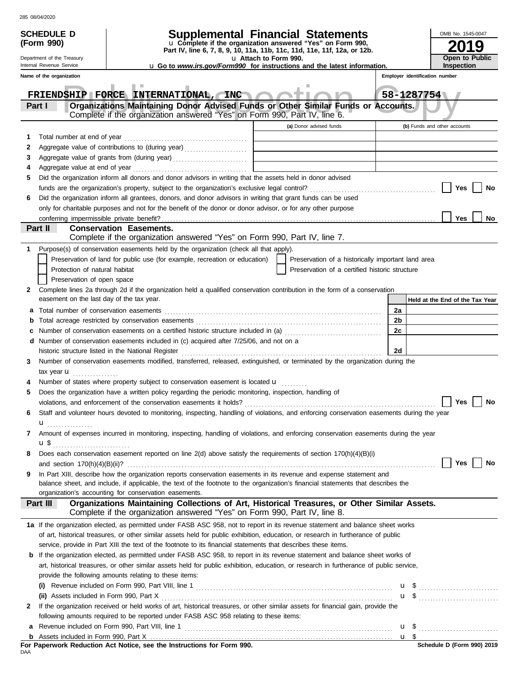| 285 08/04/2020 |
|----------------|
|                |

|     | 285 08/04/2020                                         |                                                                                                                                                                                            |                                                                                                                                        |                                                                                                                                                          |                                                    |    |                                 |                              |                   |    |  |  |
|-----|--------------------------------------------------------|--------------------------------------------------------------------------------------------------------------------------------------------------------------------------------------------|----------------------------------------------------------------------------------------------------------------------------------------|----------------------------------------------------------------------------------------------------------------------------------------------------------|----------------------------------------------------|----|---------------------------------|------------------------------|-------------------|----|--|--|
|     | <b>SCHEDULE D</b>                                      |                                                                                                                                                                                            | <b>Supplemental Financial Statements</b>                                                                                               |                                                                                                                                                          |                                                    |    |                                 |                              | OMB No. 1545-0047 |    |  |  |
|     | (Form 990)                                             |                                                                                                                                                                                            | u Complete if the organization answered "Yes" on Form 990,<br>Part IV, line 6, 7, 8, 9, 10, 11a, 11b, 11c, 11d, 11e, 11f, 12a, or 12b. |                                                                                                                                                          |                                                    |    |                                 |                              |                   | 9  |  |  |
|     | Department of the Treasury<br>Internal Revenue Service | <b>u</b> Go to www.irs.gov/Form990 for instructions and the latest information.                                                                                                            | u Attach to Form 990.                                                                                                                  |                                                                                                                                                          |                                                    |    |                                 | Open to Public<br>Inspection |                   |    |  |  |
|     | Name of the organization                               |                                                                                                                                                                                            |                                                                                                                                        |                                                                                                                                                          |                                                    |    | Employer identification number  |                              |                   |    |  |  |
|     |                                                        |                                                                                                                                                                                            |                                                                                                                                        |                                                                                                                                                          |                                                    |    |                                 |                              |                   |    |  |  |
|     |                                                        | FRIENDSHIP FORCE INTERNATIONAL, INC                                                                                                                                                        |                                                                                                                                        | w                                                                                                                                                        |                                                    |    | 58-1287754                      |                              |                   |    |  |  |
|     | <b>Part I</b>                                          | Organizations Maintaining Donor Advised Funds or Other Similar Funds or Accounts.                                                                                                          |                                                                                                                                        |                                                                                                                                                          |                                                    |    |                                 |                              |                   |    |  |  |
|     |                                                        | Complete if the organization answered "Yes" on Form 990, Part IV, line 6.                                                                                                                  |                                                                                                                                        | (a) Donor advised funds                                                                                                                                  |                                                    |    | (b) Funds and other accounts    |                              |                   |    |  |  |
| 1   | Total number at end of year                            |                                                                                                                                                                                            |                                                                                                                                        |                                                                                                                                                          |                                                    |    |                                 |                              |                   |    |  |  |
| 2   |                                                        | Aggregate value of contributions to (during year)                                                                                                                                          |                                                                                                                                        | the control of the control of the control of the control of                                                                                              |                                                    |    |                                 |                              |                   |    |  |  |
| 3   |                                                        |                                                                                                                                                                                            |                                                                                                                                        | the control of the control of the control of the control of the control of<br>the control of the control of the control of the control of the control of |                                                    |    |                                 |                              |                   |    |  |  |
| 4   |                                                        |                                                                                                                                                                                            |                                                                                                                                        |                                                                                                                                                          |                                                    |    |                                 |                              |                   |    |  |  |
| 5   |                                                        | Did the organization inform all donors and donor advisors in writing that the assets held in donor advised                                                                                 |                                                                                                                                        |                                                                                                                                                          |                                                    |    |                                 |                              |                   |    |  |  |
|     |                                                        |                                                                                                                                                                                            |                                                                                                                                        |                                                                                                                                                          |                                                    |    |                                 | Yes                          |                   | No |  |  |
| 6   |                                                        | Did the organization inform all grantees, donors, and donor advisors in writing that grant funds can be used                                                                               |                                                                                                                                        |                                                                                                                                                          |                                                    |    |                                 |                              |                   |    |  |  |
|     |                                                        | only for charitable purposes and not for the benefit of the donor or donor advisor, or for any other purpose                                                                               |                                                                                                                                        |                                                                                                                                                          |                                                    |    |                                 |                              |                   |    |  |  |
|     |                                                        |                                                                                                                                                                                            |                                                                                                                                        |                                                                                                                                                          |                                                    |    |                                 | <b>Yes</b>                   |                   | No |  |  |
|     | Part II                                                | <b>Conservation Easements.</b><br>Complete if the organization answered "Yes" on Form 990, Part IV, line 7.                                                                                |                                                                                                                                        |                                                                                                                                                          |                                                    |    |                                 |                              |                   |    |  |  |
| 1   |                                                        | Purpose(s) of conservation easements held by the organization (check all that apply).                                                                                                      |                                                                                                                                        |                                                                                                                                                          |                                                    |    |                                 |                              |                   |    |  |  |
|     |                                                        | Preservation of land for public use (for example, recreation or education)                                                                                                                 |                                                                                                                                        |                                                                                                                                                          | Preservation of a historically important land area |    |                                 |                              |                   |    |  |  |
|     | Protection of natural habitat                          |                                                                                                                                                                                            |                                                                                                                                        |                                                                                                                                                          | Preservation of a certified historic structure     |    |                                 |                              |                   |    |  |  |
|     | Preservation of open space                             |                                                                                                                                                                                            |                                                                                                                                        |                                                                                                                                                          |                                                    |    |                                 |                              |                   |    |  |  |
| 2   |                                                        | Complete lines 2a through 2d if the organization held a qualified conservation contribution in the form of a conservation                                                                  |                                                                                                                                        |                                                                                                                                                          |                                                    |    |                                 |                              |                   |    |  |  |
|     | easement on the last day of the tax year.              |                                                                                                                                                                                            |                                                                                                                                        |                                                                                                                                                          |                                                    |    | Held at the End of the Tax Year |                              |                   |    |  |  |
| a   |                                                        |                                                                                                                                                                                            |                                                                                                                                        |                                                                                                                                                          |                                                    | 2a |                                 |                              |                   |    |  |  |
| b   |                                                        |                                                                                                                                                                                            |                                                                                                                                        |                                                                                                                                                          |                                                    | 2b |                                 |                              |                   |    |  |  |
| c   |                                                        | Number of conservation easements on a certified historic structure included in (a) [11] Number of conservation easements on a certified historic structure included in (a)                 |                                                                                                                                        |                                                                                                                                                          |                                                    | 2c |                                 |                              |                   |    |  |  |
|     |                                                        | <b>d</b> Number of conservation easements included in (c) acquired after $7/25/06$ , and not on a                                                                                          |                                                                                                                                        |                                                                                                                                                          |                                                    |    |                                 |                              |                   |    |  |  |
|     |                                                        | historic structure listed in the National Register                                                                                                                                         |                                                                                                                                        |                                                                                                                                                          |                                                    | 2d |                                 |                              |                   |    |  |  |
| 3   |                                                        | Number of conservation easements modified, transferred, released, extinguished, or terminated by the organization during the                                                               |                                                                                                                                        |                                                                                                                                                          |                                                    |    |                                 |                              |                   |    |  |  |
|     | tax year <b>u</b><br>.                                 | Number of states where property subject to conservation easement is located <b>u</b>                                                                                                       |                                                                                                                                        |                                                                                                                                                          |                                                    |    |                                 |                              |                   |    |  |  |
| 5   |                                                        | Does the organization have a written policy regarding the periodic monitoring, inspection, handling of                                                                                     |                                                                                                                                        |                                                                                                                                                          |                                                    |    |                                 |                              |                   |    |  |  |
|     |                                                        |                                                                                                                                                                                            |                                                                                                                                        |                                                                                                                                                          |                                                    |    |                                 | Yes                          |                   | No |  |  |
| 6   |                                                        | Staff and volunteer hours devoted to monitoring, inspecting, handling of violations, and enforcing conservation easements during the year                                                  |                                                                                                                                        |                                                                                                                                                          |                                                    |    |                                 |                              |                   |    |  |  |
|     | u <sub></sub>                                          |                                                                                                                                                                                            |                                                                                                                                        |                                                                                                                                                          |                                                    |    |                                 |                              |                   |    |  |  |
| 7   |                                                        | Amount of expenses incurred in monitoring, inspecting, handling of violations, and enforcing conservation easements during the year                                                        |                                                                                                                                        |                                                                                                                                                          |                                                    |    |                                 |                              |                   |    |  |  |
|     |                                                        |                                                                                                                                                                                            |                                                                                                                                        |                                                                                                                                                          |                                                    |    |                                 |                              |                   |    |  |  |
| 8   |                                                        | Does each conservation easement reported on line $2(d)$ above satisfy the requirements of section 170(h)(4)(B)(i)                                                                          |                                                                                                                                        |                                                                                                                                                          |                                                    |    |                                 |                              |                   |    |  |  |
|     |                                                        |                                                                                                                                                                                            |                                                                                                                                        |                                                                                                                                                          |                                                    |    |                                 | Yes                          |                   | No |  |  |
| 9   |                                                        | In Part XIII, describe how the organization reports conservation easements in its revenue and expense statement and                                                                        |                                                                                                                                        |                                                                                                                                                          |                                                    |    |                                 |                              |                   |    |  |  |
|     |                                                        | balance sheet, and include, if applicable, the text of the footnote to the organization's financial statements that describes the<br>organization's accounting for conservation easements. |                                                                                                                                        |                                                                                                                                                          |                                                    |    |                                 |                              |                   |    |  |  |
|     | Part III                                               | Organizations Maintaining Collections of Art, Historical Treasures, or Other Similar Assets.                                                                                               |                                                                                                                                        |                                                                                                                                                          |                                                    |    |                                 |                              |                   |    |  |  |
|     |                                                        | Complete if the organization answered "Yes" on Form 990, Part IV, line 8.                                                                                                                  |                                                                                                                                        |                                                                                                                                                          |                                                    |    |                                 |                              |                   |    |  |  |
|     |                                                        | 1a If the organization elected, as permitted under FASB ASC 958, not to report in its revenue statement and balance sheet works                                                            |                                                                                                                                        |                                                                                                                                                          |                                                    |    |                                 |                              |                   |    |  |  |
|     |                                                        | of art, historical treasures, or other similar assets held for public exhibition, education, or research in furtherance of public                                                          |                                                                                                                                        |                                                                                                                                                          |                                                    |    |                                 |                              |                   |    |  |  |
|     |                                                        | service, provide in Part XIII the text of the footnote to its financial statements that describes these items.                                                                             |                                                                                                                                        |                                                                                                                                                          |                                                    |    |                                 |                              |                   |    |  |  |
|     |                                                        | b If the organization elected, as permitted under FASB ASC 958, to report in its revenue statement and balance sheet works of                                                              |                                                                                                                                        |                                                                                                                                                          |                                                    |    |                                 |                              |                   |    |  |  |
|     |                                                        | art, historical treasures, or other similar assets held for public exhibition, education, or research in furtherance of public service,                                                    |                                                                                                                                        |                                                                                                                                                          |                                                    |    |                                 |                              |                   |    |  |  |
|     |                                                        | provide the following amounts relating to these items:                                                                                                                                     |                                                                                                                                        |                                                                                                                                                          |                                                    |    |                                 |                              |                   |    |  |  |
|     |                                                        |                                                                                                                                                                                            |                                                                                                                                        |                                                                                                                                                          |                                                    |    | $\mathbf{u}$ \$                 |                              |                   |    |  |  |
| 2   |                                                        | If the organization received or held works of art, historical treasures, or other similar assets for financial gain, provide the                                                           |                                                                                                                                        |                                                                                                                                                          |                                                    |    |                                 |                              |                   |    |  |  |
|     |                                                        | following amounts required to be reported under FASB ASC 958 relating to these items:                                                                                                      |                                                                                                                                        |                                                                                                                                                          |                                                    |    |                                 |                              |                   |    |  |  |
| a   |                                                        |                                                                                                                                                                                            |                                                                                                                                        |                                                                                                                                                          |                                                    |    |                                 |                              |                   |    |  |  |
|     |                                                        |                                                                                                                                                                                            |                                                                                                                                        |                                                                                                                                                          |                                                    |    | $u \$                           |                              |                   |    |  |  |
|     |                                                        | For Paperwork Reduction Act Notice, see the Instructions for Form 990.                                                                                                                     |                                                                                                                                        |                                                                                                                                                          |                                                    |    |                                 | Schedule D (Form 990) 2019   |                   |    |  |  |
| DAA |                                                        |                                                                                                                                                                                            |                                                                                                                                        |                                                                                                                                                          |                                                    |    |                                 |                              |                   |    |  |  |

|     |  |  |  | For Paperwork Reduction Act Notice, see the Instructions for Form 990. |  |  |
|-----|--|--|--|------------------------------------------------------------------------|--|--|
| DAA |  |  |  |                                                                        |  |  |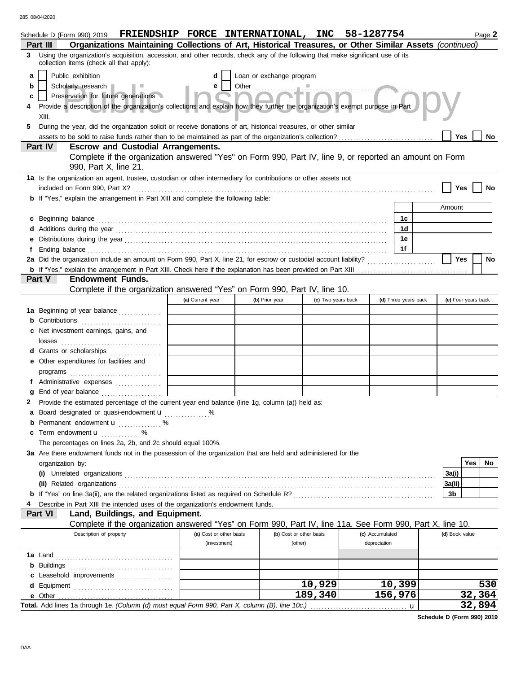285 08/04/2020

|   | Schedule D (Form 990) 2019                                                                                                                                                                                                          | FRIENDSHIP FORCE INTERNATIONAL, INC 58-1287754 |                          |                         |                 |                      | Page 2                  |
|---|-------------------------------------------------------------------------------------------------------------------------------------------------------------------------------------------------------------------------------------|------------------------------------------------|--------------------------|-------------------------|-----------------|----------------------|-------------------------|
|   | Organizations Maintaining Collections of Art, Historical Treasures, or Other Similar Assets (continued)<br>Part III                                                                                                                 |                                                |                          |                         |                 |                      |                         |
| 3 | Using the organization's acquisition, accession, and other records, check any of the following that make significant use of its<br>collection items (check all that apply):                                                         |                                                |                          |                         |                 |                      |                         |
| a | Public exhibition                                                                                                                                                                                                                   |                                                | Loan or exchange program |                         |                 |                      |                         |
| b | Scholarly research                                                                                                                                                                                                                  | e                                              |                          |                         |                 |                      |                         |
| c | Preservation for future generations                                                                                                                                                                                                 |                                                |                          |                         |                 |                      |                         |
| 4 | Provide a description of the organization's collections and explain how they further the organization's exempt purpose in Part<br>XIII.                                                                                             |                                                |                          |                         |                 |                      |                         |
| 5 | During the year, did the organization solicit or receive donations of art, historical treasures, or other similar                                                                                                                   |                                                |                          |                         |                 |                      |                         |
|   |                                                                                                                                                                                                                                     |                                                |                          |                         |                 |                      | Yes<br>No               |
|   | <b>Escrow and Custodial Arrangements.</b><br><b>Part IV</b>                                                                                                                                                                         |                                                |                          |                         |                 |                      |                         |
|   | Complete if the organization answered "Yes" on Form 990, Part IV, line 9, or reported an amount on Form<br>990, Part X, line 21.                                                                                                    |                                                |                          |                         |                 |                      |                         |
|   | 1a Is the organization an agent, trustee, custodian or other intermediary for contributions or other assets not                                                                                                                     |                                                |                          |                         |                 |                      |                         |
|   |                                                                                                                                                                                                                                     |                                                |                          |                         |                 |                      | Yes                     |
|   | <b>b</b> If "Yes," explain the arrangement in Part XIII and complete the following table:                                                                                                                                           |                                                |                          |                         |                 |                      |                         |
|   |                                                                                                                                                                                                                                     |                                                |                          |                         |                 |                      | Amount                  |
|   | c Beginning balance                                                                                                                                                                                                                 |                                                |                          |                         |                 | 1c                   |                         |
|   |                                                                                                                                                                                                                                     |                                                |                          |                         |                 | 1d                   |                         |
|   |                                                                                                                                                                                                                                     |                                                |                          |                         |                 | 1е                   |                         |
|   | Ending balance <b>constructs</b> and constructs and constructs and constructs and constructs and constructs and constructs and constructs and constructs and constructs and constructs and constructs and constructs and constructs |                                                |                          |                         |                 | 1f                   |                         |
|   |                                                                                                                                                                                                                                     |                                                |                          |                         |                 |                      | <b>Yes</b><br><b>No</b> |
|   | Part V<br><b>Endowment Funds.</b>                                                                                                                                                                                                   |                                                |                          |                         |                 |                      |                         |
|   | Complete if the organization answered "Yes" on Form 990, Part IV, line 10.                                                                                                                                                          |                                                |                          |                         |                 |                      |                         |
|   |                                                                                                                                                                                                                                     | (a) Current year                               | (b) Prior year           | (c) Two years back      |                 | (d) Three years back | (e) Four years back     |
|   | 1a Beginning of year balance                                                                                                                                                                                                        |                                                |                          |                         |                 |                      |                         |
|   | Contributions                                                                                                                                                                                                                       |                                                |                          |                         |                 |                      |                         |
|   | c Net investment earnings, gains, and                                                                                                                                                                                               |                                                |                          |                         |                 |                      |                         |
|   | losses                                                                                                                                                                                                                              |                                                |                          |                         |                 |                      |                         |
|   | d Grants or scholarships                                                                                                                                                                                                            |                                                |                          |                         |                 |                      |                         |
|   | e Other expenditures for facilities and                                                                                                                                                                                             |                                                |                          |                         |                 |                      |                         |
|   |                                                                                                                                                                                                                                     |                                                |                          |                         |                 |                      |                         |
|   | f Administrative expenses                                                                                                                                                                                                           |                                                |                          |                         |                 |                      |                         |
|   | End of year balance                                                                                                                                                                                                                 |                                                |                          |                         |                 |                      |                         |
| 2 | Provide the estimated percentage of the current year end balance (line 1g, column (a)) held as:                                                                                                                                     |                                                |                          |                         |                 |                      |                         |
| а | Board designated or quasi-endowment <b>u</b><br><b>b</b> Permanent endowment <b>u</b> %                                                                                                                                             | $\%$                                           |                          |                         |                 |                      |                         |
|   | <b>c</b> Term endowment $\mathbf{u}$                                                                                                                                                                                                |                                                |                          |                         |                 |                      |                         |
|   | The percentages on lines 2a, 2b, and 2c should equal 100%.                                                                                                                                                                          |                                                |                          |                         |                 |                      |                         |
|   | 3a Are there endowment funds not in the possession of the organization that are held and administered for the                                                                                                                       |                                                |                          |                         |                 |                      |                         |
|   | organization by:                                                                                                                                                                                                                    |                                                |                          |                         |                 |                      | Yes<br>No.              |
|   |                                                                                                                                                                                                                                     |                                                |                          |                         |                 |                      | 3a(i)                   |
|   | (ii) Related organizations                                                                                                                                                                                                          |                                                |                          |                         |                 |                      | 3a(ii)                  |
|   |                                                                                                                                                                                                                                     |                                                |                          |                         |                 |                      | 3b                      |
|   | Describe in Part XIII the intended uses of the organization's endowment funds.                                                                                                                                                      |                                                |                          |                         |                 |                      |                         |
|   | Land, Buildings, and Equipment.<br>Part VI<br>Complete if the organization answered "Yes" on Form 990, Part IV, line 11a. See Form 990, Part X, line 10.                                                                            |                                                |                          |                         |                 |                      |                         |
|   | Description of property                                                                                                                                                                                                             | (a) Cost or other basis                        |                          | (b) Cost or other basis | (c) Accumulated |                      | (d) Book value          |
|   |                                                                                                                                                                                                                                     | (investment)                                   |                          | (other)                 | depreciation    |                      |                         |
|   |                                                                                                                                                                                                                                     |                                                |                          |                         |                 |                      |                         |
|   | <b>b</b> Buildings                                                                                                                                                                                                                  |                                                |                          |                         |                 |                      |                         |
|   | c Leasehold improvements                                                                                                                                                                                                            |                                                |                          |                         |                 |                      |                         |
|   |                                                                                                                                                                                                                                     |                                                |                          | 10,929                  |                 | 10,399               | 530                     |
|   | e Other                                                                                                                                                                                                                             |                                                |                          | 189,340                 |                 | 156,976              | 32,364                  |
|   | Total. Add lines 1a through 1e. (Column (d) must equal Form 990, Part X, column (B), line 10c.)                                                                                                                                     |                                                |                          |                         |                 | u                    | 32,894                  |

**Schedule D (Form 990) 2019**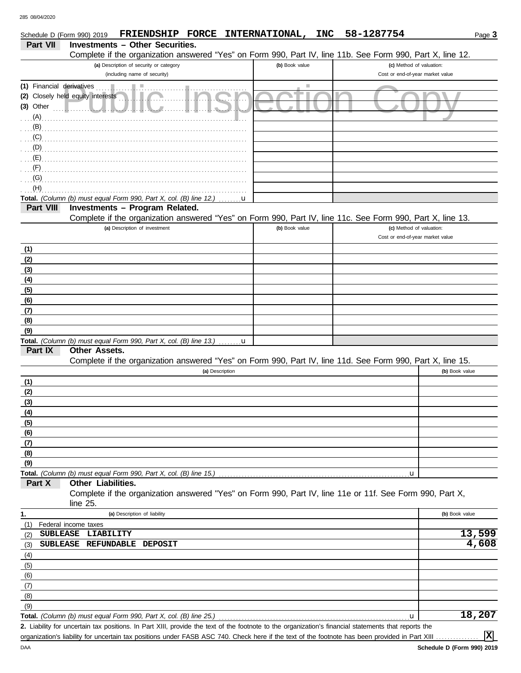| Schedule D (Form 990) 2019 |                                   |                                                                                    |                 | FRIENDSHIP FORCE INTERNATIONAL,                                                                                                                      | <b>INC</b> | 58-1287754                                                   | Page 3         |
|----------------------------|-----------------------------------|------------------------------------------------------------------------------------|-----------------|------------------------------------------------------------------------------------------------------------------------------------------------------|------------|--------------------------------------------------------------|----------------|
| <b>Part VII</b>            |                                   | <b>Investments - Other Securities.</b>                                             |                 |                                                                                                                                                      |            |                                                              |                |
|                            |                                   |                                                                                    |                 | Complete if the organization answered "Yes" on Form 990, Part IV, line 11b. See Form 990, Part X, line 12.                                           |            |                                                              |                |
|                            |                                   | (a) Description of security or category<br>(including name of security)            |                 | (b) Book value                                                                                                                                       |            | (c) Method of valuation:<br>Cost or end-of-year market value |                |
| (1) Financial derivatives  |                                   |                                                                                    |                 |                                                                                                                                                      |            |                                                              |                |
|                            | (2) Closely held equity interests |                                                                                    |                 |                                                                                                                                                      |            |                                                              |                |
| $(3)$ Other                |                                   |                                                                                    |                 |                                                                                                                                                      |            |                                                              |                |
| (A)                        |                                   |                                                                                    |                 |                                                                                                                                                      |            |                                                              |                |
| (B)                        |                                   |                                                                                    |                 |                                                                                                                                                      |            |                                                              |                |
| (C)                        |                                   |                                                                                    |                 |                                                                                                                                                      |            |                                                              |                |
| (D)                        |                                   |                                                                                    |                 |                                                                                                                                                      |            |                                                              |                |
| (E)                        |                                   |                                                                                    |                 |                                                                                                                                                      |            |                                                              |                |
| (F)                        |                                   |                                                                                    |                 |                                                                                                                                                      |            |                                                              |                |
| (G)                        |                                   |                                                                                    |                 |                                                                                                                                                      |            |                                                              |                |
| (H)                        |                                   |                                                                                    |                 |                                                                                                                                                      |            |                                                              |                |
|                            |                                   | Total. (Column (b) must equal Form 990, Part X, col. (B) line 12.)                 | u               |                                                                                                                                                      |            |                                                              |                |
| Part VIII                  |                                   | Investments - Program Related.                                                     |                 |                                                                                                                                                      |            |                                                              |                |
|                            |                                   | (a) Description of investment                                                      |                 | Complete if the organization answered "Yes" on Form 990, Part IV, line 11c. See Form 990, Part X, line 13.<br>(b) Book value                         |            | (c) Method of valuation:                                     |                |
|                            |                                   |                                                                                    |                 |                                                                                                                                                      |            | Cost or end-of-year market value                             |                |
| (1)                        |                                   |                                                                                    |                 |                                                                                                                                                      |            |                                                              |                |
| (2)                        |                                   |                                                                                    |                 |                                                                                                                                                      |            |                                                              |                |
| (3)                        |                                   |                                                                                    |                 |                                                                                                                                                      |            |                                                              |                |
| (4)                        |                                   |                                                                                    |                 |                                                                                                                                                      |            |                                                              |                |
| (5)                        |                                   |                                                                                    |                 |                                                                                                                                                      |            |                                                              |                |
| (6)                        |                                   |                                                                                    |                 |                                                                                                                                                      |            |                                                              |                |
| (7)                        |                                   |                                                                                    |                 |                                                                                                                                                      |            |                                                              |                |
| (8)                        |                                   |                                                                                    |                 |                                                                                                                                                      |            |                                                              |                |
| (9)                        |                                   |                                                                                    |                 |                                                                                                                                                      |            |                                                              |                |
|                            |                                   | Total. (Column (b) must equal Form 990, Part X, col. (B) line 13.) $\dots \dots u$ |                 |                                                                                                                                                      |            |                                                              |                |
| Part IX                    | Other Assets.                     |                                                                                    |                 |                                                                                                                                                      |            |                                                              |                |
|                            |                                   |                                                                                    | (a) Description | Complete if the organization answered "Yes" on Form 990, Part IV, line 11d. See Form 990, Part X, line 15.                                           |            |                                                              | (b) Book value |
| (1)                        |                                   |                                                                                    |                 |                                                                                                                                                      |            |                                                              |                |
| (2)                        |                                   |                                                                                    |                 |                                                                                                                                                      |            |                                                              |                |
| (3)                        |                                   |                                                                                    |                 |                                                                                                                                                      |            |                                                              |                |
| (4)                        |                                   |                                                                                    |                 |                                                                                                                                                      |            |                                                              |                |
| (5)                        |                                   |                                                                                    |                 |                                                                                                                                                      |            |                                                              |                |
| (6)                        |                                   |                                                                                    |                 |                                                                                                                                                      |            |                                                              |                |
| (7)                        |                                   |                                                                                    |                 |                                                                                                                                                      |            |                                                              |                |
| (8)                        |                                   |                                                                                    |                 |                                                                                                                                                      |            |                                                              |                |
| (9)                        |                                   |                                                                                    |                 |                                                                                                                                                      |            |                                                              |                |
|                            |                                   |                                                                                    |                 |                                                                                                                                                      |            | $\mathbf{u}$                                                 |                |
| Part X                     | Other Liabilities.                |                                                                                    |                 |                                                                                                                                                      |            |                                                              |                |
|                            | line 25.                          |                                                                                    |                 | Complete if the organization answered "Yes" on Form 990, Part IV, line 11e or 11f. See Form 990, Part X,                                             |            |                                                              |                |
| 1.                         |                                   | (a) Description of liability                                                       |                 |                                                                                                                                                      |            |                                                              | (b) Book value |
| (1)                        | Federal income taxes              |                                                                                    |                 |                                                                                                                                                      |            |                                                              |                |
| <b>SUBLEASE</b><br>(2)     | LIABILITY                         |                                                                                    |                 |                                                                                                                                                      |            |                                                              | 13,599         |
| (3)                        |                                   | SUBLEASE REFUNDABLE DEPOSIT                                                        |                 |                                                                                                                                                      |            |                                                              | 4,608          |
| (4)                        |                                   |                                                                                    |                 |                                                                                                                                                      |            |                                                              |                |
| (5)                        |                                   |                                                                                    |                 |                                                                                                                                                      |            |                                                              |                |
| (6)<br>(7)                 |                                   |                                                                                    |                 |                                                                                                                                                      |            |                                                              |                |
| (8)                        |                                   |                                                                                    |                 |                                                                                                                                                      |            |                                                              |                |
| (9)                        |                                   |                                                                                    |                 |                                                                                                                                                      |            |                                                              |                |
|                            |                                   | Total. (Column (b) must equal Form 990, Part X, col. (B) line 25.)                 |                 |                                                                                                                                                      |            | $\mathbf{u}$                                                 | 18,207         |
|                            |                                   |                                                                                    |                 | 2. Liability for uncertain tax positions. In Part XIII, provide the text of the footnote to the organization's financial statements that reports the |            |                                                              |                |

organization's liability for uncertain tax positions under FASB ASC 740. Check here if the text of the footnote has been provided in Part XIII . . . . . . . . . **2.**

**X**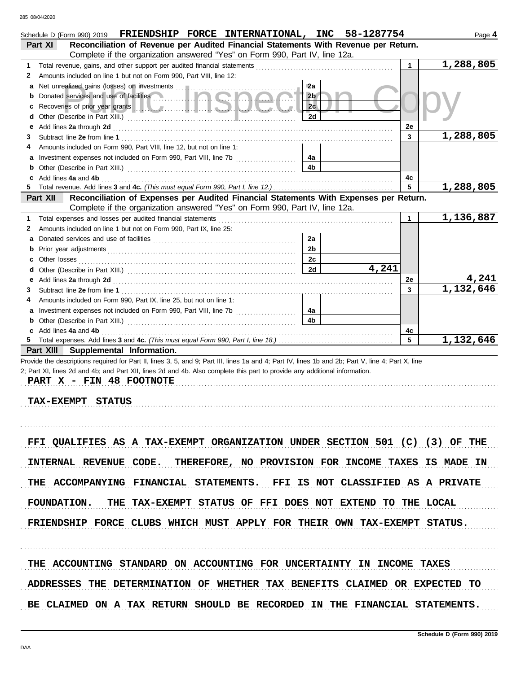| FRIENDSHIP FORCE INTERNATIONAL, INC 58-1287754<br>Schedule D (Form 990) 2019<br>Reconciliation of Revenue per Audited Financial Statements With Revenue per Return.<br>Part XI                                                                                                                                                                     |                |       |              | Page 4    |
|----------------------------------------------------------------------------------------------------------------------------------------------------------------------------------------------------------------------------------------------------------------------------------------------------------------------------------------------------|----------------|-------|--------------|-----------|
| Complete if the organization answered "Yes" on Form 990, Part IV, line 12a.                                                                                                                                                                                                                                                                        |                |       |              |           |
| 1                                                                                                                                                                                                                                                                                                                                                  |                |       | $\mathbf{1}$ | 1,288,805 |
| Amounts included on line 1 but not on Form 990, Part VIII, line 12:<br>2                                                                                                                                                                                                                                                                           |                |       |              |           |
|                                                                                                                                                                                                                                                                                                                                                    | 2a             |       |              |           |
| <b>b</b> Donated services and use of facilities <b>Constanting the service of the service of the service of the service of the service of the service of the service of the service of the service of the service of the service of t</b>                                                                                                          | 2 <sub>b</sub> |       |              |           |
| Recoveries of prior year grants [11] New York March 1999 New York Wallen 1999<br>c                                                                                                                                                                                                                                                                 | 2c             |       |              |           |
| d                                                                                                                                                                                                                                                                                                                                                  | 2d             |       |              |           |
| Add lines 2a through 2d [11] March 2014 [12] March 2014 [12] March 2014 [12] March 2014 [12] March 2014 [12] March 2015 [12] March 2014 [12] March 2014 [12] March 2014 [12] March 2014 [12] March 2014 [12] March 2014 [12] M<br>е                                                                                                                |                |       | 2е           |           |
| 3                                                                                                                                                                                                                                                                                                                                                  |                |       | 3            | 1,288,805 |
| Amounts included on Form 990, Part VIII, line 12, but not on line 1:<br>4                                                                                                                                                                                                                                                                          |                |       |              |           |
| a Investment expenses not included on Form 990, Part VIII, line 7b                                                                                                                                                                                                                                                                                 | 4a             |       |              |           |
|                                                                                                                                                                                                                                                                                                                                                    | 4b             |       |              |           |
| c Add lines 4a and 4b                                                                                                                                                                                                                                                                                                                              |                |       | 4с           |           |
| 5                                                                                                                                                                                                                                                                                                                                                  |                |       | 5            | 1,288,805 |
| Reconciliation of Expenses per Audited Financial Statements With Expenses per Return.<br>Part XII                                                                                                                                                                                                                                                  |                |       |              |           |
| Complete if the organization answered "Yes" on Form 990, Part IV, line 12a.                                                                                                                                                                                                                                                                        |                |       |              |           |
| Total expenses and losses per audited financial statements<br>1                                                                                                                                                                                                                                                                                    |                |       | $\mathbf{1}$ | 1,136,887 |
| Amounts included on line 1 but not on Form 990, Part IX, line 25:<br>2                                                                                                                                                                                                                                                                             |                |       |              |           |
|                                                                                                                                                                                                                                                                                                                                                    | 2a             |       |              |           |
|                                                                                                                                                                                                                                                                                                                                                    | 2 <sub>b</sub> |       |              |           |
| c                                                                                                                                                                                                                                                                                                                                                  | 2c             |       |              |           |
| d                                                                                                                                                                                                                                                                                                                                                  | 2d             | 4,241 |              |           |
| Add lines 2a through 2d [11] March 2014 [12] March 2014 [12] March 2014 [12] March 2014 [12] March 2014 [12] March 2015 [12] March 2014 [12] March 2014 [12] March 2014 [12] March 2014 [12] March 2014 [12] March 2014 [12] M<br>е                                                                                                                |                |       | 2e           | 4,241     |
| 3                                                                                                                                                                                                                                                                                                                                                  |                |       | 3            | 1,132,646 |
| Amounts included on Form 990, Part IX, line 25, but not on line 1:<br>4                                                                                                                                                                                                                                                                            |                |       |              |           |
|                                                                                                                                                                                                                                                                                                                                                    | 4a             |       |              |           |
|                                                                                                                                                                                                                                                                                                                                                    | 4b             |       |              |           |
| c Add lines 4a and 4b                                                                                                                                                                                                                                                                                                                              |                |       | 4c           |           |
| 5<br>Part XIII Supplemental Information.                                                                                                                                                                                                                                                                                                           |                |       | 5            | 1,132,646 |
| Provide the descriptions required for Part II, lines 3, 5, and 9; Part III, lines 1a and 4; Part IV, lines 1b and 2b; Part V, line 4; Part X, line<br>2; Part XI, lines 2d and 4b; and Part XII, lines 2d and 4b. Also complete this part to provide any additional information.<br>PART X - FIN 48 FOOTNOTE<br><b>TAX-EXEMPT</b><br><b>STATUS</b> |                |       |              |           |
| FFI QUALIFIES AS A TAX-EXEMPT ORGANIZATION UNDER SECTION 501 (C) (3) OF THE<br>INTERNAL REVENUE CODE. THEREFORE, NO PROVISION FOR INCOME TAXES IS MADE IN                                                                                                                                                                                          |                |       |              |           |
| THE ACCOMPANYING FINANCIAL STATEMENTS. FFI IS NOT CLASSIFIED AS A PRIVATE                                                                                                                                                                                                                                                                          |                |       |              |           |
| FOUNDATION. THE TAX-EXEMPT STATUS OF FFI DOES NOT EXTEND TO THE LOCAL                                                                                                                                                                                                                                                                              |                |       |              |           |
| FRIENDSHIP FORCE CLUBS WHICH MUST APPLY FOR THEIR OWN TAX-EXEMPT STATUS.                                                                                                                                                                                                                                                                           |                |       |              |           |
|                                                                                                                                                                                                                                                                                                                                                    |                |       |              |           |
| THE ACCOUNTING STANDARD ON ACCOUNTING FOR UNCERTAINTY IN INCOME TAXES<br>ADDRESSES THE DETERMINATION OF WHETHER TAX BENEFITS CLAIMED OR EXPECTED TO                                                                                                                                                                                                |                |       |              |           |
| BE CLAIMED ON A TAX RETURN SHOULD BE RECORDED IN THE FINANCIAL STATEMENTS.                                                                                                                                                                                                                                                                         |                |       |              |           |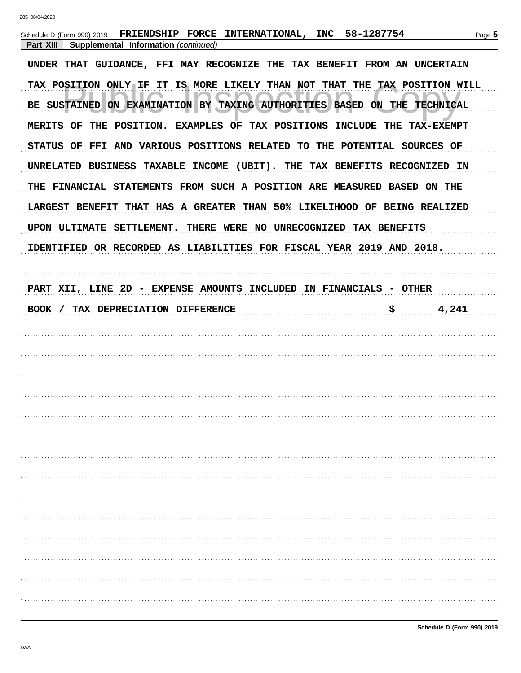| FRIENDSHIP FORCE INTERNATIONAL, INC 58-1287754<br>Schedule D (Form 990) 2019<br>Supplemental Information (continued)<br>Part XIII         |             | Page 5 |
|-------------------------------------------------------------------------------------------------------------------------------------------|-------------|--------|
| UNDER THAT GUIDANCE, FFI MAY RECOGNIZE THE TAX BENEFIT FROM AN UNCERTAIN                                                                  |             |        |
| TAX POSITION ONLY IF IT IS MORE LIKELY THAN NOT THAT THE TAX POSITION WILL                                                                |             |        |
| BE SUSTAINED ON EXAMINATION BY TAXING AUTHORITIES BASED ON THE TECHNICAL                                                                  |             |        |
| MERITS OF THE POSITION. EXAMPLES OF TAX POSITIONS INCLUDE THE TAX-EXEMPT                                                                  |             |        |
| STATUS OF FFI AND VARIOUS POSITIONS RELATED TO THE POTENTIAL SOURCES OF                                                                   |             |        |
| UNRELATED BUSINESS TAXABLE INCOME (UBIT). THE TAX BENEFITS RECOGNIZED IN                                                                  |             |        |
| THE FINANCIAL STATEMENTS FROM SUCH A POSITION ARE MEASURED BASED ON THE                                                                   |             |        |
| LARGEST BENEFIT THAT HAS A GREATER THAN 50% LIKELIHOOD OF BEING REALIZED                                                                  |             |        |
| UPON ULTIMATE SETTLEMENT. THERE WERE NO UNRECOGNIZED TAX BENEFITS<br>IDENTIFIED OR RECORDED AS LIABILITIES FOR FISCAL YEAR 2019 AND 2018. |             |        |
|                                                                                                                                           |             |        |
| PART XII, LINE 2D - EXPENSE AMOUNTS INCLUDED IN FINANCIALS - OTHER                                                                        |             |        |
| BOOK / TAX DEPRECIATION DIFFERENCE                                                                                                        | 4,241<br>\$ |        |
|                                                                                                                                           |             |        |
|                                                                                                                                           |             |        |
|                                                                                                                                           |             |        |
|                                                                                                                                           |             |        |
|                                                                                                                                           |             |        |
|                                                                                                                                           |             |        |
|                                                                                                                                           |             |        |
|                                                                                                                                           |             |        |
|                                                                                                                                           |             |        |
|                                                                                                                                           |             |        |
|                                                                                                                                           |             |        |
|                                                                                                                                           |             |        |
|                                                                                                                                           |             |        |
|                                                                                                                                           |             |        |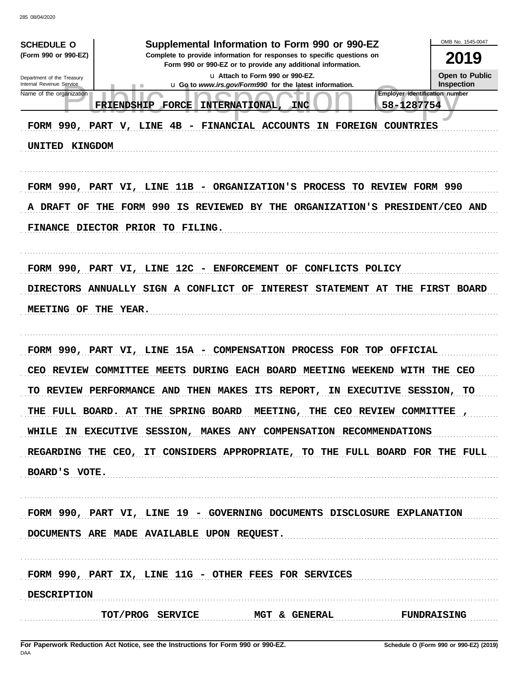285 08/04/2020

| Supplemental Information to Form 990 or 990-EZ<br><b>SCHEDULE O</b><br>(Form 990 or 990-EZ)<br>Complete to provide information for responses to specific questions on<br>Form 990 or 990-EZ or to provide any additional information.<br>Lu Attach to Form 990 or 990-EZ.<br>Department of the Treasury<br>Internal Revenue Service<br><b>u</b> Go to www.irs.gov/Form990 for the latest information.<br>Employer identification number<br>Name of the organization<br>58-1287754<br>FORCE<br>INTERNATIONAL,<br><b>INC</b><br><b>FRIENDSHIP</b><br>FORM 990, PART V, LINE 4B - FINANCIAL ACCOUNTS<br>IN FOREIGN COUNTRIES<br>UNITED KINGDOM | OMB No. 1545-0047<br>2019<br>Open to Public<br><b>Inspection</b> |
|---------------------------------------------------------------------------------------------------------------------------------------------------------------------------------------------------------------------------------------------------------------------------------------------------------------------------------------------------------------------------------------------------------------------------------------------------------------------------------------------------------------------------------------------------------------------------------------------------------------------------------------------|------------------------------------------------------------------|
| FORM 990, PART VI, LINE 11B - ORGANIZATION'S PROCESS TO REVIEW FORM 990<br>THE FORM 990<br>THE ORGANIZATION'S PRESIDENT/CEO AND<br>A DRAFT OF<br><b>IS REVIEWED BY</b><br>FINANCE DIECTOR PRIOR TO FILING.                                                                                                                                                                                                                                                                                                                                                                                                                                  |                                                                  |
| FORM 990, PART VI, LINE 12C - ENFORCEMENT OF CONFLICTS POLICY<br>DIRECTORS ANNUALLY SIGN A CONFLICT OF<br><b>INTEREST STATEMENT AT</b><br>MEETING OF THE YEAR.                                                                                                                                                                                                                                                                                                                                                                                                                                                                              | THE FIRST BOARD                                                  |
| FORM 990, PART VI, LINE 15A - COMPENSATION PROCESS FOR TOP OFFICIAL<br>CEO REVIEW COMMITTEE<br>MEETS DURING EACH BOARD MEETING WEEKEND WITH THE CEO<br>TO REVIEW PERFORMANCE AND<br>THEN MAKES ITS REPORT,<br>IN EXECUTIVE<br>THE CEO REVIEW COMMITTEE<br>THE FULL BOARD. AT THE SPRING BOARD<br>MEETING,<br>WHILE IN EXECUTIVE SESSION, MAKES ANY COMPENSATION RECOMMENDATIONS<br>REGARDING THE CEO, IT CONSIDERS APPROPRIATE, TO THE FULL BOARD FOR THE FULL<br>BOARD'S VOTE.                                                                                                                                                             | SESSION,<br>TО                                                   |
| FORM 990, PART VI, LINE 19 - GOVERNING DOCUMENTS DISCLOSURE EXPLANATION<br>DOCUMENTS ARE MADE AVAILABLE UPON REQUEST.                                                                                                                                                                                                                                                                                                                                                                                                                                                                                                                       |                                                                  |
| FORM 990, PART IX, LINE 11G - OTHER FEES FOR SERVICES<br><b>DESCRIPTION</b><br>TOT/PROG SERVICE MGT & GENERAL<br><b>FUNDRAISING</b>                                                                                                                                                                                                                                                                                                                                                                                                                                                                                                         |                                                                  |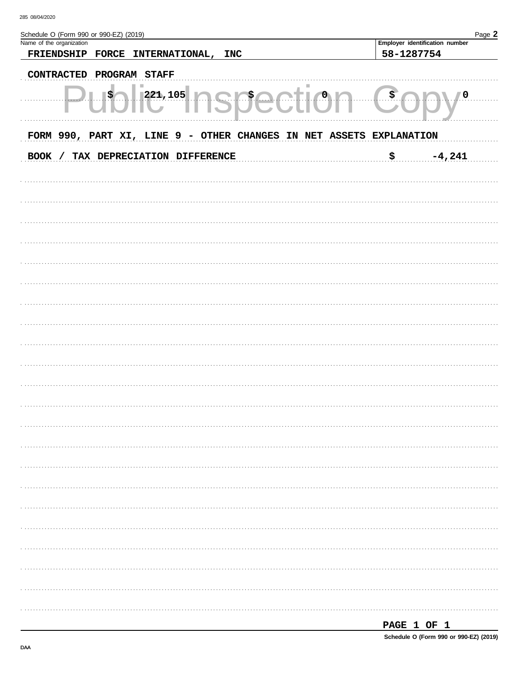| Schedule O (Form 990 or 990-EZ) (2019)<br>Name of the organization  | Employer identification number | Page 2 |
|---------------------------------------------------------------------|--------------------------------|--------|
| FRIENDSHIP<br><b>FORCE</b><br><b>INTERNATIONAL,</b><br><b>INC</b>   | 58-1287754                     |        |
| PROGRAM STAFF<br><b>CONTRACTED</b>                                  |                                |        |
|                                                                     |                                |        |
| 221,105<br>\$,<br>\$                                                | \$<br>$\sqrt{0}$               |        |
| FORM 990, PART XI, LINE 9 - OTHER CHANGES IN NET ASSETS EXPLANATION |                                |        |
| BOOK / TAX DEPRECIATION DIFFERENCE                                  | \$<br>$-4,241$                 |        |
|                                                                     |                                |        |
|                                                                     |                                |        |
|                                                                     |                                |        |
|                                                                     |                                |        |
|                                                                     |                                |        |
|                                                                     |                                |        |
|                                                                     |                                |        |
|                                                                     |                                |        |
|                                                                     |                                |        |
|                                                                     |                                |        |
|                                                                     |                                |        |
|                                                                     |                                |        |
|                                                                     |                                |        |
|                                                                     |                                |        |
|                                                                     |                                |        |
|                                                                     |                                |        |
|                                                                     |                                |        |
|                                                                     |                                |        |
|                                                                     |                                |        |
|                                                                     |                                |        |
|                                                                     |                                |        |
|                                                                     |                                |        |
|                                                                     |                                |        |
|                                                                     |                                |        |
|                                                                     |                                |        |
|                                                                     |                                |        |
|                                                                     |                                |        |
|                                                                     |                                |        |
|                                                                     | PAGE 1 OF 1                    |        |